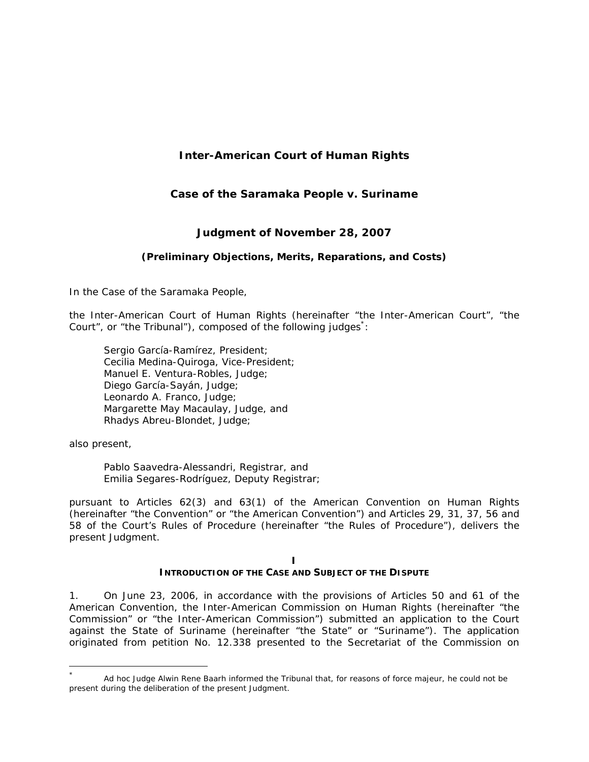# **Inter-American Court of Human Rights**

# **Case of the Saramaka People** *v.* **Suriname**

## **Judgment of November 28, 2007**

## *(Preliminary Objections, Merits, Reparations, and Costs)*

In the *Case of the Saramaka People*,

the Inter-American Court of Human Rights (hereinafter "the Inter-American Court", "the Court", or "the Tribunal"), composed of the following judges<sup>\*</sup>:

Sergio García-Ramírez, President; Cecilia Medina-Quiroga, Vice-President; Manuel E. Ventura-Robles, Judge; Diego García-Sayán, Judge; Leonardo A. Franco, Judge; Margarette May Macaulay, Judge, and Rhadys Abreu-Blondet, Judge;

also present,

 $\overline{a}$ 

Pablo Saavedra-Alessandri, Registrar, and Emilia Segares-Rodríguez, Deputy Registrar;

pursuant to Articles 62(3) and 63(1) of the American Convention on Human Rights (hereinafter "the Convention" or "the American Convention") and Articles 29, 31, 37, 56 and 58 of the Court's Rules of Procedure (hereinafter "the Rules of Procedure"), delivers the present Judgment.

#### **I INTRODUCTION OF THE CASE AND SUBJECT OF THE DISPUTE**

1. On June 23, 2006, in accordance with the provisions of Articles 50 and 61 of the American Convention, the Inter-American Commission on Human Rights (hereinafter "the Commission" or "the Inter-American Commission") submitted an application to the Court against the State of Suriname (hereinafter "the State" or "Suriname"). The application originated from petition No. 12.338 presented to the Secretariat of the Commission on

<sup>\*</sup> *Ad hoc* Judge Alwin Rene Baarh informed the Tribunal that, for reasons of *force majeur*, he could not be present during the deliberation of the present Judgment.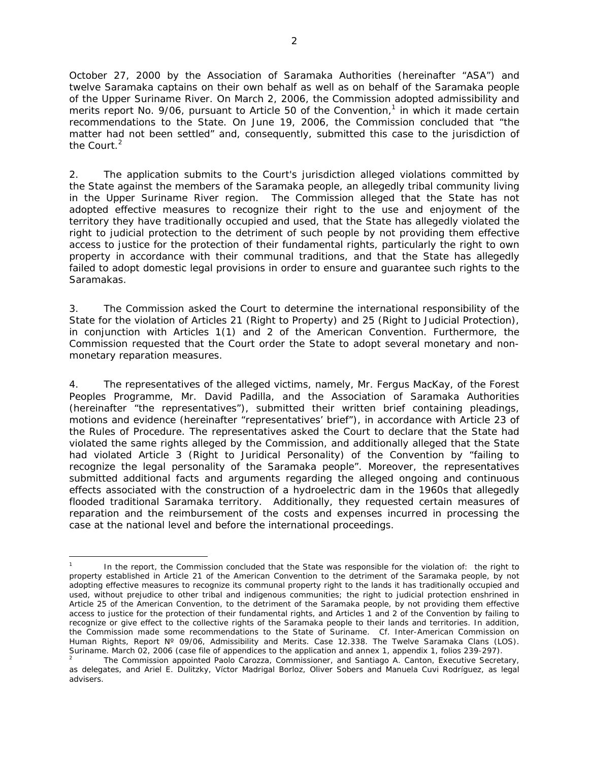October 27, 2000 by the Association of Saramaka Authorities (hereinafter "ASA") and twelve Saramaka captains on their own behalf as well as on behalf of the Saramaka people of the Upper Suriname River. On March 2, 2006, the Commission adopted admissibility and merits report No. 9/06, pursuant to Article 50 of the Convention,<sup>1</sup> in which it made certain recommendations to the State. On June 19, 2006, the Commission concluded that "the matter had not been settled" and, consequently, submitted this case to the jurisdiction of the Court.<sup>2</sup>

2. The application submits to the Court's jurisdiction alleged violations committed by the State against the members of the Saramaka people, an allegedly tribal community living in the Upper Suriname River region. The Commission alleged that the State has not adopted effective measures to recognize their right to the use and enjoyment of the territory they have traditionally occupied and used, that the State has allegedly violated the right to judicial protection to the detriment of such people by not providing them effective access to justice for the protection of their fundamental rights, particularly the right to own property in accordance with their communal traditions, and that the State has allegedly failed to adopt domestic legal provisions in order to ensure and guarantee such rights to the Saramakas.

3. The Commission asked the Court to determine the international responsibility of the State for the violation of Articles 21 (Right to Property) and 25 (Right to Judicial Protection), in conjunction with Articles 1(1) and 2 of the American Convention. Furthermore, the Commission requested that the Court order the State to adopt several monetary and nonmonetary reparation measures.

4. The representatives of the alleged victims, namely, Mr. Fergus MacKay, of the Forest Peoples Programme, Mr. David Padilla, and the Association of Saramaka Authorities (hereinafter "the representatives"), submitted their written brief containing pleadings, motions and evidence (hereinafter "representatives' brief"), in accordance with Article 23 of the Rules of Procedure. The representatives asked the Court to declare that the State had violated the same rights alleged by the Commission, and additionally alleged that the State had violated Article 3 (Right to Juridical Personality) of the Convention by "failing to recognize the legal personality of the Saramaka people". Moreover, the representatives submitted additional facts and arguments regarding the alleged ongoing and continuous effects associated with the construction of a hydroelectric dam in the 1960s that allegedly flooded traditional Saramaka territory. Additionally, they requested certain measures of reparation and the reimbursement of the costs and expenses incurred in processing the case at the national level and before the international proceedings.

 $\overline{a}$ 1 In the report, the Commission concluded that the State was responsible for the violation of: the right to property established in Article 21 of the American Convention to the detriment of the Saramaka people, by not adopting effective measures to recognize its communal property right to the lands it has traditionally occupied and used, without prejudice to other tribal and indigenous communities; the right to judicial protection enshrined in Article 25 of the American Convention, to the detriment of the Saramaka people, by not providing them effective access to justice for the protection of their fundamental rights, and Articles 1 and 2 of the Convention by failing to recognize or give effect to the collective rights of the Saramaka people to their lands and territories. In addition, the Commission made some recommendations to the State of Suriname. *Cf.* Inter-American Commission on Human Rights, *Report Nº 09/06, Admissibility and Merits. Case 12.338. The Twelve Saramaka Clans (LOS). Suriname.* March 02, 2006 (case file of appendices to the application and annex 1, appendix 1, folios 239-297).

The Commission appointed Paolo Carozza, Commissioner, and Santiago A. Canton, Executive Secretary, as delegates, and Ariel E. Dulitzky, Víctor Madrigal Borloz, Oliver Sobers and Manuela Cuvi Rodríguez, as legal advisers.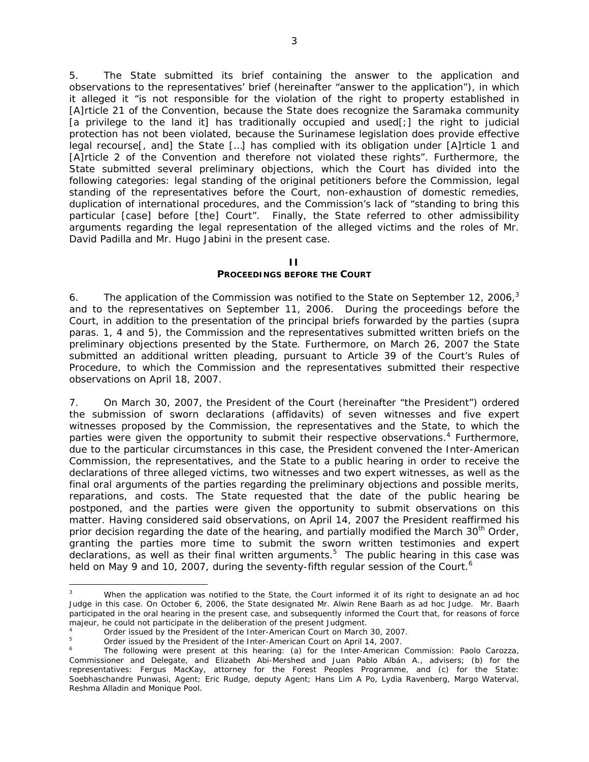5. The State submitted its brief containing the answer to the application and observations to the representatives' brief (hereinafter "answer to the application"), in which it alleged it "is not responsible for the violation of the right to property established in [A]rticle 21 of the Convention, because the State does recognize the Saramaka community [a privilege to the land it] has traditionally occupied and used[;] the right to judicial protection has not been violated, because the Surinamese legislation does provide effective legal recourse[, and] the State […] has complied with its obligation under [A]rticle 1 and [A]rticle 2 of the Convention and therefore not violated these rights". Furthermore, the State submitted several preliminary objections, which the Court has divided into the following categories: legal standing of the original petitioners before the Commission, legal standing of the representatives before the Court, non-exhaustion of domestic remedies, duplication of international procedures, and the Commission's lack of "standing to bring this particular [case] before [the] Court". Finally, the State referred to other admissibility arguments regarding the legal representation of the alleged victims and the roles of Mr. David Padilla and Mr. Hugo Jabini in the present case.

**II** 

#### **PROCEEDINGS BEFORE THE COURT**

6. The application of the Commission was notified to the State on September 12, 2006,<sup>3</sup> and to the representatives on September 11, 2006. During the proceedings before the Court, in addition to the presentation of the principal briefs forwarded by the parties (*supra*  paras. 1, 4 and 5), the Commission and the representatives submitted written briefs on the preliminary objections presented by the State. Furthermore, on March 26, 2007 the State submitted an additional written pleading, pursuant to Article 39 of the Court's Rules of Procedure, to which the Commission and the representatives submitted their respective observations on April 18, 2007.

7. On March 30, 2007, the President of the Court (hereinafter "the President") ordered the submission of sworn declarations (affidavits) of seven witnesses and five expert witnesses proposed by the Commission, the representatives and the State, to which the parties were given the opportunity to submit their respective observations.<sup>4</sup> Furthermore, due to the particular circumstances in this case, the President convened the Inter-American Commission, the representatives, and the State to a public hearing in order to receive the declarations of three alleged victims, two witnesses and two expert witnesses, as well as the final oral arguments of the parties regarding the preliminary objections and possible merits, reparations, and costs. The State requested that the date of the public hearing be postponed, and the parties were given the opportunity to submit observations on this matter. Having considered said observations, on April 14, 2007 the President reaffirmed his prior decision regarding the date of the hearing, and partially modified the March  $30<sup>th</sup>$  Order, granting the parties more time to submit the sworn written testimonies and expert declarations, as well as their final written arguments.<sup>5</sup> The public hearing in this case was held on May 9 and 10, 2007, during the seventy-fifth regular session of the Court.<sup>6</sup>

<sup>3</sup> When the application was notified to the State, the Court informed it of its right to designate an *ad hoc*  Judge in this case. On October 6, 2006, the State designated Mr. Alwin Rene Baarh as *ad hoc* Judge. Mr. Baarh participated in the oral hearing in the present case, and subsequently informed the Court that, for reasons of *force majeur*, he could not participate in the deliberation of the present Judgment.

Order issued by the President of the Inter-American Court on March 30, 2007.

<sup>5</sup> Order issued by the President of the Inter-American Court on April 14, 2007.

<sup>6</sup> The following were present at this hearing: (a) for the Inter-American Commission: Paolo Carozza, Commissioner and Delegate, and Elizabeth Abi-Mershed and Juan Pablo Albán A., advisers; (b) for the representatives: Fergus MacKay, attorney for the Forest Peoples Programme, and (c) for the State: Soebhaschandre Punwasi, Agent; Eric Rudge, deputy Agent; Hans Lim A Po, Lydia Ravenberg, Margo Waterval, Reshma Alladin and Monique Pool.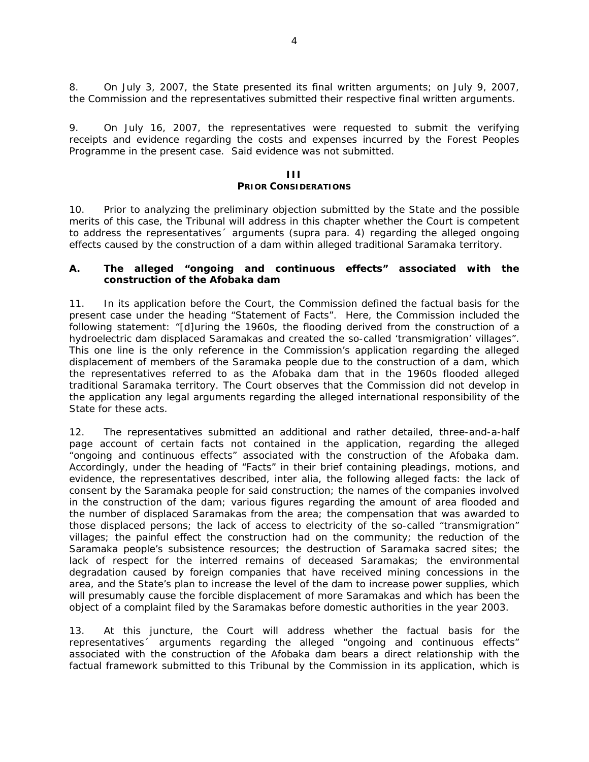8. On July 3, 2007, the State presented its final written arguments; on July 9, 2007, the Commission and the representatives submitted their respective final written arguments.

9. On July 16, 2007, the representatives were requested to submit the verifying receipts and evidence regarding the costs and expenses incurred by the Forest Peoples Programme in the present case. Said evidence was not submitted.

#### **III PRIOR CONSIDERATIONS**

10. Prior to analyzing the preliminary objection submitted by the State and the possible merits of this case, the Tribunal will address in this chapter whether the Court is competent to address the representatives´ arguments (*supra* para. 4) regarding the alleged ongoing effects caused by the construction of a dam within alleged traditional Saramaka territory.

## **A. The alleged "ongoing and continuous effects" associated with the construction of the Afobaka dam**

11. In its application before the Court, the Commission defined the factual basis for the present case under the heading "Statement of Facts". Here, the Commission included the following statement: "[d]uring the 1960s, the flooding derived from the construction of a hydroelectric dam displaced Saramakas and created the so-called 'transmigration' villages". This one line is the only reference in the Commission's application regarding the alleged displacement of members of the Saramaka people due to the construction of a dam, which the representatives referred to as the Afobaka dam that in the 1960s flooded alleged traditional Saramaka territory. The Court observes that the Commission did not develop in the application any legal arguments regarding the alleged international responsibility of the State for these acts.

12. The representatives submitted an additional and rather detailed, three-and-a-half page account of certain facts not contained in the application, regarding the alleged "ongoing and continuous effects" associated with the construction of the Afobaka dam. Accordingly, under the heading of "Facts" in their brief containing pleadings, motions, and evidence, the representatives described, *inter alia*, the following alleged facts: the lack of consent by the Saramaka people for said construction; the names of the companies involved in the construction of the dam; various figures regarding the amount of area flooded and the number of displaced Saramakas from the area; the compensation that was awarded to those displaced persons; the lack of access to electricity of the so-called "transmigration" villages; the painful effect the construction had on the community; the reduction of the Saramaka people's subsistence resources; the destruction of Saramaka sacred sites; the lack of respect for the interred remains of deceased Saramakas; the environmental degradation caused by foreign companies that have received mining concessions in the area, and the State's plan to increase the level of the dam to increase power supplies, which will presumably cause the forcible displacement of more Saramakas and which has been the object of a complaint filed by the Saramakas before domestic authorities in the year 2003.

13. At this juncture, the Court will address whether the factual basis for the representatives´ arguments regarding the alleged "ongoing and continuous effects" associated with the construction of the Afobaka dam bears a direct relationship with the factual framework submitted to this Tribunal by the Commission in its application, which is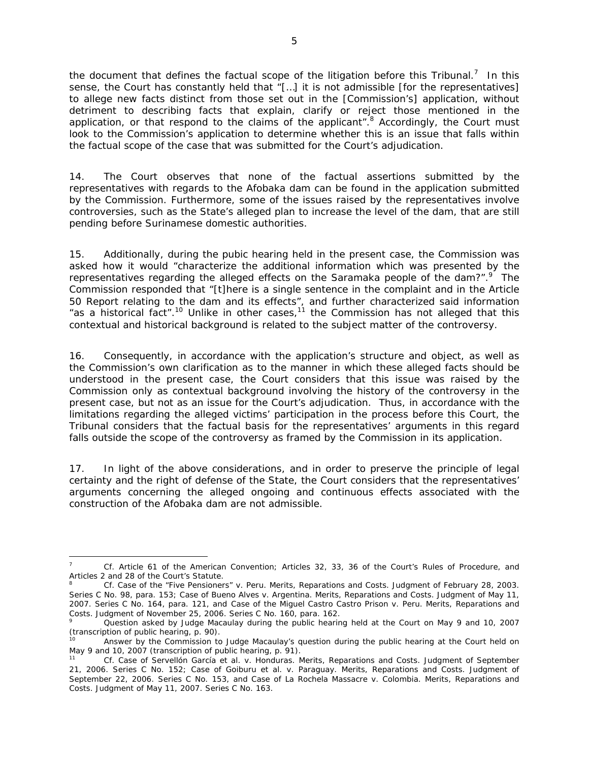the document that defines the factual scope of the litigation before this Tribunal.<sup>7</sup> In this sense, the Court has constantly held that "[…] it is not admissible [for the representatives] to allege new facts distinct from those set out in the [Commission's] application, without detriment to describing facts that explain, clarify or reject those mentioned in the application, or that respond to the claims of the applicant".<sup>8</sup> Accordingly, the Court must look to the Commission's application to determine whether this is an issue that falls within the factual scope of the case that was submitted for the Court's adjudication.

14. The Court observes that none of the factual assertions submitted by the representatives with regards to the Afobaka dam can be found in the application submitted by the Commission. Furthermore, some of the issues raised by the representatives involve controversies, such as the State's alleged plan to increase the level of the dam, that are still pending before Surinamese domestic authorities.

15. Additionally, during the pubic hearing held in the present case, the Commission was asked how it would "characterize the additional information which was presented by the representatives regarding the alleged effects on the Saramaka people of the dam?".<sup>9</sup> The Commission responded that "[t]here is a single sentence in the complaint and in the Article 50 Report relating to the dam and its effects", and further characterized said information "as a historical fact".<sup>10</sup> Unlike in other cases,<sup>11</sup> the Commission has not alleged that this contextual and historical background is related to the subject matter of the controversy.

16. Consequently, in accordance with the application's structure and object, as well as the Commission's own clarification as to the manner in which these alleged facts should be understood in the present case, the Court considers that this issue was raised by the Commission only as contextual background involving the history of the controversy in the present case, but not as an issue for the Court's adjudication. Thus, in accordance with the limitations regarding the alleged victims' participation in the process before this Court, the Tribunal considers that the factual basis for the representatives' arguments in this regard falls outside the scope of the controversy as framed by the Commission in its application.

17. In light of the above considerations, and in order to preserve the principle of legal certainty and the right of defense of the State, the Court considers that the representatives' arguments concerning the alleged ongoing and continuous effects associated with the construction of the Afobaka dam are not admissible.

 $\overline{a}$ 7 *Cf.* Article 61 of the American Convention; Articles 32, 33, 36 of the Court's Rules of Procedure, and Articles 2 and 28 of the Court's Statute.

<sup>8</sup> *Cf. Case of the* "*Five Pensioners" v. Peru. Merits, Reparations and Costs*. Judgment of February 28, 2003. Series C No. 98, para. 153; *Case of Bueno Alves v. Argentina. Merits, Reparations and Costs*. Judgment of May 11, 2007. Series C No. 164, para. 121, and *Case of the Miguel Castro Castro Prison v. Peru. Merits, Reparations and Costs*. Judgment of November 25, 2006. Series C No. 160, para. 162. 9

Question asked by Judge Macaulay during the public hearing held at the Court on May 9 and 10, 2007 (transcription of public hearing, p. 90).<br><sup>10</sup> Answer by the Commission to Judge Macaulay's question during the public hearing at the Court held on

May 9 and 10, 2007 (transcription of public hearing, p. 91).

<sup>11</sup> *Cf. Case of Servellón García et al. v. Honduras. Merits, Reparations and Costs*. Judgment of September 21, 2006. Series C No. 152; *Case of Goiburu et al. v. Paraguay. Merits, Reparations and Costs*. Judgment of September 22, 2006. Series C No. 153, and *Case of La Rochela Massacre v. Colombia. Merits, Reparations and Costs*. Judgment of May 11, 2007. Series C No. 163.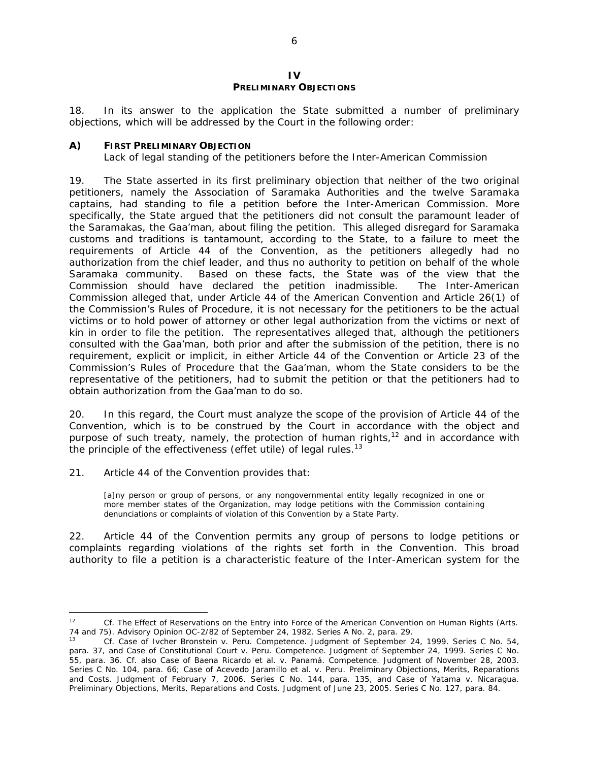#### **IV PRELIMINARY OBJECTIONS**

18. In its answer to the application the State submitted a number of preliminary objections, which will be addressed by the Court in the following order:

#### **A) FIRST PRELIMINARY OBJECTION**

Lack of legal standing of the petitioners before the Inter-American Commission

19. The State asserted in its first preliminary objection that neither of the two original petitioners, namely the Association of Saramaka Authorities and the twelve Saramaka captains, had standing to file a petition before the Inter-American Commission. More specifically, the State argued that the petitioners did not consult the paramount leader of the Saramakas, the *Gaa'man*, about filing the petition. This alleged disregard for Saramaka customs and traditions is tantamount, according to the State, to a failure to meet the requirements of Article 44 of the Convention, as the petitioners allegedly had no authorization from the chief leader, and thus no authority to petition on behalf of the whole Saramaka community. Based on these facts, the State was of the view that the Commission should have declared the petition inadmissible. The Inter-American Commission alleged that, under Article 44 of the American Convention and Article 26(1) of the Commission's Rules of Procedure, it is not necessary for the petitioners to be the actual victims or to hold power of attorney or other legal authorization from the victims or next of kin in order to file the petition. The representatives alleged that, although the petitioners consulted with the *Gaa'man*, both prior and after the submission of the petition, there is no requirement, explicit or implicit, in either Article 44 of the Convention or Article 23 of the Commission's Rules of Procedure that the *Gaa'man*, whom the State considers to be the representative of the petitioners, had to submit the petition or that the petitioners had to obtain authorization from the *Gaa'man* to do so.

20. In this regard, the Court must analyze the scope of the provision of Article 44 of the Convention, which is to be construed by the Court in accordance with the object and purpose of such treaty, namely, the protection of human rights,<sup>12</sup> and in accordance with the principle of the effectiveness (*effet utile*) of legal rules.<sup>13</sup>

21. Article 44 of the Convention provides that:

 $\overline{a}$ 

[a]ny person or group of persons, or any nongovernmental entity legally recognized in one or more member states of the Organization, may lodge petitions with the Commission containing denunciations or complaints of violation of this Convention by a State Party.

22. Article 44 of the Convention permits any group of persons to lodge petitions or complaints regarding violations of the rights set forth in the Convention. This broad authority to file a petition is a characteristic feature of the Inter-American system for the

<sup>12</sup>*Cf. The Effect of Reservations on the Entry into Force of the American Convention on Human Rights* (Arts. 74 and 75). Advisory Opinion OC-2/82 of September 24, 1982. Series A No. 2, para. 29.

<sup>13</sup> *Cf. Case of Ivcher Bronstein v. Peru. Competence.* Judgment of September 24, 1999. Series C No. 54, para. 37, and *Case of Constitutional Court v. Peru. Competence.* Judgment of September 24, 1999. Series C No. 55, para. 36. *Cf.* also *Case of Baena Ricardo et al. v. Panamá*. *Competence*. Judgment of November 28, 2003. Series C No. 104, para. 66; *Case of Acevedo Jaramillo et al. v. Peru. Preliminary Objections, Merits, Reparations and Costs*. Judgment of February 7, 2006. Series C No. 144, para. 135, and *Case of Yatama v. Nicaragua. Preliminary Objections, Merits, Reparations and Costs*. Judgment of June 23, 2005. Series C No. 127, para. 84.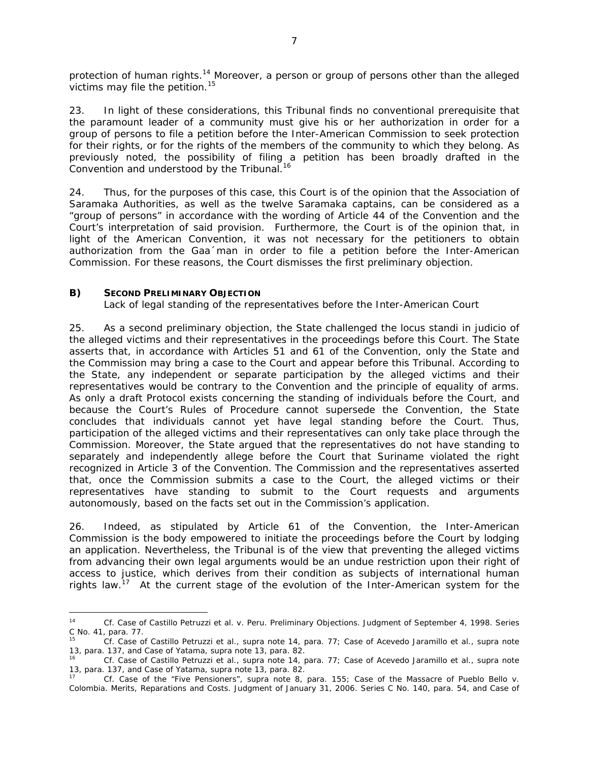protection of human rights.<sup>14</sup> Moreover, a person or group of persons other than the alleged victims may file the petition.<sup>15</sup>

23. In light of these considerations, this Tribunal finds no conventional prerequisite that the paramount leader of a community must give his or her authorization in order for a group of persons to file a petition before the Inter-American Commission to seek protection for their rights, or for the rights of the members of the community to which they belong. As previously noted, the possibility of filing a petition has been broadly drafted in the Convention and understood by the Tribunal.<sup>16</sup>

24. Thus, for the purposes of this case, this Court is of the opinion that the Association of Saramaka Authorities, as well as the twelve Saramaka captains, can be considered as a "group of persons" in accordance with the wording of Article 44 of the Convention and the Court's interpretation of said provision. Furthermore, the Court is of the opinion that, in light of the American Convention, it was not necessary for the petitioners to obtain authorization from the *Gaa´man* in order to file a petition before the Inter-American Commission. For these reasons, the Court dismisses the first preliminary objection.

## **B) SECOND PRELIMINARY OBJECTION**

*Lack of legal standing of the representatives before the Inter-American Court* 

25. As a second preliminary objection, the State challenged the *locus standi in judicio* of the alleged victims and their representatives in the proceedings before this Court. The State asserts that, in accordance with Articles 51 and 61 of the Convention, only the State and the Commission may bring a case to the Court and appear before this Tribunal. According to the State, any independent or separate participation by the alleged victims and their representatives would be contrary to the Convention and the principle of equality of arms. As only a draft Protocol exists concerning the standing of individuals before the Court, and because the Court's Rules of Procedure cannot supersede the Convention, the State concludes that individuals cannot yet have legal standing before the Court. Thus, participation of the alleged victims and their representatives can only take place through the Commission. Moreover, the State argued that the representatives do not have standing to separately and independently allege before the Court that Suriname violated the right recognized in Article 3 of the Convention. The Commission and the representatives asserted that, once the Commission submits a case to the Court, the alleged victims or their representatives have standing to submit to the Court requests and arguments autonomously, based on the facts set out in the Commission's application.

26. Indeed, as stipulated by Article 61 of the Convention, the Inter-American Commission is the body empowered to initiate the proceedings before the Court by lodging an application. Nevertheless, the Tribunal is of the view that preventing the alleged victims from advancing their own legal arguments would be an undue restriction upon their right of access to justice, which derives from their condition as subjects of international human rights law. $17$  At the current stage of the evolution of the Inter-American system for the

 $14$ 14 *Cf. Case of Castillo Petruzzi et al. v. Peru. Preliminary Objections*. Judgment of September 4, 1998. Series C No. 41, para. 77.

<sup>15</sup> *Cf*. *Case of Castillo Petruzzi et al., supra* note 14, para. 77; *Case of Acevedo Jaramillo et al., supra* note 13, para. 137, and *Case of Yatama, supra* note 13, para. 82.

<sup>16</sup> *Cf*. *Case of Castillo Petruzzi et al., supra* note 14, para. 77; *Case of Acevedo Jaramillo et al., supra* note 13, para. 137, and *Case of Yatama, supra* note 13, para. 82.<br><sup>17</sup> Cf. Case of the "Five Pensioners", supra note 8, para. 155; Case of the Massacre of Pueblo Bello v.

*Colombia. Merits, Reparations and Costs*. Judgment of January 31, 2006. Series C No. 140, para. 54, and *Case of*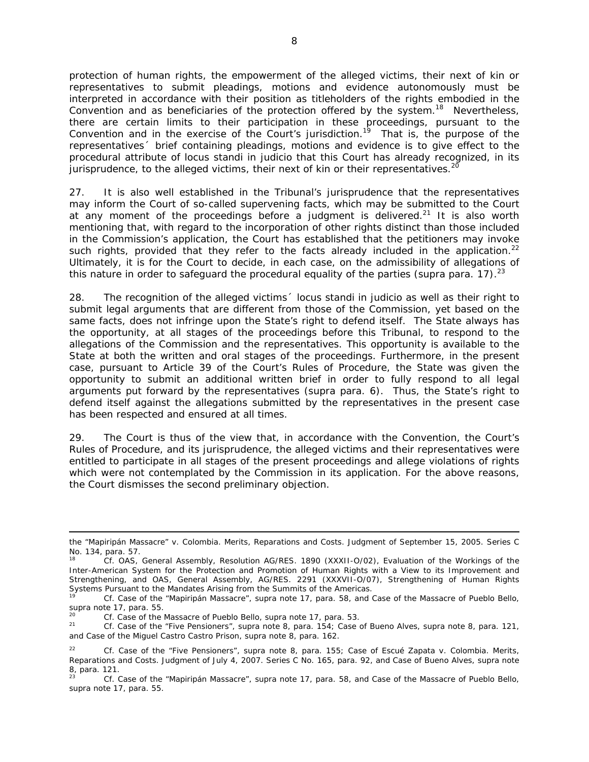protection of human rights, the empowerment of the alleged victims, their next of kin or representatives to submit pleadings, motions and evidence autonomously must be interpreted in accordance with their position as titleholders of the rights embodied in the Convention and as beneficiaries of the protection offered by the system.<sup>18</sup> Nevertheless, there are certain limits to their participation in these proceedings, pursuant to the Convention and in the exercise of the Court's jurisdiction.<sup>19</sup> That is, the purpose of the representatives´ brief containing pleadings, motions and evidence is to give effect to the procedural attribute of *locus standi in judicio* that this Court has already recognized, in its jurisprudence, to the alleged victims, their next of kin or their representatives.<sup>20</sup>

27. It is also well established in the Tribunal's jurisprudence that the representatives may inform the Court of so-called supervening facts, which may be submitted to the Court at any moment of the proceedings before a judgment is delivered.<sup>21</sup> It is also worth mentioning that, with regard to the incorporation of other rights distinct than those included in the Commission's application, the Court has established that the petitioners may invoke such rights, provided that they refer to the facts already included in the application.<sup>22</sup> Ultimately, it is for the Court to decide, in each case, on the admissibility of allegations of this nature in order to safeguard the procedural equality of the parties (*supra* para. 17).<sup>23</sup>

28. The recognition of the alleged victims´ *locus standi in judicio* as well as their right to submit legal arguments that are different from those of the Commission, yet based on the same facts, does not infringe upon the State's right to defend itself. The State always has the opportunity, at all stages of the proceedings before this Tribunal, to respond to the allegations of the Commission and the representatives. This opportunity is available to the State at both the written and oral stages of the proceedings. Furthermore, in the present case, pursuant to Article 39 of the Court's Rules of Procedure, the State was given the opportunity to submit an additional written brief in order to fully respond to all legal arguments put forward by the representatives (*supra* para. 6). Thus, the State's right to defend itself against the allegations submitted by the representatives in the present case has been respected and ensured at all times.

29. The Court is thus of the view that, in accordance with the Convention, the Court's Rules of Procedure, and its jurisprudence, the alleged victims and their representatives were entitled to participate in all stages of the present proceedings and allege violations of rights which were not contemplated by the Commission in its application. For the above reasons, the Court dismisses the second preliminary objection.

*the "Mapiripán Massacre" v. Colombia. Merits, Reparations and Costs*. Judgment of September 15, 2005. Series C No. 134, para. 57.

<sup>18</sup>*Cf.* OAS, General Assembly, Resolution AG/RES. 1890 (XXXII-O/02), *Evaluation of the Workings of the Inter-American System for the Protection and Promotion of Human Rights with a View to its Improvement and Strengthening,* and OAS, General Assembly, AG/RES. 2291 (XXXVII-O/07), *Strengthening of Human Rights Systems Pursuant to the Mandates Arising from the Summits of the Americas*.

<sup>19</sup> *Cf. Case of the "Mapiripán Massacre", supra* note 17, para. 58, and *Case of the Massacre of Pueblo Bello,* 

<sup>&</sup>lt;sup>20</sup> *Cf. Case of the Massacre of Pueblo Bello, supra* note 17, para. 53.<br><sup>21</sup> *Cf. Case of the "Five Pensioners", supra* note 8, para. 154; *Case of Bueno Alves, supra* note 8, para. 121, and *Case of the Miguel Castro Castro Prison, supra* note 8, para. 162.

<sup>22</sup> *Cf. Case of the "Five Pensioners", supra* note 8, para. 155; *Case of Escué Zapata v. Colombia. Merits, Reparations and Costs.* Judgment of July 4, 2007. Series C No. 165, para. 92, and *Case of Bueno Alves, supra* note 8, para. 121.

<sup>23</sup> *Cf. Case of the "Mapiripán Massacre", supra* note 17, para. 58, and *Case of the Massacre of Pueblo Bello, supra* note 17, para. 55.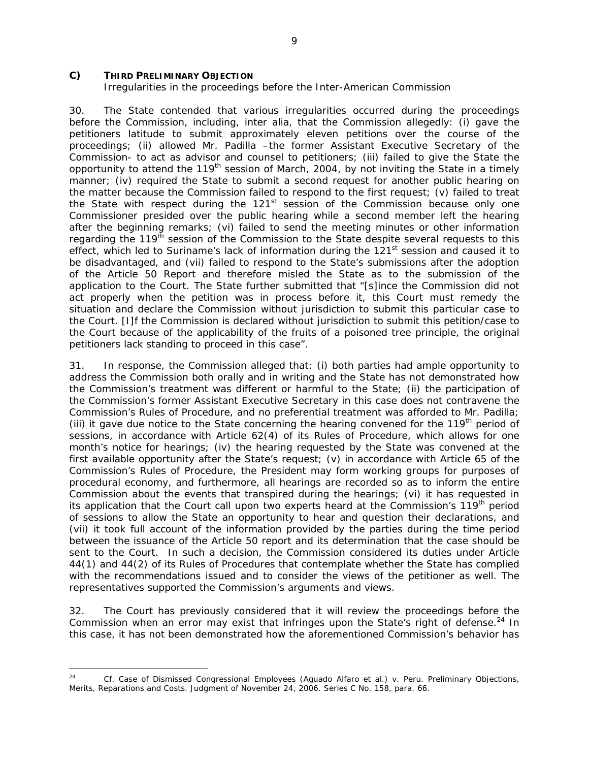#### **C) THIRD PRELIMINARY OBJECTION**

*Irregularities in the proceedings before the Inter-American Commission* 

30. The State contended that various irregularities occurred during the proceedings before the Commission, including, *inter alia*, that the Commission allegedly: (i) gave the petitioners latitude to submit approximately eleven petitions over the course of the proceedings; (ii) allowed Mr. Padilla –the former Assistant Executive Secretary of the Commission- to act as advisor and counsel to petitioners; (iii) failed to give the State the opportunity to attend the 119<sup>th</sup> session of March, 2004, by not inviting the State in a timely manner; (iv) required the State to submit a second request for another public hearing on the matter because the Commission failed to respond to the first request; (v) failed to treat the State with respect during the  $121<sup>st</sup>$  session of the Commission because only one Commissioner presided over the public hearing while a second member left the hearing after the beginning remarks; (vi) failed to send the meeting minutes or other information regarding the 119<sup>th</sup> session of the Commission to the State despite several requests to this effect, which led to Suriname's lack of information during the 121<sup>st</sup> session and caused it to be disadvantaged, and (vii) failed to respond to the State's submissions after the adoption of the Article 50 Report and therefore misled the State as to the submission of the application to the Court. The State further submitted that "[s]ince the Commission did not act properly when the petition was in process before it, this Court must remedy the situation and declare the Commission without jurisdiction to submit this particular case to the Court. [I]f the Commission is declared without jurisdiction to submit this petition/case to the Court because of the applicability of the *fruits of a poisoned tree principle*, the original petitioners lack standing to proceed in this case".

31. In response, the Commission alleged that: (i) both parties had ample opportunity to address the Commission both orally and in writing and the State has not demonstrated how the Commission's treatment was different or harmful to the State; (ii) the participation of the Commission's former Assistant Executive Secretary in this case does not contravene the Commission's Rules of Procedure, and no preferential treatment was afforded to Mr. Padilla; (iii) it gave due notice to the State concerning the hearing convened for the 119<sup>th</sup> period of sessions, in accordance with Article 62(4) of its Rules of Procedure, which allows for one month's notice for hearings; (iv) the hearing requested by the State was convened at the first available opportunity after the State's request; (v) in accordance with Article 65 of the Commission's Rules of Procedure, the President may form working groups for purposes of procedural economy, and furthermore, all hearings are recorded so as to inform the entire Commission about the events that transpired during the hearings; (vi) it has requested in its application that the Court call upon two experts heard at the Commission's  $119<sup>th</sup>$  period of sessions to allow the State an opportunity to hear and question their declarations, and (vii) it took full account of the information provided by the parties during the time period between the issuance of the Article 50 report and its determination that the case should be sent to the Court. In such a decision, the Commission considered its duties under Article 44(1) and 44(2) of its Rules of Procedures that contemplate whether the State has complied with the recommendations issued and to consider the views of the petitioner as well. The representatives supported the Commission's arguments and views.

32. The Court has previously considered that it will review the proceedings before the Commission when an error may exist that infringes upon the State's right of defense.<sup>24</sup> In this case, it has not been demonstrated how the aforementioned Commission's behavior has

 $24$ 24 *Cf. Case of Dismissed Congressional Employees (Aguado Alfaro et al.) v. Peru. Preliminary Objections, Merits, Reparations and Costs.* Judgment of November 24, 2006. Series C No. 158, para. 66.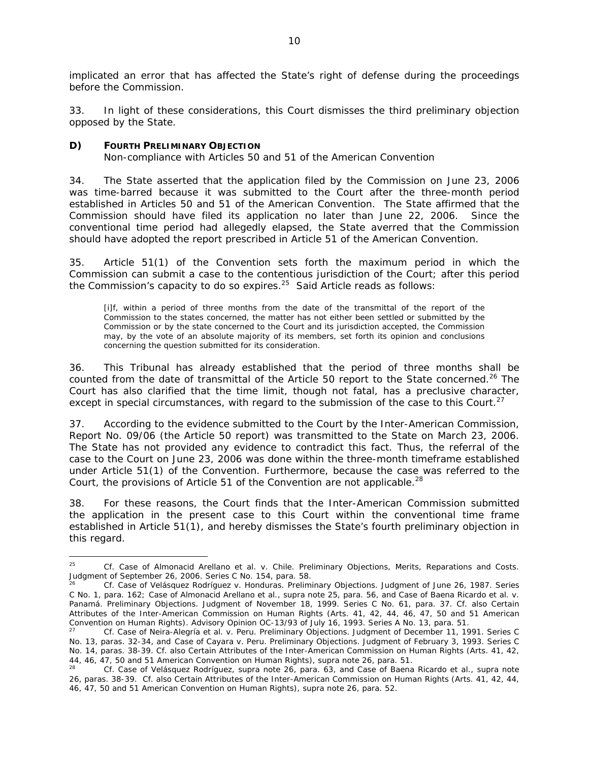implicated an error that has affected the State's right of defense during the proceedings before the Commission.

33. In light of these considerations, this Court dismisses the third preliminary objection opposed by the State.

#### **D) FOURTH PRELIMINARY OBJECTION**

*Non-compliance with Articles 50 and 51 of the American Convention* 

34. The State asserted that the application filed by the Commission on June 23, 2006 was time-barred because it was submitted to the Court after the three-month period established in Articles 50 and 51 of the American Convention. The State affirmed that the Commission should have filed its application no later than June 22, 2006. Since the conventional time period had allegedly elapsed, the State averred that the Commission should have adopted the report prescribed in Article 51 of the American Convention.

35. Article 51(1) of the Convention sets forth the maximum period in which the Commission can submit a case to the contentious jurisdiction of the Court; after this period the Commission's capacity to do so expires.<sup>25</sup> Said Article reads as follows:

[i]f, within a period of three months from the date of the transmittal of the report of the Commission to the states concerned, the matter has not either been settled or submitted by the Commission or by the state concerned to the Court and its jurisdiction accepted, the Commission may, by the vote of an absolute majority of its members, set forth its opinion and conclusions concerning the question submitted for its consideration.

36. This Tribunal has already established that the period of three months shall be counted from the date of transmittal of the Article 50 report to the State concerned.<sup>26</sup> The Court has also clarified that the time limit, though not fatal, has a preclusive character, except in special circumstances, with regard to the submission of the case to this Court.<sup>27</sup>

37. According to the evidence submitted to the Court by the Inter-American Commission, Report No. 09/06 (the Article 50 report) was transmitted to the State on March 23, 2006. The State has not provided any evidence to contradict this fact. Thus, the referral of the case to the Court on June 23, 2006 was done within the three-month timeframe established under Article 51(1) of the Convention. Furthermore, because the case was referred to the Court, the provisions of Article 51 of the Convention are not applicable.<sup>28</sup>

38. For these reasons, the Court finds that the Inter-American Commission submitted the application in the present case to this Court within the conventional time frame established in Article 51(1), and hereby dismisses the State's fourth preliminary objection in this regard.

<sup>25</sup> 25 *Cf. Case of Almonacid Arellano et al. v. Chile. Preliminary Objections, Merits, Reparations and Costs*. Judgment of September 26, 2006. Series C No. 154, para. 58.

<sup>26</sup> *Cf. Case of Velásquez Rodríguez v. Honduras. Preliminary Objections*. Judgment of June 26, 1987. Series C No. 1, para. 162; *Case of Almonacid Arellano et al., supra* note 25, para. 56, and *Case of Baena Ricardo et al. v. Panamá. Preliminary Objections.* Judgment of November 18, 1999. Series C No. 61, para. 37. *Cf.* also *Certain Attributes of the Inter-American Commission on Human Rights* (Arts. 41, 42, 44, 46, 47, 50 and 51 American Convention on Human Rights). Advisory Opinion OC-13/93 of July 16, 1993. Series A No. 13, para. 51.

<sup>27</sup> *Cf. Case of Neira-Alegría et al. v. Peru. Preliminary Objections.* Judgment of December 11, 1991. Series C No. 13, paras. 32-34, and *Case of Cayara v. Peru. Preliminary Objections*. Judgment of February 3, 1993. Series C No. 14, paras. 38-39. *Cf.* also *Certain Attributes of the Inter-American Commission on Human Rights* (Arts. 41, 42, 44, 46, 47, 50 and 51 American Convention on Human Rights), *supra* note 26, para. 51.<br><sup>28</sup> Cf. Case of Velásquez Rodríguez, supra note 26, para. 63, and Case of Baena Ricardo et al., supra note

<sup>26,</sup> paras. 38-39. *Cf.* also *Certain Attributes of the Inter-American Commission on Human Rights* (Arts. 41, 42, 44, 46, 47, 50 and 51 American Convention on Human Rights)*, supra* note 26, para. 52.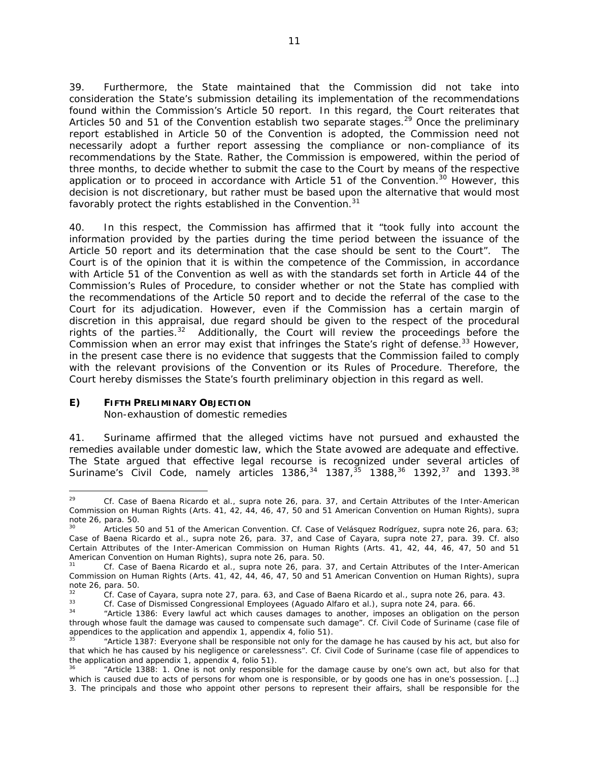39. Furthermore, the State maintained that the Commission did not take into consideration the State's submission detailing its implementation of the recommendations found within the Commission's Article 50 report.In this regard, the Court reiterates that Articles 50 and 51 of the Convention establish two separate stages.<sup>29</sup> Once the preliminary report established in Article 50 of the Convention is adopted, the Commission need not necessarily adopt a further report assessing the compliance or non-compliance of its recommendations by the State. Rather, the Commission is empowered, within the period of three months, to decide whether to submit the case to the Court by means of the respective application or to proceed in accordance with Article 51 of the Convention.<sup>30</sup> However, this decision is not discretionary, but rather must be based upon the alternative that would most favorably protect the rights established in the Convention.<sup>31</sup>

40. In this respect, the Commission has affirmed that it "took fully into account the information provided by the parties during the time period between the issuance of the Article 50 report and its determination that the case should be sent to the Court". The Court is of the opinion that it is within the competence of the Commission, in accordance with Article 51 of the Convention as well as with the standards set forth in Article 44 of the Commission's Rules of Procedure, to consider whether or not the State has complied with the recommendations of the Article 50 report and to decide the referral of the case to the Court for its adjudication. However, even if the Commission has a certain margin of discretion in this appraisal, due regard should be given to the respect of the procedural rights of the parties. $32$  Additionally, the Court will review the proceedings before the Commission when an error may exist that infringes the State's right of defense.<sup>33</sup> However, in the present case there is no evidence that suggests that the Commission failed to comply with the relevant provisions of the Convention or its Rules of Procedure. Therefore, the Court hereby dismisses the State's fourth preliminary objection in this regard as well.

#### **E) FIFTH PRELIMINARY OBJECTION**

 $\overline{a}$ 

*Non-exhaustion of domestic remedies* 

41. Suriname affirmed that the alleged victims have not pursued and exhausted the remedies available under domestic law, which the State avowed are adequate and effective. The State argued that effective legal recourse is recognized under several articles of Suriname's Civil Code, namely articles 1386,<sup>34</sup> 1387,<sup>35</sup> 1388,<sup>36</sup> 1392,<sup>37</sup> and 1393.<sup>38</sup>

<sup>29</sup> *Cf. Case of Baena Ricardo et al., supra* note 26, para. 37, and *Certain Attributes of the Inter-American Commission on Human Rights* (Arts. 41, 42, 44, 46, 47, 50 and 51 American Convention on Human Rights)*, supra*  note 26, para. 50.

<sup>30</sup> Articles 50 and 51 of the American Convention. *Cf. Case of Velásquez Rodríguez, supra* note 26, para. 63; *Case of Baena Ricardo et al., supra* note 26, para. 37, and *Case of Cayara, supra* note 27, para. 39. *Cf.* also *Certain Attributes of the Inter-American Commission on Human Rights* (Arts. 41, 42, 44, 46, 47, 50 and 51

American Convention on Human Rights)*, supra* note 26, para. 50. 31 *Cf. Case of Baena Ricardo et al., supra* note 26, para. 37, and *Certain Attributes of the Inter-American Commission on Human Rights* (Arts. 41, 42, 44, 46, 47, 50 and 51 American Convention on Human Rights)*, supra*  note 26, para. 50.<br>32 Cf. Case of Cayara, supra note 27, para. 63, and Case of Baena Ricardo et al., supra note 26, para. 43.

<sup>&</sup>lt;sup>32</sup> *Cf. Case of Cayara, supra* note 27, para. 63, and *Case of Baena Ricardo et al., supra* note 26, para. 43.<br><sup>33</sup> *Cf. Case of Dismissed Congressional Employees (Aguado Alfaro et al.), supra* note 24, para. 66.<br><sup>34</sup> Ar

through whose fault the damage was caused to compensate such damage". *Cf.* Civil Code of Suriname (case file of appendices to the application and appendix 1, appendix 4, folio 51).

<sup>35 &</sup>quot;Article 1387: Everyone shall be responsible not only for the damage he has caused by his act, but also for that which he has caused by his negligence or carelessness". *Cf.* Civil Code of Suriname (case file of appendices to the application and appendix 1, appendix 4, folio 51).

<sup>36 &</sup>quot;Article 1388: 1. One is not only responsible for the damage cause by one's own act, but also for that which is caused due to acts of persons for whom one is responsible, or by goods one has in one's possession. [...] 3. The principals and those who appoint other persons to represent their affairs, shall be responsible for the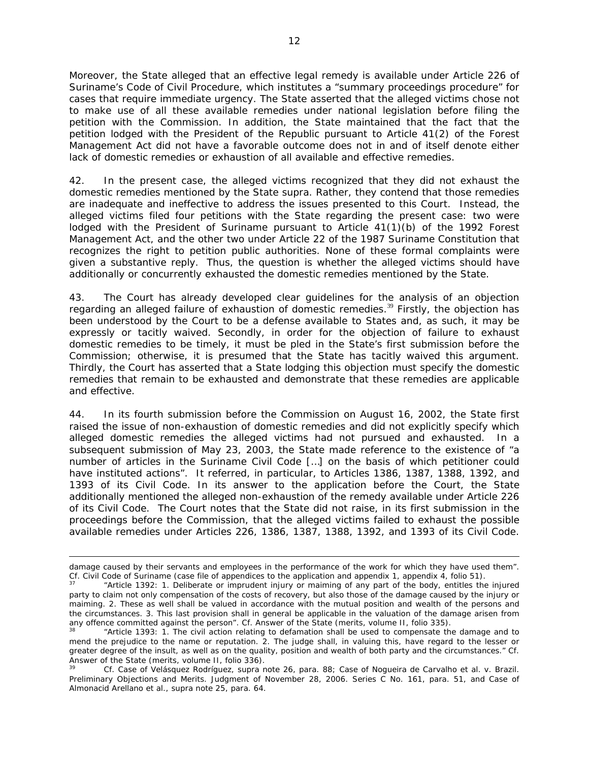Moreover, the State alleged that an effective legal remedy is available under Article 226 of Suriname's Code of Civil Procedure, which institutes a "summary proceedings procedure" for cases that require immediate urgency. The State asserted that the alleged victims chose not to make use of all these available remedies under national legislation before filing the petition with the Commission. In addition, the State maintained that the fact that the petition lodged with the President of the Republic pursuant to Article 41(2) of the Forest Management Act did not have a favorable outcome does not in and of itself denote either lack of domestic remedies or exhaustion of all available and effective remedies.

42. In the present case, the alleged victims recognized that they did not exhaust the domestic remedies mentioned by the State *supra*. Rather, they contend that those remedies are inadequate and ineffective to address the issues presented to this Court. Instead, the alleged victims filed four petitions with the State regarding the present case: two were lodged with the President of Suriname pursuant to Article 41(1)(b) of the 1992 Forest Management Act, and the other two under Article 22 of the 1987 Suriname Constitution that recognizes the right to petition public authorities. None of these formal complaints were given a substantive reply.Thus, the question is whether the alleged victims should have additionally or concurrently exhausted the domestic remedies mentioned by the State.

43. The Court has already developed clear guidelines for the analysis of an objection regarding an alleged failure of exhaustion of domestic remedies.<sup>39</sup> Firstly, the objection has been understood by the Court to be a defense available to States and, as such, it may be expressly or tacitly waived. Secondly, in order for the objection of failure to exhaust domestic remedies to be timely, it must be pled in the State's first submission before the Commission; otherwise, it is presumed that the State has tacitly waived this argument. Thirdly, the Court has asserted that a State lodging this objection must specify the domestic remedies that remain to be exhausted and demonstrate that these remedies are applicable and effective.

44. In its fourth submission before the Commission on August 16, 2002, the State first raised the issue of non-exhaustion of domestic remedies and did not explicitly specify which alleged domestic remedies the alleged victims had not pursued and exhausted. In a subsequent submission of May 23, 2003, the State made reference to the existence of "a number of articles in the Suriname Civil Code […] on the basis of which petitioner could have instituted actions". It referred, in particular, to Articles 1386, 1387, 1388, 1392, and 1393 of its Civil Code. In its answer to the application before the Court, the State additionally mentioned the alleged non-exhaustion of the remedy available under Article 226 of its Civil Code. The Court notes that the State did not raise, in its first submission in the proceedings before the Commission, that the alleged victims failed to exhaust the possible available remedies under Articles 226, 1386, 1387, 1388, 1392, and 1393 of its Civil Code.

damage caused by their servants and employees in the performance of the work for which they have used them". Cf. Civil Code of Suriname (case file of appendices to the application and appendix 1, appendix 4, folio 51).<br><sup>37</sup> "Article 1392: 1. Deliberate or imprudent injury or maiming of any part of the body, entitles the injured

party to claim not only compensation of the costs of recovery, but also those of the damage caused by the injury or maiming. 2. These as well shall be valued in accordance with the mutual position and wealth of the persons and the circumstances. 3. This last provision shall in general be applicable in the valuation of the damage arisen from any offence committed against the person". *Cf.* Answer of the State (merits, volume II, folio 335).<br><sup>38</sup> "Article 1393: 1. The civil action relating to defamation shall be used to compensate the damage and to

mend the prejudice to the name or reputation. 2. The judge shall, in valuing this, have regard to the lesser or greater degree of the insult, as well as on the quality, position and wealth of both party and the circumstances." *Cf.*  Answer of the State (merits, volume II, folio 336).

<sup>39</sup> *Cf. Case of Velásquez Rodríguez, supra* note 26, para. 88; *Case of Nogueira de Carvalho et al. v. Brazil. Preliminary Objections and Merits*. Judgment of November 28, 2006. Series C No. 161, para. 51, and *Case of Almonacid Arellano et al., supra* note 25, para. 64.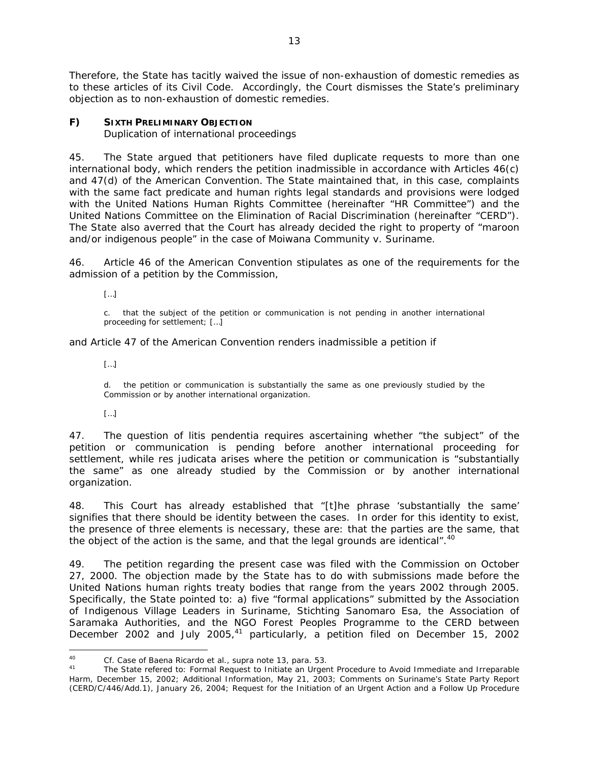Therefore, the State has tacitly waived the issue of non-exhaustion of domestic remedies as to these articles of its Civil Code. Accordingly, the Court dismisses the State's preliminary objection as to non-exhaustion of domestic remedies.

# **F) SIXTH PRELIMINARY OBJECTION**

*Duplication of international proceedings* 

45. The State argued that petitioners have filed duplicate requests to more than one international body, which renders the petition inadmissible in accordance with Articles 46(c) and 47(d) of the American Convention. The State maintained that, in this case, complaints with the same fact predicate and human rights legal standards and provisions were lodged with the United Nations Human Rights Committee (hereinafter "HR Committee") and the United Nations Committee on the Elimination of Racial Discrimination (hereinafter "CERD"). The State also averred that the Court has already decided the right to property of "maroon and/or indigenous people" in the case of *Moiwana Community v. Suriname*.

46. Article 46 of the American Convention stipulates as one of the requirements for the admission of a petition by the Commission,

 $\left[\ldots\right]$ 

c. that the subject of the petition or communication is not pending in another international proceeding for settlement; […]

and Article 47 of the American Convention renders inadmissible a petition if

[…]

d. the petition or communication is substantially the same as one previously studied by the Commission or by another international organization.

[…]

47. The question of *litis pendentia* requires ascertaining whether "the subject" of the petition or communication is pending before another international proceeding for settlement, while *res judicata* arises where the petition or communication is "substantially the same" as one already studied by the Commission or by another international organization.

48. This Court has already established that "[t]he phrase 'substantially the same' signifies that there should be identity between the cases. In order for this identity to exist, the presence of three elements is necessary, these are: that the parties are the same, that the object of the action is the same, and that the legal grounds are identical".<sup>40</sup>

49. The petition regarding the present case was filed with the Commission on October 27, 2000. The objection made by the State has to do with submissions made before the United Nations human rights treaty bodies that range from the years 2002 through 2005. Specifically, the State pointed to: a) five "formal applications" submitted by the Association of Indigenous Village Leaders in Suriname, *Stichting Sanomaro Esa*, the Association of Saramaka Authorities, and the NGO Forest Peoples Programme to the CERD between December 2002 and July 2005,<sup>41</sup> particularly, a petition filed on December 15, 2002

<sup>40</sup> <sup>40</sup> *Cf. Case of Baena Ricardo et al., supra* note 13, para. 53.

<sup>41</sup> The State refered to: *Formal Request to Initiate an Urgent Procedure to Avoid Immediate and Irreparable Harm*, December 15, 2002; *Additional Information,* May 21, 2003; *Comments on Suriname's State Party Report (CERD/C/446/Add.1)*, January 26, 2004; *Request for the Initiation of an Urgent Action and a Follow Up Procedure*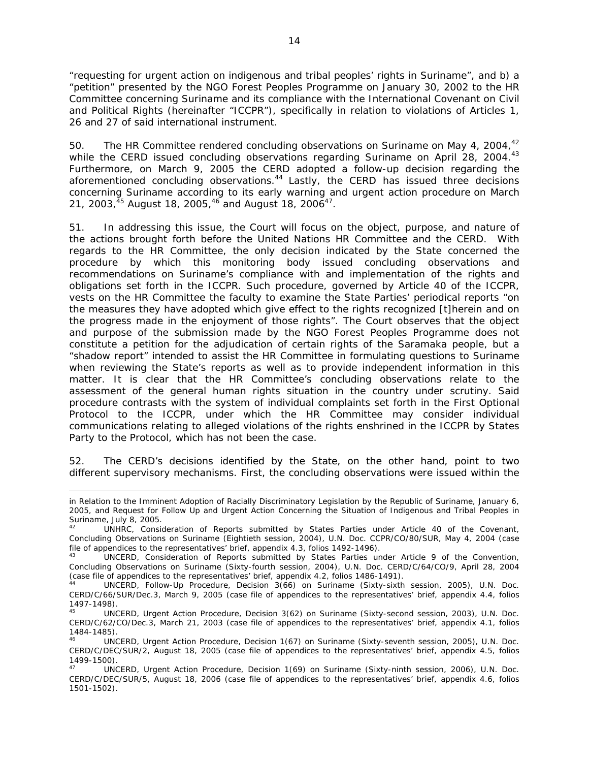"requesting for urgent action on indigenous and tribal peoples' rights in Suriname", and b) a "petition" presented by the NGO Forest Peoples Programme on January 30, 2002 to the HR Committee concerning Suriname and its compliance with the International Covenant on Civil and Political Rights (hereinafter "ICCPR"), specifically in relation to violations of Articles 1, 26 and 27 of said international instrument.

50. The HR Committee rendered concluding observations on Suriname on May 4, 2004,<sup>42</sup> while the CERD issued concluding observations regarding Suriname on April 28, 2004.<sup>43</sup> Furthermore, on March 9, 2005 the CERD adopted a follow-up decision regarding the aforementioned concluding observations.44 Lastly, the CERD has issued three decisions concerning Suriname according to its early warning and urgent action procedure on March 21, 2003,  $^{45}$  August 18, 2005,  $^{46}$  and August 18, 2006<sup>47</sup>.

51. In addressing this issue, the Court will focus on the object, purpose, and nature of the actions brought forth before the United Nations HR Committee and the CERD. With regards to the HR Committee, the only decision indicated by the State concerned the procedure by which this monitoring body issued concluding observations and recommendations on Suriname's compliance with and implementation of the rights and obligations set forth in the ICCPR. Such procedure, governed by Article 40 of the ICCPR, vests on the HR Committee the faculty to examine the State Parties' periodical reports "on the measures they have adopted which give effect to the rights recognized [t]herein and on the progress made in the enjoyment of those rights". The Court observes that the object and purpose of the submission made by the NGO Forest Peoples Programme does not constitute a petition for the adjudication of certain rights of the Saramaka people, but a "shadow report" intended to assist the HR Committee in formulating questions to Suriname when reviewing the State's reports as well as to provide independent information in this matter. It is clear that the HR Committee's concluding observations relate to the assessment of the general human rights situation in the country under scrutiny. Said procedure contrasts with the system of individual complaints set forth in the First Optional Protocol to the ICCPR, under which the HR Committee may consider individual communications relating to alleged violations of the rights enshrined in the ICCPR by States Party to the Protocol, which has not been the case.

52. The CERD's decisions identified by the State, on the other hand, point to two different supervisory mechanisms. First, the concluding observations were issued within the

*in Relation to the Imminent Adoption of Racially Discriminatory Legislation by the Republic of Suriname*, January 6, 2005, and *Request for Follow Up and Urgent Action Concerning the Situation of Indigenous and Tribal Peoples in Suriname,* July 8, 2005*.*

<sup>42</sup> UNHRC, *Consideration of Reports submitted by States Parties under Article 40 of the Covenant, Concluding Observations on Suriname (Eightieth session, 2004)*, U.N. Doc. CCPR/CO/80/SUR, May 4, 2004 (case file of appendices to the representatives' brief, appendix 4.3, folios 1492-1496).

<sup>43</sup> UNCERD, *Consideration of Reports submitted by States Parties under Article 9 of the Convention, Concluding Observations on Suriname (Sixty-fourth session, 2004),* U.N. Doc. CERD/C/64/CO/9, April 28, 2004 (case file of appendices to the representatives' brief, appendix 4.2, folios 1486-1491).

<sup>44</sup> UNCERD, *Follow-Up Procedure, Decision 3(66) on Suriname (Sixty-sixth session, 2005)*, U.N. Doc. CERD/C/66/SUR/Dec.3, March 9, 2005 (case file of appendices to the representatives' brief, appendix 4.4, folios 1497-1498).

<sup>45</sup> UNCERD, *Urgent Action Procedure, Decision 3(62) on Suriname (Sixty-second session, 2003)*, U.N. Doc. CERD/C/62/CO/Dec.3, March 21, 2003 (case file of appendices to the representatives' brief, appendix 4.1, folios 1484-1485).

<sup>46</sup> UNCERD, *Urgent Action Procedure, Decision 1(67) on Suriname (Sixty-seventh session, 2005)*, U.N. Doc. CERD/C/DEC/SUR/2, August 18, 2005 (case file of appendices to the representatives' brief, appendix 4.5, folios 1499-1500).

<sup>47</sup> UNCERD, *Urgent Action Procedure, Decision 1(69) on Suriname (Sixty-ninth session, 2006)*, U.N. Doc. CERD/C/DEC/SUR/5, August 18, 2006 (case file of appendices to the representatives' brief, appendix 4.6, folios 1501-1502).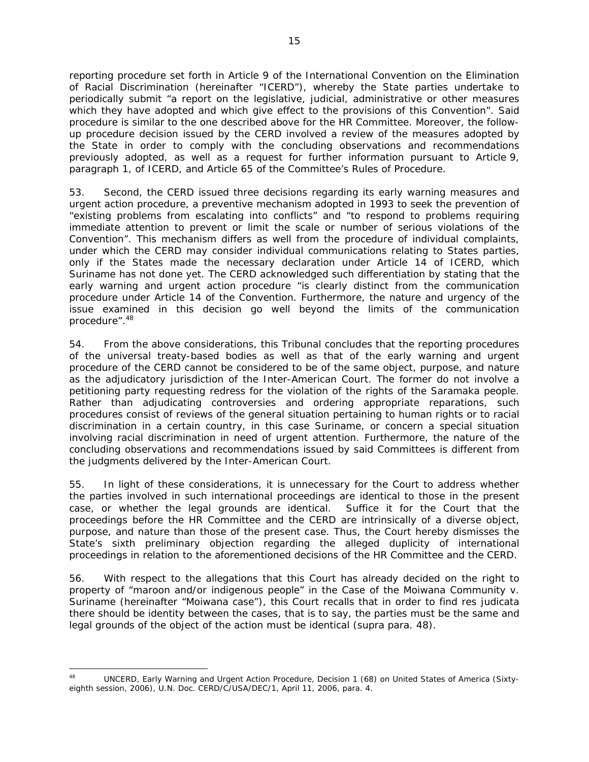reporting procedure set forth in Article 9 of the International Convention on the Elimination of Racial Discrimination (hereinafter "ICERD"), whereby the State parties undertake to periodically submit "a report on the legislative, judicial, administrative or other measures which they have adopted and which give effect to the provisions of this Convention". Said procedure is similar to the one described above for the HR Committee. Moreover, the followup procedure decision issued by the CERD involved a review of the measures adopted by the State in order to comply with the concluding observations and recommendations previously adopted, as well as a request for further information pursuant to Article 9, paragraph 1, of ICERD, and Article 65 of the Committee's Rules of Procedure.

53. Second, the CERD issued three decisions regarding its early warning measures and urgent action procedure, a preventive mechanism adopted in 1993 to seek the prevention of "existing problems from escalating into conflicts" and "to respond to problems requiring immediate attention to prevent or limit the scale or number of serious violations of the Convention". This mechanism differs as well from the procedure of individual complaints, under which the CERD may consider individual communications relating to States parties, only if the States made the necessary declaration under Article 14 of ICERD, which Suriname has not done yet. The CERD acknowledged such differentiation by stating that the early warning and urgent action procedure "is clearly distinct from the communication procedure under Article 14 of the Convention. Furthermore, the nature and urgency of the issue examined in this decision go well beyond the limits of the communication procedure".48

54. From the above considerations, this Tribunal concludes that the reporting procedures of the universal treaty-based bodies as well as that of the early warning and urgent procedure of the CERD cannot be considered to be of the same object, purpose, and nature as the adjudicatory jurisdiction of the Inter-American Court. The former do not involve a petitioning party requesting redress for the violation of the rights of the Saramaka people. Rather than adjudicating controversies and ordering appropriate reparations, such procedures consist of reviews of the general situation pertaining to human rights or to racial discrimination in a certain country, in this case Suriname, or concern a special situation involving racial discrimination in need of urgent attention. Furthermore, the nature of the concluding observations and recommendations issued by said Committees is different from the judgments delivered by the Inter-American Court.

55. In light of these considerations, it is unnecessary for the Court to address whether the parties involved in such international proceedings are identical to those in the present case, or whether the legal grounds are identical. Suffice it for the Court that the proceedings before the HR Committee and the CERD are intrinsically of a diverse object, purpose, and nature than those of the present case. Thus, the Court hereby dismisses the State's sixth preliminary objection regarding the alleged duplicity of international proceedings in relation to the aforementioned decisions of the HR Committee and the CERD.

56. With respect to the allegations that this Court has already decided on the right to property of "maroon and/or indigenous people" in the *Case of the Moiwana Community v. Suriname* (hereinafter "*Moiwana* case"), this Court recalls that in order to find *res judicata*  there should be identity between the cases, that is to say, the parties must be the same and legal grounds of the object of the action must be identical (*supra* para. 48).

 $\overline{a}$ 48 UNCERD, *Early Warning and Urgent Action Procedure, Decision 1 (68) on United States of America (Sixtyeighth session, 2006)*, U.N. Doc. CERD/C/USA/DEC/1, April 11, 2006, para. 4.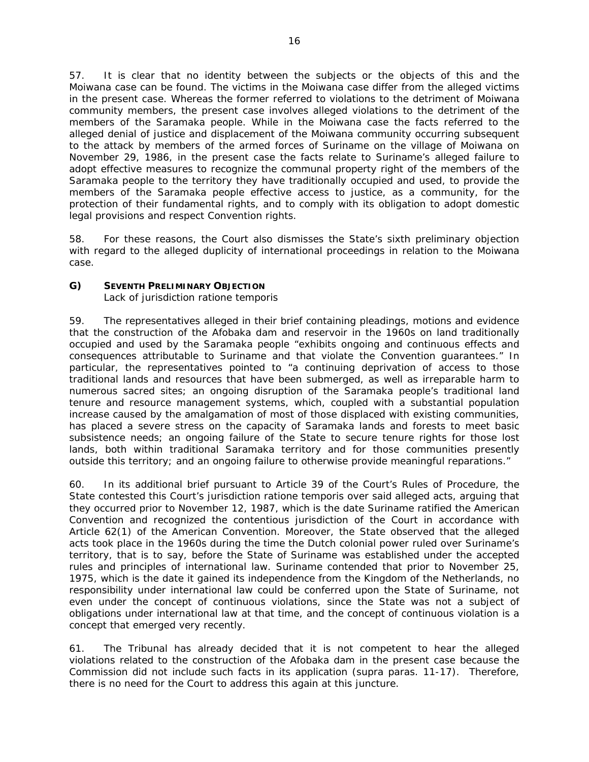57. It is clear that no identity between the subjects or the objects of this and the *Moiwana* case can be found. The victims in the *Moiwana* case differ from the alleged victims in the present case. Whereas the former referred to violations to the detriment of Moiwana community members, the present case involves alleged violations to the detriment of the members of the Saramaka people. While in the *Moiwana* case the facts referred to the alleged denial of justice and displacement of the Moiwana community occurring subsequent to the attack by members of the armed forces of Suriname on the village of Moiwana on November 29, 1986, in the present case the facts relate to Suriname's alleged failure to adopt effective measures to recognize the communal property right of the members of the Saramaka people to the territory they have traditionally occupied and used, to provide the members of the Saramaka people effective access to justice, as a community, for the protection of their fundamental rights, and to comply with its obligation to adopt domestic legal provisions and respect Convention rights.

58. For these reasons, the Court also dismisses the State's sixth preliminary objection with regard to the alleged duplicity of international proceedings in relation to the *Moiwana*  case.

## **G) SEVENTH PRELIMINARY OBJECTION**

#### *Lack of jurisdiction* ratione temporis

59. The representatives alleged in their brief containing pleadings, motions and evidence that the construction of the Afobaka dam and reservoir in the 1960s on land traditionally occupied and used by the Saramaka people "exhibits ongoing and continuous effects and consequences attributable to Suriname and that violate the Convention guarantees." In particular, the representatives pointed to "a continuing deprivation of access to those traditional lands and resources that have been submerged, as well as irreparable harm to numerous sacred sites; an ongoing disruption of the Saramaka people's traditional land tenure and resource management systems, which, coupled with a substantial population increase caused by the amalgamation of most of those displaced with existing communities, has placed a severe stress on the capacity of Saramaka lands and forests to meet basic subsistence needs; an ongoing failure of the State to secure tenure rights for those lost lands, both within traditional Saramaka territory and for those communities presently outside this territory; and an ongoing failure to otherwise provide meaningful reparations."

60. In its additional brief pursuant to Article 39 of the Court's Rules of Procedure, the State contested this Court's jurisdiction *ratione temporis* over said alleged acts, arguing that they occurred prior to November 12, 1987, which is the date Suriname ratified the American Convention and recognized the contentious jurisdiction of the Court in accordance with Article 62(1) of the American Convention. Moreover, the State observed that the alleged acts took place in the 1960s during the time the Dutch colonial power ruled over Suriname's territory, that is to say, before the State of Suriname was established under the accepted rules and principles of international law. Suriname contended that prior to November 25, 1975, which is the date it gained its independence from the Kingdom of the Netherlands, no responsibility under international law could be conferred upon the State of Suriname, not even under the concept of continuous violations, since the State was not a subject of obligations under international law at that time, and the concept of continuous violation is a concept that emerged very recently.

61. The Tribunal has already decided that it is not competent to hear the alleged violations related to the construction of the Afobaka dam in the present case because the Commission did not include such facts in its application (*supra* paras. 11-17). Therefore, there is no need for the Court to address this again at this juncture.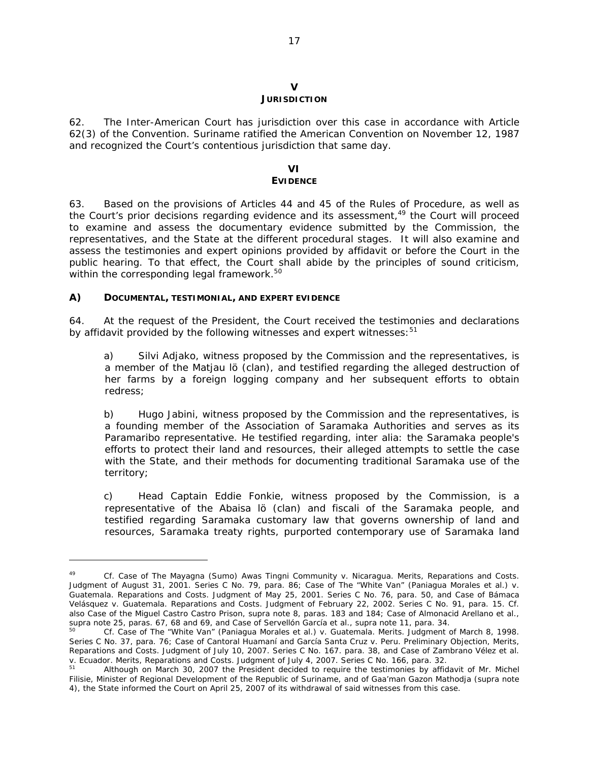#### **V JURISDICTION**

62. The Inter-American Court has jurisdiction over this case in accordance with Article 62(3) of the Convention. Suriname ratified the American Convention on November 12, 1987 and recognized the Court's contentious jurisdiction that same day.

#### **VI EVIDENCE**

63. Based on the provisions of Articles 44 and 45 of the Rules of Procedure, as well as the Court's prior decisions regarding evidence and its assessment,<sup>49</sup> the Court will proceed to examine and assess the documentary evidence submitted by the Commission, the representatives, and the State at the different procedural stages. It will also examine and assess the testimonies and expert opinions provided by affidavit or before the Court in the public hearing. To that effect, the Court shall abide by the principles of sound criticism, within the corresponding legal framework.<sup>50</sup>

## **A) DOCUMENTAL, TESTIMONIAL, AND EXPERT EVIDENCE**

 $\overline{a}$ 

64. At the request of the President, the Court received the testimonies and declarations by *affidavit* provided by the following witnesses and expert witnesses:<sup>51</sup>

a) Silvi Adjako, witness proposed by the Commission and the representatives, is a member of the Matjau *lö* (clan), and testified regarding the alleged destruction of her farms by a foreign logging company and her subsequent efforts to obtain redress;

b) Hugo Jabini, witness proposed by the Commission and the representatives, is a founding member of the Association of Saramaka Authorities and serves as its Paramaribo representative. He testified regarding, *inter alia*: the Saramaka people's efforts to protect their land and resources, their alleged attempts to settle the case with the State, and their methods for documenting traditional Saramaka use of the territory;

c) Head Captain Eddie Fonkie, witness proposed by the Commission, is a representative of the Abaisa *lö* (clan) and *fiscali* of the Saramaka people, and testified regarding Saramaka customary law that governs ownership of land and resources, Saramaka treaty rights, purported contemporary use of Saramaka land

<sup>49</sup> *Cf. Case of The Mayagna (Sumo) Awas Tingni Community v. Nicaragua. Merits, Reparations and Costs.* Judgment of August 31, 2001. Series C No. 79, para. 86; *Case of The "White Van" (Paniagua Morales et al.) v. Guatemala. Reparations and Costs*. Judgment of May 25, 2001. Series C No. 76, para. 50, and *Case of Bámaca Velásquez v. Guatemala. Reparations and Costs*. Judgment of February 22, 2002. Series C No. 91, para. 15. *Cf.* also *Case of the Miguel Castro Castro Prison, supra* note 8, paras. 183 and 184; *Case of Almonacid Arellano et al., supra* note 25, paras. 67, 68 and 69, and *Case of Servellón García et al., supra* note 11, para. 34.

<sup>50</sup> *Cf. Case of The "White Van" (Paniagua Morales et al.) v. Guatemala. Merits.* Judgment of March 8, 1998. Series C No. 37, para. 76; *Case of Cantoral Huamaní and García Santa Cruz v. Peru. Preliminary Objection, Merits, Reparations and Costs.* Judgment of July 10, 2007. Series C No. 167. para. 38, and *Case of Zambrano Vélez et al. v. Ecuador. Merits, Reparations and Costs.* Judgment of July 4, 2007. Series C No. 166, para. 32.

Although on March 30, 2007 the President decided to require the testimonies by affidavit of Mr. Michel Filisie, Minister of Regional Development of the Republic of Suriname, and of *Gaa'man* Gazon Mathodja (*supra* note 4), the State informed the Court on April 25, 2007 of its withdrawal of said witnesses from this case.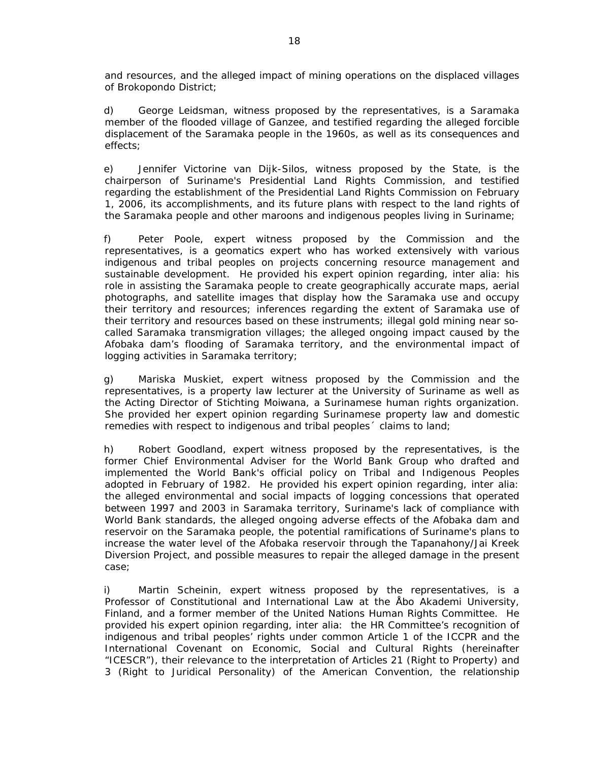and resources, and the alleged impact of mining operations on the displaced villages of Brokopondo District;

d) George Leidsman, witness proposed by the representatives, is a Saramaka member of the flooded village of Ganzee, and testified regarding the alleged forcible displacement of the Saramaka people in the 1960s, as well as its consequences and effects;

e) Jennifer Victorine van Dijk-Silos, witness proposed by the State, is the chairperson of Suriname's Presidential Land Rights Commission, and testified regarding the establishment of the Presidential Land Rights Commission on February 1, 2006, its accomplishments, and its future plans with respect to the land rights of the Saramaka people and other maroons and indigenous peoples living in Suriname;

f) Peter Poole, expert witness proposed by the Commission and the representatives, is a geomatics expert who has worked extensively with various indigenous and tribal peoples on projects concerning resource management and sustainable development. He provided his expert opinion regarding, *inter alia*: his role in assisting the Saramaka people to create geographically accurate maps, aerial photographs, and satellite images that display how the Saramaka use and occupy their territory and resources; inferences regarding the extent of Saramaka use of their territory and resources based on these instruments; illegal gold mining near socalled Saramaka transmigration villages; the alleged ongoing impact caused by the Afobaka dam's flooding of Saramaka territory, and the environmental impact of logging activities in Saramaka territory;

g) Mariska Muskiet, expert witness proposed by the Commission and the representatives, is a property law lecturer at the University of Suriname as well as the Acting Director of *Stichting* Moiwana, a Surinamese human rights organization. She provided her expert opinion regarding Surinamese property law and domestic remedies with respect to indigenous and tribal peoples´ claims to land;

h) Robert Goodland, expert witness proposed by the representatives, is the former Chief Environmental Adviser for the World Bank Group who drafted and implemented the World Bank's official policy on Tribal and Indigenous Peoples adopted in February of 1982. He provided his expert opinion regarding, *inter alia*: the alleged environmental and social impacts of logging concessions that operated between 1997 and 2003 in Saramaka territory, Suriname's lack of compliance with World Bank standards, the alleged ongoing adverse effects of the Afobaka dam and reservoir on the Saramaka people, the potential ramifications of Suriname's plans to increase the water level of the Afobaka reservoir through the Tapanahony/Jai Kreek Diversion Project, and possible measures to repair the alleged damage in the present case;

i) Martin Scheinin, expert witness proposed by the representatives, is a Professor of Constitutional and International Law at the Åbo Akademi University, Finland, and a former member of the United Nations Human Rights Committee. He provided his expert opinion regarding, *inter alia*: the HR Committee's recognition of indigenous and tribal peoples' rights under common Article 1 of the ICCPR and the International Covenant on Economic, Social and Cultural Rights (hereinafter "ICESCR"), their relevance to the interpretation of Articles 21 (Right to Property) and 3 (Right to Juridical Personality) of the American Convention, the relationship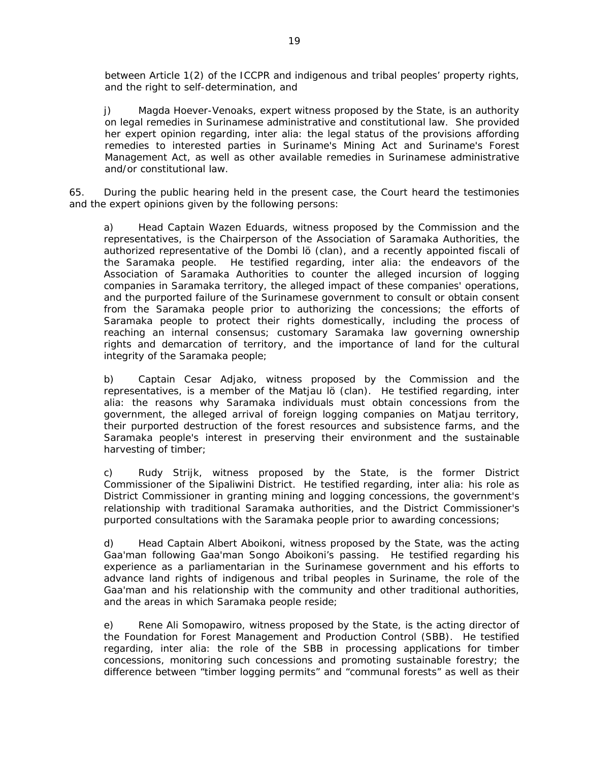between Article 1(2) of the ICCPR and indigenous and tribal peoples' property rights, and the right to self-determination, and

j) Magda Hoever-Venoaks, expert witness proposed by the State, is an authority on legal remedies in Surinamese administrative and constitutional law. She provided her expert opinion regarding, *inter alia*: the legal status of the provisions affording remedies to interested parties in Suriname's Mining Act and Suriname's Forest Management Act, as well as other available remedies in Surinamese administrative and/or constitutional law.

65. During the public hearing held in the present case, the Court heard the testimonies and the expert opinions given by the following persons:

a) Head Captain Wazen Eduards, witness proposed by the Commission and the representatives, is the Chairperson of the Association of Saramaka Authorities, the authorized representative of the Dombi *lö* (clan), and a recently appointed *fiscali* of the Saramaka people. He testified regarding, *inter alia*: the endeavors of the Association of Saramaka Authorities to counter the alleged incursion of logging companies in Saramaka territory, the alleged impact of these companies' operations, and the purported failure of the Surinamese government to consult or obtain consent from the Saramaka people prior to authorizing the concessions; the efforts of Saramaka people to protect their rights domestically, including the process of reaching an internal consensus; customary Saramaka law governing ownership rights and demarcation of territory, and the importance of land for the cultural integrity of the Saramaka people;

b) Captain Cesar Adjako, witness proposed by the Commission and the representatives, is a member of the Matjau *lö* (clan). He testified regarding, *inter alia*: the reasons why Saramaka individuals must obtain concessions from the government, the alleged arrival of foreign logging companies on Matjau territory, their purported destruction of the forest resources and subsistence farms, and the Saramaka people's interest in preserving their environment and the sustainable harvesting of timber;

c) Rudy Strijk, witness proposed by the State, is the former District Commissioner of the Sipaliwini District. He testified regarding, *inter alia*: his role as District Commissioner in granting mining and logging concessions, the government's relationship with traditional Saramaka authorities, and the District Commissioner's purported consultations with the Saramaka people prior to awarding concessions;

d) Head Captain Albert Aboikoni, witness proposed by the State, was the acting *Gaa'man* following *Gaa'man* Songo Aboikoni's passing. He testified regarding his experience as a parliamentarian in the Surinamese government and his efforts to advance land rights of indigenous and tribal peoples in Suriname, the role of the *Gaa'man* and his relationship with the community and other traditional authorities, and the areas in which Saramaka people reside;

e) Rene Ali Somopawiro, witness proposed by the State, is the acting director of the Foundation for Forest Management and Production Control (SBB). He testified regarding, *inter alia*: the role of the SBB in processing applications for timber concessions, monitoring such concessions and promoting sustainable forestry; the difference between "timber logging permits" and "communal forests" as well as their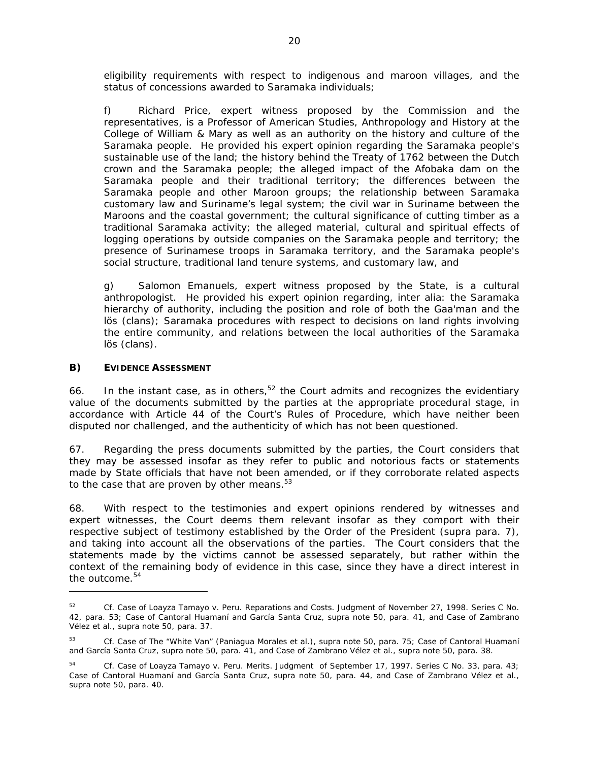eligibility requirements with respect to indigenous and maroon villages, and the status of concessions awarded to Saramaka individuals;

f) Richard Price, expert witness proposed by the Commission and the representatives, is a Professor of American Studies, Anthropology and History at the College of William & Mary as well as an authority on the history and culture of the Saramaka people. He provided his expert opinion regarding the Saramaka people's sustainable use of the land; the history behind the Treaty of 1762 between the Dutch crown and the Saramaka people; the alleged impact of the Afobaka dam on the Saramaka people and their traditional territory; the differences between the Saramaka people and other Maroon groups; the relationship between Saramaka customary law and Suriname's legal system; the civil war in Suriname between the Maroons and the coastal government; the cultural significance of cutting timber as a traditional Saramaka activity; the alleged material, cultural and spiritual effects of logging operations by outside companies on the Saramaka people and territory; the presence of Surinamese troops in Saramaka territory, and the Saramaka people's social structure, traditional land tenure systems, and customary law, and

g) Salomon Emanuels, expert witness proposed by the State, is a cultural anthropologist. He provided his expert opinion regarding, *inter alia*: the Saramaka hierarchy of authority, including the position and role of both the *Gaa'man* and the *lös* (clans); Saramaka procedures with respect to decisions on land rights involving the entire community, and relations between the local authorities of the Saramaka *lös* (clans).

## **B) EVIDENCE ASSESSMENT**

 $\overline{a}$ 

66. In the instant case, as in others, $52$  the Court admits and recognizes the evidentiary value of the documents submitted by the parties at the appropriate procedural stage, in accordance with Article 44 of the Court's Rules of Procedure, which have neither been disputed nor challenged, and the authenticity of which has not been questioned.

67. Regarding the press documents submitted by the parties, the Court considers that they may be assessed insofar as they refer to public and notorious facts or statements made by State officials that have not been amended, or if they corroborate related aspects to the case that are proven by other means. $53$ 

68. With respect to the testimonies and expert opinions rendered by witnesses and expert witnesses, the Court deems them relevant insofar as they comport with their respective subject of testimony established by the Order of the President (*supra* para. 7), and taking into account all the observations of the parties. The Court considers that the statements made by the victims cannot be assessed separately, but rather within the context of the remaining body of evidence in this case, since they have a direct interest in the outcome.<sup>54</sup>

<sup>52</sup> *Cf. Case of Loayza Tamayo v. Peru. Reparations and Costs*. Judgment of November 27, 1998. Series C No. 42, para. 53; *Case of Cantoral Huamaní and García Santa Cruz, supra* note 50, para. 41, and *Case of Zambrano Vélez et al., supra* note 50, para. 37.

<sup>53</sup> *Cf. Case of The "White Van" (Paniagua Morales et al.), supra* note 50, para. 75; *Case of Cantoral Huamaní and García Santa Cruz, supra* note 50, para. 41, and *Case of Zambrano Vélez et al., supra* note 50, para. 38.

<sup>54</sup> *Cf. Case of Loayza Tamayo v. Peru. Merits.* Judgment of September 17, 1997. Series C No. 33, para. 43; *Case of Cantoral Huamaní and García Santa Cruz, supra* note 50, para. 44, and *Case of Zambrano Vélez et al., supra* note 50, para. 40.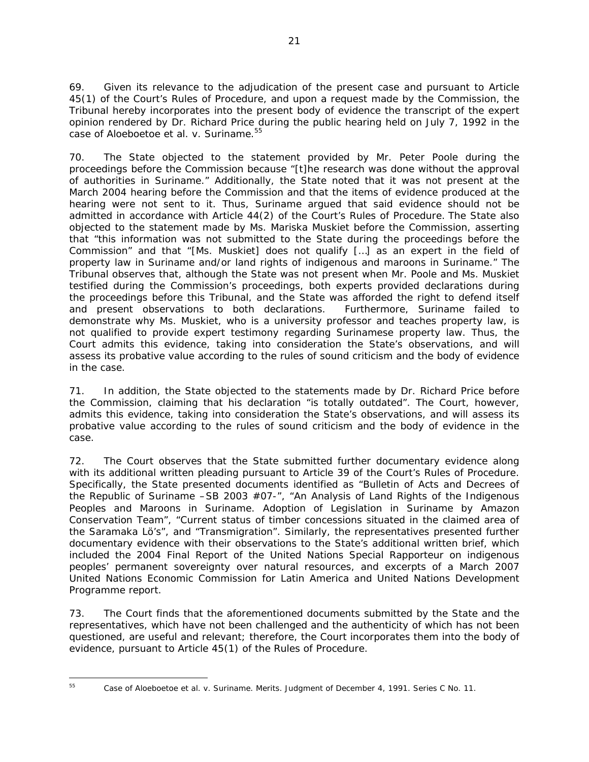69. Given its relevance to the adjudication of the present case and pursuant to Article 45(1) of the Court's Rules of Procedure, and upon a request made by the Commission, the Tribunal hereby incorporates into the present body of evidence the transcript of the expert opinion rendered by Dr. Richard Price during the public hearing held on July 7, 1992 in the case of *Aloeboetoe* et al*. v. Suriname*. 55

70. The State objected to the statement provided by Mr. Peter Poole during the proceedings before the Commission because "[t]he research was done without the approval of authorities in Suriname." Additionally, the State noted that it was not present at the March 2004 hearing before the Commission and that the items of evidence produced at the hearing were not sent to it. Thus, Suriname argued that said evidence should not be admitted in accordance with Article 44(2) of the Court's Rules of Procedure. The State also objected to the statement made by Ms. Mariska Muskiet before the Commission, asserting that "this information was not submitted to the State during the proceedings before the Commission" and that "[Ms. Muskiet] does not qualify […] as an expert in the field of property law in Suriname and/or land rights of indigenous and maroons in Suriname." The Tribunal observes that, although the State was not present when Mr. Poole and Ms. Muskiet testified during the Commission's proceedings, both experts provided declarations during the proceedings before this Tribunal, and the State was afforded the right to defend itself and present observations to both declarations. Furthermore, Suriname failed to demonstrate why Ms. Muskiet, who is a university professor and teaches property law, is not qualified to provide expert testimony regarding Surinamese property law. Thus, the Court admits this evidence, taking into consideration the State's observations, and will assess its probative value according to the rules of sound criticism and the body of evidence in the case.

71. In addition, the State objected to the statements made by Dr. Richard Price before the Commission, claiming that his declaration "is totally outdated". The Court, however, admits this evidence, taking into consideration the State's observations, and will assess its probative value according to the rules of sound criticism and the body of evidence in the case.

72. The Court observes that the State submitted further documentary evidence along with its additional written pleading pursuant to Article 39 of the Court's Rules of Procedure. Specifically, the State presented documents identified as "Bulletin of Acts and Decrees of the Republic of Suriname -SB 2003 #07-", "An Analysis of Land Rights of the Indigenous Peoples and Maroons in Suriname. Adoption of Legislation in Suriname by Amazon Conservation Team", "Current status of timber concessions situated in the claimed area of the Saramaka Lö's", and "Transmigration". Similarly, the representatives presented further documentary evidence with their observations to the State's additional written brief, which included the 2004 Final Report of the United Nations Special Rapporteur on indigenous peoples' permanent sovereignty over natural resources, and excerpts of a March 2007 United Nations Economic Commission for Latin America and United Nations Development Programme report.

73. The Court finds that the aforementioned documents submitted by the State and the representatives, which have not been challenged and the authenticity of which has not been questioned, are useful and relevant; therefore, the Court incorporates them into the body of evidence, pursuant to Article 45(1) of the Rules of Procedure.

 $\overline{a}$ 

<sup>55</sup> *Case of Aloeboetoe et al. v. Suriname*. Merits. Judgment of December 4, 1991. Series C No. 11.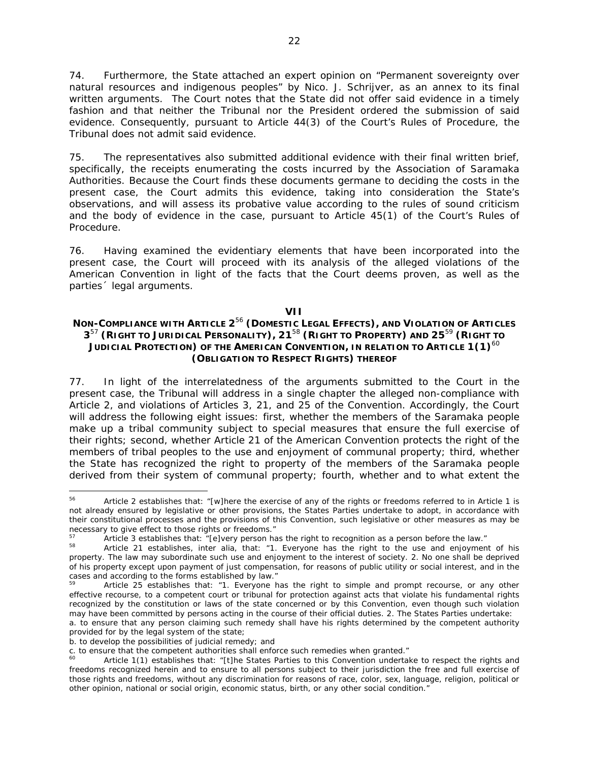74. Furthermore, the State attached an expert opinion on "Permanent sovereignty over natural resources and indigenous peoples" by Nico. J. Schrijver, as an annex to its final written arguments. The Court notes that the State did not offer said evidence in a timely fashion and that neither the Tribunal nor the President ordered the submission of said evidence. Consequently, pursuant to Article 44(3) of the Court's Rules of Procedure, the Tribunal does not admit said evidence.

75. The representatives also submitted additional evidence with their final written brief, specifically, the receipts enumerating the costs incurred by the Association of Saramaka Authorities. Because the Court finds these documents germane to deciding the costs in the present case, the Court admits this evidence, taking into consideration the State's observations, and will assess its probative value according to the rules of sound criticism and the body of evidence in the case, pursuant to Article 45(1) of the Court's Rules of Procedure.

76. Having examined the evidentiary elements that have been incorporated into the present case, the Court will proceed with its analysis of the alleged violations of the American Convention in light of the facts that the Court deems proven, as well as the parties´ legal arguments.

#### **VII**

## **NON-COMPLIANCE WITH ARTICLE 2**<sup>56</sup> **(DOMESTIC LEGAL EFFECTS), AND VIOLATION OF ARTICLES 3**<sup>57</sup> **(RIGHT TO JURIDICAL PERSONALITY), 21**<sup>58</sup> **(RIGHT TO PROPERTY) AND 25**<sup>59</sup> **(RIGHT TO JUDICIAL PROTECTION) OF THE AMERICAN CONVENTION, IN RELATION TO ARTICLE 1(1)<sup>60</sup> (OBLIGATION TO RESPECT RIGHTS) THEREOF**

77. In light of the interrelatedness of the arguments submitted to the Court in the present case, the Tribunal will address in a single chapter the alleged non-compliance with Article 2, and violations of Articles 3, 21, and 25 of the Convention. Accordingly, the Court will address the following eight issues: first, whether the members of the Saramaka people make up a tribal community subject to special measures that ensure the full exercise of their rights; second, whether Article 21 of the American Convention protects the right of the members of tribal peoples to the use and enjoyment of communal property; third, whether the State has recognized the right to property of the members of the Saramaka people derived from their system of communal property; fourth, whether and to what extent the

Article 2 establishes that: "[w]here the exercise of any of the rights or freedoms referred to in Article 1 is not already ensured by legislative or other provisions, the States Parties undertake to adopt, in accordance with their constitutional processes and the provisions of this Convention, such legislative or other measures as may be necessary to give effect to those rights or freedoms."

Article 3 establishes that: "[e]very person has the right to recognition as a person before the law."<br><sup>58</sup> Article 21 establishes, *inter alia*, that: "1. Everyone has the right to the use and enjoyment of his

property. The law may subordinate such use and enjoyment to the interest of society. 2. No one shall be deprived of his property except upon payment of just compensation, for reasons of public utility or social interest, and in the cases and according to the forms established by law."

Article 25 establishes that: "1. Everyone has the right to simple and prompt recourse, or any other effective recourse, to a competent court or tribunal for protection against acts that violate his fundamental rights recognized by the constitution or laws of the state concerned or by this Convention, even though such violation may have been committed by persons acting in the course of their official duties. 2. The States Parties undertake:

a. to ensure that any person claiming such remedy shall have his rights determined by the competent authority provided for by the legal system of the state;

b. to develop the possibilities of judicial remedy; and

c. to ensure that the competent authorities shall enforce such remedies when granted."<br><sup>60</sup> Article 1(1) establishes that: "[t]he States Parties to this Convention undertake to respect the rights and freedoms recognized herein and to ensure to all persons subject to their jurisdiction the free and full exercise of those rights and freedoms, without any discrimination for reasons of race, color, sex, language, religion, political or other opinion, national or social origin, economic status, birth, or any other social condition."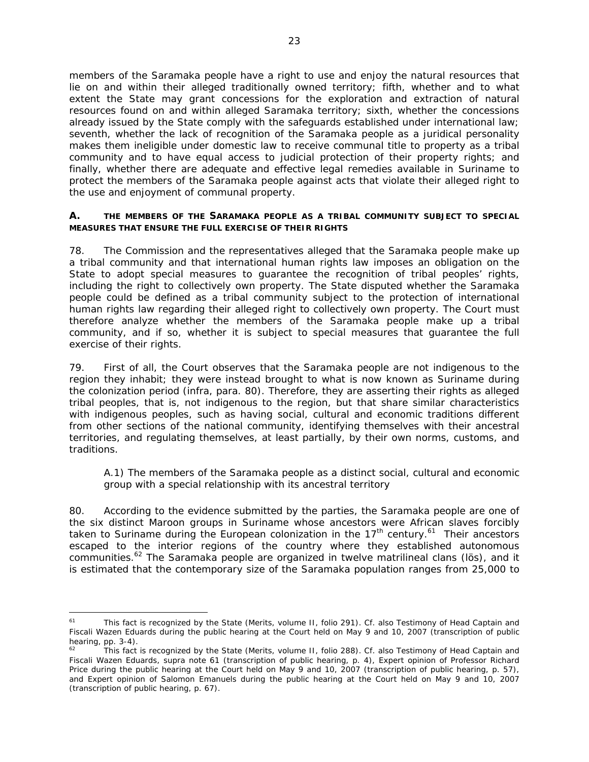members of the Saramaka people have a right to use and enjoy the natural resources that lie on and within their alleged traditionally owned territory; fifth, whether and to what extent the State may grant concessions for the exploration and extraction of natural resources found on and within alleged Saramaka territory; sixth, whether the concessions already issued by the State comply with the safeguards established under international law; seventh, whether the lack of recognition of the Saramaka people as a juridical personality makes them ineligible under domestic law to receive communal title to property as a tribal community and to have equal access to judicial protection of their property rights; and finally, whether there are adequate and effective legal remedies available in Suriname to protect the members of the Saramaka people against acts that violate their alleged right to the use and enjoyment of communal property.

#### **A. THE MEMBERS OF THE SARAMAKA PEOPLE AS A TRIBAL COMMUNITY SUBJECT TO SPECIAL MEASURES THAT ENSURE THE FULL EXERCISE OF THEIR RIGHTS**

78. The Commission and the representatives alleged that the Saramaka people make up a tribal community and that international human rights law imposes an obligation on the State to adopt special measures to guarantee the recognition of tribal peoples' rights, including the right to collectively own property. The State disputed whether the Saramaka people could be defined as a tribal community subject to the protection of international human rights law regarding their alleged right to collectively own property. The Court must therefore analyze whether the members of the Saramaka people make up a tribal community, and if so, whether it is subject to special measures that guarantee the full exercise of their rights.

79. First of all, the Court observes that the Saramaka people are not indigenous to the region they inhabit; they were instead brought to what is now known as Suriname during the colonization period (*infra*, para. 80). Therefore, they are asserting their rights as alleged tribal peoples, that is, not indigenous to the region, but that share similar characteristics with indigenous peoples, such as having social, cultural and economic traditions different from other sections of the national community, identifying themselves with their ancestral territories, and regulating themselves, at least partially, by their own norms, customs, and traditions.

## *A.1) The members of the Saramaka people as a distinct social, cultural and economic group with a special relationship with its ancestral territory*

80. According to the evidence submitted by the parties, the Saramaka people are one of the six distinct Maroon groups in Suriname whose ancestors were African slaves forcibly taken to Suriname during the European colonization in the  $17<sup>th</sup>$  century.<sup>61</sup> Their ancestors escaped to the interior regions of the country where they established autonomous communities.62 The Saramaka people are organized in twelve matrilineal clans (*lös*), and it is estimated that the contemporary size of the Saramaka population ranges from 25,000 to

<sup>61</sup> This fact is recognized by the State (Merits, volume II, folio 291). *Cf.* also Testimony of Head Captain and Fiscali Wazen Eduards during the public hearing at the Court held on May 9 and 10, 2007 (transcription of public hearing, pp. 3-4).

<sup>.&</sup>lt;br>This fact is recognized by the State (Merits, volume II, folio 288). *Cf.* also Testimony of Head Captain and Fiscali Wazen Eduards, *supra* note 61 (transcription of public hearing, p. 4), Expert opinion of Professor Richard Price during the public hearing at the Court held on May 9 and 10, 2007 (transcription of public hearing, p. 57), and Expert opinion of Salomon Emanuels during the public hearing at the Court held on May 9 and 10, 2007 (transcription of public hearing, p. 67).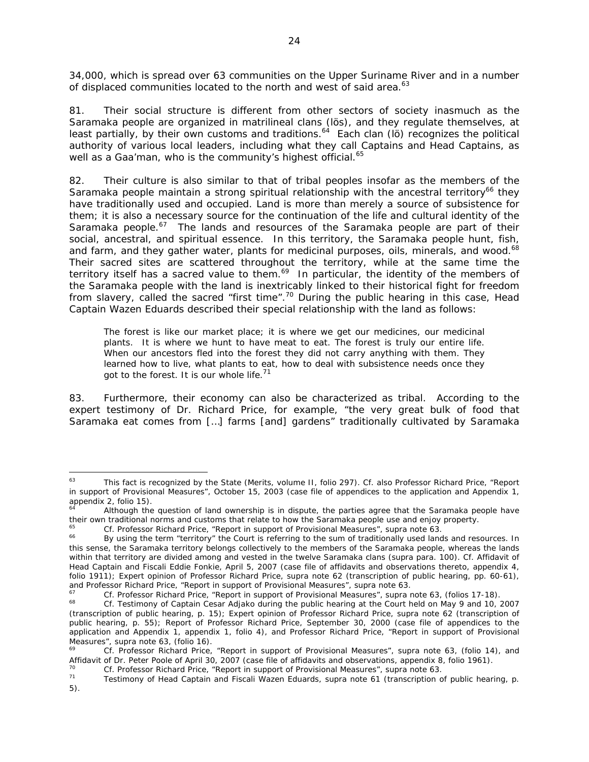34,000, which is spread over 63 communities on the Upper Suriname River and in a number of displaced communities located to the north and west of said area.<sup>63</sup>

81. Their social structure is different from other sectors of society inasmuch as the Saramaka people are organized in matrilineal clans (*lös*), and they regulate themselves, at least partially, by their own customs and traditions.<sup>64</sup> Each clan (*io*) recognizes the political authority of various local leaders, including what they call Captains and Head Captains, as well as a *Gaa'man*, who is the community's highest official.<sup>65</sup>

82. Their culture is also similar to that of tribal peoples insofar as the members of the Saramaka people maintain a strong spiritual relationship with the ancestral territory<sup>66</sup> they have traditionally used and occupied. Land is more than merely a source of subsistence for them; it is also a necessary source for the continuation of the life and cultural identity of the Saramaka people.<sup>67</sup> The lands and resources of the Saramaka people are part of their social, ancestral, and spiritual essence. In this territory, the Saramaka people hunt, fish, and farm, and they gather water, plants for medicinal purposes, oils, minerals, and wood.<sup>68</sup> Their sacred sites are scattered throughout the territory, while at the same time the territory itself has a sacred value to them.<sup>69</sup> In particular, the identity of the members of the Saramaka people with the land is inextricably linked to their historical fight for freedom from slavery, called the sacred "first time".<sup>70</sup> During the public hearing in this case, Head Captain Wazen Eduards described their special relationship with the land as follows:

The forest is like our market place; it is where we get our medicines, our medicinal plants. It is where we hunt to have meat to eat. The forest is truly our entire life. When our ancestors fled into the forest they did not carry anything with them. They learned how to live, what plants to eat, how to deal with subsistence needs once they got to the forest. It is our whole life. $71$ 

83. Furthermore, their economy can also be characterized as tribal. According to the expert testimony of Dr. Richard Price, for example, "the very great bulk of food that Saramaka eat comes from […] farms [and] gardens" traditionally cultivated by Saramaka

<sup>63</sup> This fact is recognized by the State (Merits, volume II, folio 297). *Cf.* also Professor Richard Price, "Report in support of Provisional Measures", October 15, 2003 (case file of appendices to the application and Appendix 1, appendix 2, folio 15).

Although the question of land ownership is in dispute, the parties agree that the Saramaka people have their own traditional norms and customs that relate to how the Saramaka people use and enjoy property.<br>
<sup>65</sup> Cf. Professor Richard Price, "Report in support of Provisional Measures", *supra* note 63.

<sup>65</sup>*Cf.* Professor Richard Price, "Report in support of Provisional Measures", *supra* note 63. 66 By using the term "territory" the Court is referring to the sum of traditionally used lands and resources. In this sense, the Saramaka territory belongs collectively to the members of the Saramaka people, whereas the lands within that territory are divided among and vested in the twelve Saramaka clans (*supra* para. 100). *Cf.* Affidavit of Head Captain and Fiscali Eddie Fonkie, April 5, 2007 (case file of affidavits and observations thereto, appendix 4, folio 1911); Expert opinion of Professor Richard Price, *supra* note 62 (transcription of public hearing, pp. 60-61), and Professor Richard Price, "Report in support of Provisional Measures", *supra* note 63.<br>
<sup>67</sup> Cf. Professor Richard Price, "Report in support of Provisional Measures", *supra* note 63, (folios 17-18).<br>
<sup>68</sup> Cf. Testimon

<sup>(</sup>transcription of public hearing, p. 15); Expert opinion of Professor Richard Price, *supra* note 62 (transcription of public hearing, p. 55); Report of Professor Richard Price, September 30, 2000 (case file of appendices to the application and Appendix 1, appendix 1, folio 4), and Professor Richard Price, "Report in support of Provisional Measures", *supra* note 63, (folio 16).<br><sup>69</sup> *Cf.* Professor Richard Price, "Report in support of Provisional Measures", *supra* note 63, (folio 14), and

Affidavit of Dr. Peter Poole of April 30, 2007 (case file of affidavits and observations, appendix 8, folio 1961).

<sup>&</sup>lt;sup>70</sup> Cf. Professor Richard Price, "Report in support of Provisional Measures", *supra* note 63.<br><sup>71</sup> Testimony of Head Captain and Fiscali Wazen Eduards, *supra* note 61 (transcription of public hearing, p. 5).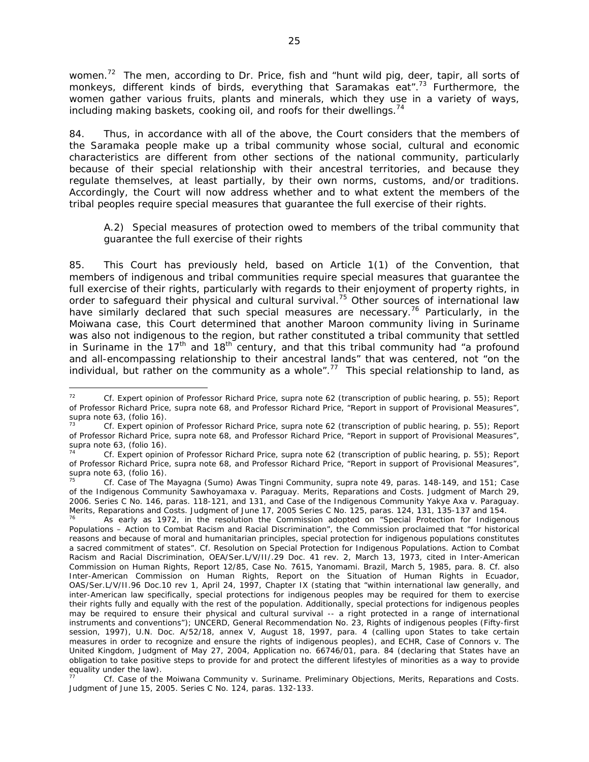women.<sup>72</sup> The men, according to Dr. Price, fish and "hunt wild pig, deer, tapir, all sorts of monkeys, different kinds of birds, everything that Saramakas eat".<sup>73</sup> Furthermore, the women gather various fruits, plants and minerals, which they use in a variety of ways, including making baskets, cooking oil, and roofs for their dwellings.<sup>74</sup>

84. Thus, in accordance with all of the above, the Court considers that the members of the Saramaka people make up a tribal community whose social, cultural and economic characteristics are different from other sections of the national community, particularly because of their special relationship with their ancestral territories, and because they regulate themselves, at least partially, by their own norms, customs, and/or traditions. Accordingly, the Court will now address whether and to what extent the members of the tribal peoples require special measures that guarantee the full exercise of their rights.

#### *A.2) Special measures of protection owed to members of the tribal community that guarantee the full exercise of their rights*

85. This Court has previously held, based on Article 1(1) of the Convention, that members of indigenous and tribal communities require special measures that guarantee the full exercise of their rights, particularly with regards to their enjoyment of property rights, in order to safeguard their physical and cultural survival.<sup>75</sup> Other sources of international law have similarly declared that such special measures are necessary.<sup>76</sup> Particularly, in the *Moiwana* case, this Court determined that another Maroon community living in Suriname was also not indigenous to the region, but rather constituted a tribal community that settled in Suriname in the 17<sup>th</sup> and 18<sup>th</sup> century, and that this tribal community had "a profound and all-encompassing relationship to their ancestral lands" that was centered, not "on the individual, but rather on the community as a whole".<sup>77</sup> This special relationship to land, as

 $72$ 72 *Cf.* Expert opinion of Professor Richard Price, *supra* note 62 (transcription of public hearing, p. 55); Report of Professor Richard Price, *supra* note 68, and Professor Richard Price, "Report in support of Provisional Measures", *supra* note 63, (folio 16).

*supra* note 63, (folio 16). 73 *Cf.* Expert opinion of Professor Richard Price, *supra* note 62 (transcription of public hearing, p. 55); Report of Professor Richard Price, *supra* note 68, and Professor Richard Price, "Report in support of Provisional Measures",<br>
supra note 63, (folio 16).

*supra* note 63, (folio 16). 74 *Cf.* Expert opinion of Professor Richard Price, *supra* note 62 (transcription of public hearing, p. 55); Report of Professor Richard Price, *supra* note 68, and Professor Richard Price, "Report in support of Provisional Measures", *supra* note 63, (folio 16).<br>
<sup>75</sup>

*supra* note 63, (folio 16). 75 *Cf. Case of The Mayagna (Sumo) Awas Tingni Community, supra* note 49, paras. 148-149, and 151; *Case of the Indigenous Community Sawhoyamaxa v. Paraguay. Merits, Reparations and Costs*. Judgment of March 29, 2006. Series C No. 146, paras. 118-121, and 131, and *Case of the Indigenous Community Yakye Axa v. Paraguay. Merits, Reparations and Costs*. Judgment of June 17, 2005 Series C No. 125, paras. 124, 131, 135-137 and 154.<br><sup>76</sup> As early as 1972, in the resolution the Commission adopted on "Special Protection for Indigenous

Populations – Action to Combat Racism and Racial Discrimination", the Commission proclaimed that "for historical reasons and because of moral and humanitarian principles, special protection for indigenous populations constitutes a sacred commitment of states". *Cf*. Resolution on Special Protection for Indigenous Populations. Action to Combat Racism and Racial Discrimination, OEA/Ser.L/V/II/.29 Doc. 41 rev. 2, March 13, 1973, cited in Inter-American Commission on Human Rights, *Report 12/85*, *Case No. 7615, Yanomami. Brazil,* March 5, 1985, para. 8. *Cf.* also Inter-American Commission on Human Rights, Report on the Situation of Human Rights in Ecuador, OAS/Ser.L/V/II.96 Doc.10 rev 1, April 24, 1997, Chapter IX (stating that "within international law generally, and inter-American law specifically, special protections for indigenous peoples may be required for them to exercise their rights fully and equally with the rest of the population. Additionally, special protections for indigenous peoples may be required to ensure their physical and cultural survival -- a right protected in a range of international instruments and conventions"); UNCERD, *General Recommendation No. 23, Rights of indigenous peoples (Fifty-first session, 1997),* U.N. Doc. A/52/18, annex V, August 18, 1997, para. 4 (calling upon States to take certain measures in order to recognize and ensure the rights of indigenous peoples), and ECHR, *Case of Connors v. The United Kingdom*, Judgment of May 27, 2004, Application no. 66746/01, para. 84 (declaring that States have an obligation to take positive steps to provide for and protect the different lifestyles of minorities as a way to provide equality under the law).

<sup>77</sup> *Cf. Case of the Moiwana Community v. Suriname. Preliminary Objections, Merits, Reparations and Costs*. Judgment of June 15, 2005. Series C No. 124, paras. 132-133.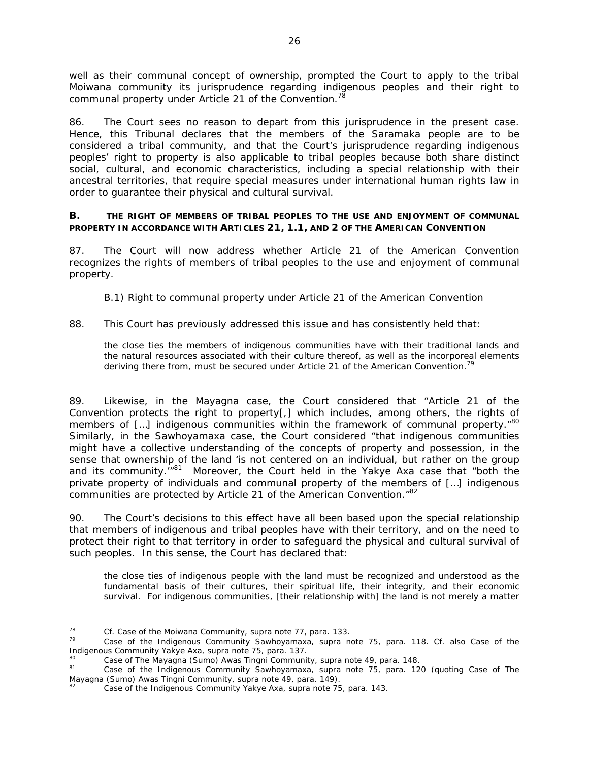well as their communal concept of ownership, prompted the Court to apply to the tribal Moiwana community its jurisprudence regarding indigenous peoples and their right to communal property under Article 21 of the Convention.<sup>78</sup>

86. The Court sees no reason to depart from this jurisprudence in the present case. Hence, this Tribunal declares that the members of the Saramaka people are to be considered a tribal community, and that the Court's jurisprudence regarding indigenous peoples' right to property is also applicable to tribal peoples because both share distinct social, cultural, and economic characteristics, including a special relationship with their ancestral territories, that require special measures under international human rights law in order to guarantee their physical and cultural survival.

## **B. THE RIGHT OF MEMBERS OF TRIBAL PEOPLES TO THE USE AND ENJOYMENT OF COMMUNAL PROPERTY IN ACCORDANCE WITH ARTICLES 21, 1.1, AND 2 OF THE AMERICAN CONVENTION**

87. The Court will now address whether Article 21 of the American Convention recognizes the rights of members of tribal peoples to the use and enjoyment of communal property.

# *B.1) Right to communal property under Article 21 of the American Convention*

# 88. This Court has previously addressed this issue and has consistently held that:

the close ties the members of indigenous communities have with their traditional lands and the natural resources associated with their culture thereof, as well as the incorporeal elements deriving there from, must be secured under Article 21 of the American Convention.<sup>79</sup>

89. Likewise, in the *Mayagna* case, the Court considered that "Article 21 of the Convention protects the right to property[,] which includes, among others, the rights of members of [...] indigenous communities within the framework of communal property."<sup>80</sup> Similarly, in the *Sawhoyamaxa* case, the Court considered "that indigenous communities might have a collective understanding of the concepts of property and possession, in the sense that ownership of the land 'is not centered on an individual, but rather on the group and its community.'"81 Moreover, the Court held in the *Yakye Axa* case that "both the private property of individuals and communal property of the members of […] indigenous communities are protected by Article 21 of the American Convention.<sup>"82</sup>

90. The Court's decisions to this effect have all been based upon the special relationship that members of indigenous and tribal peoples have with their territory, and on the need to protect their right to that territory in order to safeguard the physical and cultural survival of such peoples. In this sense, the Court has declared that:

the close ties of indigenous people with the land must be recognized and understood as the fundamental basis of their cultures, their spiritual life, their integrity, and their economic survival. For indigenous communities, [their relationship with] the land is not merely a matter

<sup>78</sup> 

<sup>78</sup>*Cf. Case of the Moiwana Community, supra* note 77, para. 133. 79 *Case of the Indigenous Community Sawhoyamaxa, supra* note 75, para. 118. *Cf.* also *Case of the* 

<sup>&</sup>lt;sup>80</sup> *Case of The Mayagna (Sumo) Awas Tingni Community, supra* note 49, para. 148.<br><sup>81</sup> *Case of the Indigenous Community Sawhoyamaxa, supra* note 75, para. 120 (quoting *Case of The Mayagna (Sumo) Awas Tingni Community, supra* note 49, para. 149).<br><sup>82</sup> *Case of the Indigenous Community Yakye Axa, supra* note 75, para. 143.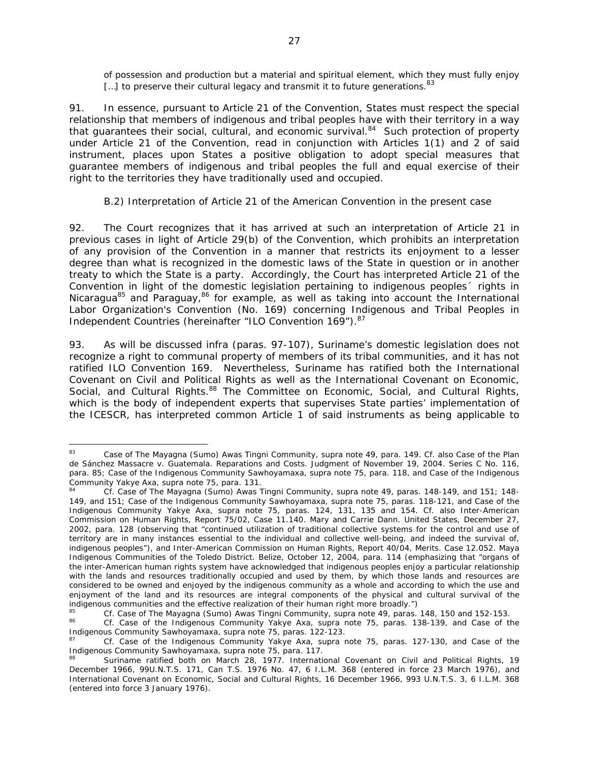of possession and production but a material and spiritual element, which they must fully enjoy [...] to preserve their cultural legacy and transmit it to future generations.  $83$ 

91. In essence, pursuant to Article 21 of the Convention, States must respect the special relationship that members of indigenous and tribal peoples have with their territory in a way that quarantees their social, cultural, and economic survival. $84$  Such protection of property under Article 21 of the Convention, read in conjunction with Articles 1(1) and 2 of said instrument, places upon States a positive obligation to adopt special measures that guarantee members of indigenous and tribal peoples the full and equal exercise of their right to the territories they have traditionally used and occupied.

# *B.2) Interpretation of Article 21 of the American Convention in the present case*

92. The Court recognizes that it has arrived at such an interpretation of Article 21 in previous cases in light of Article 29(b) of the Convention, which prohibits an interpretation of any provision of the Convention in a manner that restricts its enjoyment to a lesser degree than what is recognized in the domestic laws of the State in question or in another treaty to which the State is a party. Accordingly, the Court has interpreted Article 21 of the Convention in light of the domestic legislation pertaining to indigenous peoples´ rights in Nicaragua<sup>85</sup> and Paraguay,<sup>86</sup> for example, as well as taking into account the International Labor Organization's Convention (No. 169) concerning Indigenous and Tribal Peoples in Independent Countries (hereinafter "ILO Convention 169"). 87

93. As will be discussed *infra* (paras. 97-107), Suriname's domestic legislation does not recognize a right to communal property of members of its tribal communities, and it has not ratified ILO Convention 169. Nevertheless, Suriname has ratified both the International Covenant on Civil and Political Rights as well as the International Covenant on Economic, Social, and Cultural Rights.<sup>88</sup> The Committee on Economic, Social, and Cultural Rights, which is the body of independent experts that supervises State parties' implementation of the ICESCR, has interpreted common Article 1 of said instruments as being applicable to

 $\overline{a}$ 83 *Case of The Mayagna (Sumo) Awas Tingni Community, supra* note 49, para. 149. *Cf.* also Case of the Plan *de Sánchez Massacre v. Guatemala*. *Reparations and Costs.* Judgment of November 19, 2004. Series C No. 116, para. 85; Case of the Indigenous Community Sawhoyamaxa, supra note 75, para. 118, and Case of the Indigenous *Community Yakye Axa, supra* note 75, para. 131. 84 *Cf. Case of The Mayagna (Sumo) Awas Tingni Community, supra* note 49, paras. 148-149, and 151; 148-

<sup>149,</sup> and 151; *Case of the Indigenous Community Sawhoyamaxa, supra* note 75, paras. 118-121, and *Case of the Indigenous Community Yakye Axa, supra* note 75, paras. 124, 131, 135 and 154. *Cf.* also Inter-American Commission on Human Rights, *Report 75/02, Case 11.140. Mary and Carrie Dann. United States*, December 27, 2002, para. 128 (observing that "continued utilization of traditional collective systems for the control and use of territory are in many instances essential to the individual and collective well-being, and indeed the survival of, indigenous peoples"), and Inter-American Commission on Human Rights, *Report 40/04, Merits. Case 12.052. Maya Indigenous Communities of the Toledo District. Belize*, October 12, 2004, para. 114 (emphasizing that "organs of the inter-American human rights system have acknowledged that indigenous peoples enjoy a particular relationship with the lands and resources traditionally occupied and used by them, by which those lands and resources are considered to be owned and enjoyed by the indigenous community as a whole and according to which the use and enjoyment of the land and its resources are integral components of the physical and cultural survival of the

indigenous communities and the effective realization of their human right more broadly.")<br>
<sup>85</sup> *Cf. Case of The Mayagna (Sumo) Awas Tingni Community, supra* note 49, paras. 148, 150 and 152-153.<br>
<sup>86</sup> *Cf. Case of the Ind* 

*Indigenous Community Sawhoyamaxa, supra* note 75, paras. 122-123.<br><sup>87</sup> Cf. Case of the Indigenous Community Yakye Axa, supra note 75, paras. 127-130, and *Case of the Indigenous Community Sawhoyamaxa, supra* note 75, para

Suriname ratified both on March 28, 1977. International Covenant on Civil and Political Rights, 19 December 1966, 99U.N.T.S. 171, Can T.S. 1976 No. 47, 6 I.L.M. 368 (entered in force 23 March 1976), and *International Covenant on Economic, Social and Cultural Rights, 16 December 1966, 993 U.N.T.S. 3, 6 I.L.M. 368* (entered into force 3 January 1976).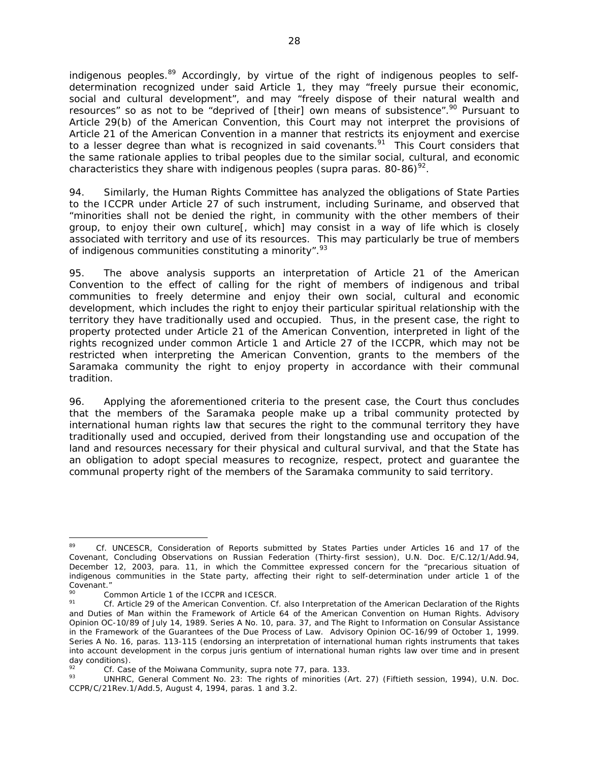indigenous peoples. $89$  Accordingly, by virtue of the right of indigenous peoples to selfdetermination recognized under said Article 1, they may "freely pursue their economic, social and cultural development", and may "freely dispose of their natural wealth and resources" so as not to be "deprived of [their] own means of subsistence".<sup>90</sup> Pursuant to Article 29(b) of the American Convention, this Court may not interpret the provisions of Article 21 of the American Convention in a manner that restricts its enjoyment and exercise to a lesser degree than what is recognized in said covenants.<sup>91</sup> This Court considers that the same rationale applies to tribal peoples due to the similar social, cultural, and economic characteristics they share with indigenous peoples (*supra* paras. 80-86)<sup>92</sup>.

94. Similarly, the Human Rights Committee has analyzed the obligations of State Parties to the ICCPR under Article 27 of such instrument, including Suriname, and observed that "minorities shall not be denied the right, in community with the other members of their group, to enjoy their own culture[, which] may consist in a way of life which is closely associated with territory and use of its resources. This may particularly be true of members of indigenous communities constituting a minority".<sup>93</sup>

95. The above analysis supports an interpretation of Article 21 of the American Convention to the effect of calling for the right of members of indigenous and tribal communities to freely determine and enjoy their own social, cultural and economic development, which includes the right to enjoy their particular spiritual relationship with the territory they have traditionally used and occupied. Thus, in the present case, the right to property protected under Article 21 of the American Convention, interpreted in light of the rights recognized under common Article 1 and Article 27 of the ICCPR, which may not be restricted when interpreting the American Convention, grants to the members of the Saramaka community the right to enjoy property in accordance with their communal tradition.

96. Applying the aforementioned criteria to the present case, the Court thus concludes that the members of the Saramaka people make up a tribal community protected by international human rights law that secures the right to the communal territory they have traditionally used and occupied, derived from their longstanding use and occupation of the land and resources necessary for their physical and cultural survival, and that the State has an obligation to adopt special measures to recognize, respect, protect and guarantee the communal property right of the members of the Saramaka community to said territory.

 $\overline{a}$ 89 *Cf.* UNCESCR, *Consideration of Reports submitted by States Parties under Articles 16 and 17 of the Covenant, Concluding Observations on Russian Federation (Thirty-first session),* U.N. Doc. E/C.12/1/Add.94, December 12, 2003*,* para. 11, in which the Committee expressed concern for the "precarious situation of indigenous communities in the State party, affecting their right to self-determination under article 1 of the Covenant."

<sup>90</sup> Common Article 1 of the ICCPR and ICESCR. 91 *Cf*. Article 29 of the American Convention. *Cf.* also *Interpretation of the American Declaration of the Rights and Duties of Man within the Framework of Article 64 of the American Convention on Human Rights*. Advisory Opinion OC-10/89 of July 14, 1989. Series A No. 10, para. 37, and *The Right to Information on Consular Assistance in the Framework of the Guarantees of the Due Process of Law.* Advisory Opinion OC-16/99 of October 1, 1999. Series A No. 16, paras. 113-115 (endorsing an interpretation of international human rights instruments that takes into account development in the *corpus juris gentium* of international human rights law over time and in present day conditions).

<sup>&</sup>lt;sup>92</sup>Cf. Case of the Moiwana Community, supra note 77, para. 133.<br><sup>93</sup> UNHRC, *General Comment No. 23: The rights of minorities (Art. 27) (Fiftieth session, 1994), U.N. Doc.* CCPR/C/21Rev.1/Add.5, August 4, 1994, paras. 1 and 3.2.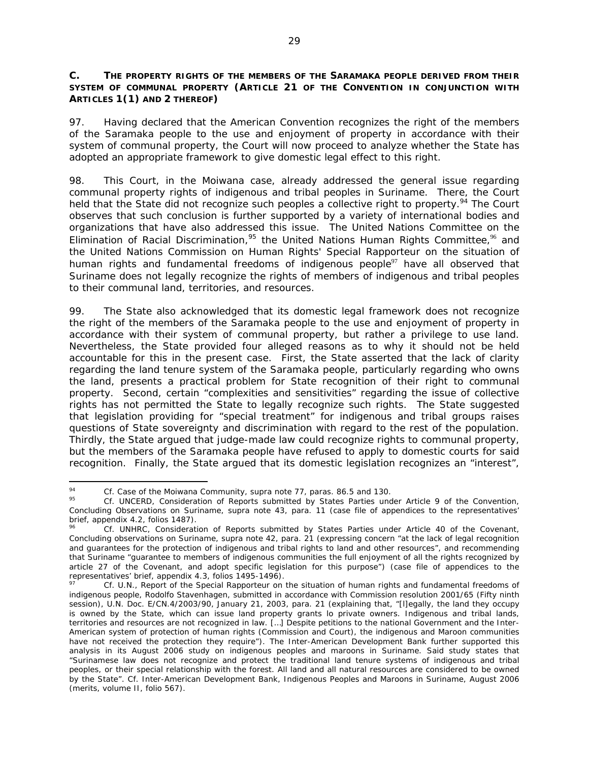#### **C. THE PROPERTY RIGHTS OF THE MEMBERS OF THE SARAMAKA PEOPLE DERIVED FROM THEIR SYSTEM OF COMMUNAL PROPERTY (ARTICLE 21 OF THE CONVENTION IN CONJUNCTION WITH ARTICLES 1(1) AND 2 THEREOF)**

97. Having declared that the American Convention recognizes the right of the members of the Saramaka people to the use and enjoyment of property in accordance with their system of communal property, the Court will now proceed to analyze whether the State has adopted an appropriate framework to give domestic legal effect to this right.

98. This Court, in the *Moiwana* case, already addressed the general issue regarding communal property rights of indigenous and tribal peoples in Suriname. There, the Court held that the State did not recognize such peoples a collective right to property.<sup>94</sup> The Court observes that such conclusion is further supported by a variety of international bodies and organizations that have also addressed this issue. The United Nations Committee on the Elimination of Racial Discrimination,<sup>95</sup> the United Nations Human Rights Committee,<sup>96</sup> and the United Nations Commission on Human Rights' Special Rapporteur on the situation of human rights and fundamental freedoms of indigenous people $97$  have all observed that Suriname does not legally recognize the rights of members of indigenous and tribal peoples to their communal land, territories, and resources.

99. The State also acknowledged that its domestic legal framework does not recognize the right of the members of the Saramaka people to the use and enjoyment of property in accordance with their system of communal property, but rather a privilege to use land. Nevertheless, the State provided four alleged reasons as to why it should not be held accountable for this in the present case. First, the State asserted that the lack of clarity regarding the land tenure system of the Saramaka people, particularly regarding who owns the land, presents a practical problem for State recognition of their right to communal property. Second, certain "complexities and sensitivities" regarding the issue of collective rights has not permitted the State to legally recognize such rights. The State suggested that legislation providing for "special treatment" for indigenous and tribal groups raises questions of State sovereignty and discrimination with regard to the rest of the population. Thirdly, the State argued that judge-made law could recognize rights to communal property, but the members of the Saramaka people have refused to apply to domestic courts for said recognition. Finally, the State argued that its domestic legislation recognizes an "interest",

<sup>&</sup>lt;sup>94</sup> Cf. Case of the Moiwana Community, supra note 77, paras. 86.5 and 130.<br><sup>95</sup> *Cf.* UNCERD, *Consideration of Reports submitted by States Parties under Article 9 of the Convention, Concluding Observations on Suriname, supra* note 43, para. 11 (case file of appendices to the representatives' brief, appendix 4.2, folios 1487).

<sup>96</sup> *Cf.* UNHRC, *Consideration of Reports submitted by States Parties under Article 40 of the Covenant, Concluding observations on Suriname, supra* note 42, para. 21 (expressing concern "at the lack of legal recognition and guarantees for the protection of indigenous and tribal rights to land and other resources", and recommending that Suriname "guarantee to members of indigenous communities the full enjoyment of all the rights recognized by article 27 of the Covenant, and adopt specific legislation for this purpose") (case file of appendices to the representatives' brief, appendix 4.3, folios 1495-1496).

<sup>97</sup> *Cf.* U.N., *Report of the Special Rapporteur on the situation of human rights and fundamental freedoms of indigenous people, Rodolfo Stavenhagen, submitted in accordance with Commission resolution 2001/65 (Fifty ninth session)*, U.N. Doc. E/CN.4/2003/90, January 21, 2003, para. 21 (explaining that, "[l]egally, the land they occupy is owned by the State, which can issue land property grants lo private owners. Indigenous and tribal lands, territories and resources are not recognized in law. […] Despite petitions to the national Government and the Inter-American system of protection of human rights (Commission and Court), the indigenous and Maroon communities have not received the protection they require"). The Inter-American Development Bank further supported this analysis in its August 2006 study on indigenous peoples and maroons in Suriname. Said study states that "Surinamese law does not recognize and protect the traditional land tenure systems of indigenous and tribal peoples, or their special relationship with the forest. All land and all natural resources are considered to be owned by the State". *Cf.* Inter-American Development Bank, *Indigenous Peoples and Maroons in Suriname, August 2006* (merits, volume II, folio 567).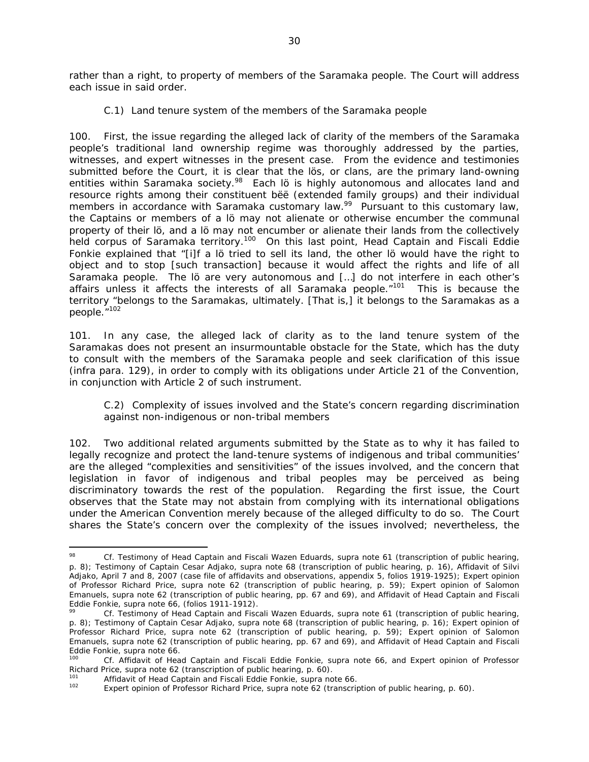rather than a right, to property of members of the Saramaka people. The Court will address each issue in said order.

#### *C.1) Land tenure system of the members of the Saramaka people*

100. First, the issue regarding the alleged lack of clarity of the members of the Saramaka people's traditional land ownership regime was thoroughly addressed by the parties, witnesses, and expert witnesses in the present case. From the evidence and testimonies submitted before the Court, it is clear that the *lös,* or clans, are the primary land-owning entities within Saramaka society.<sup>98</sup> Each *lo* is highly autonomous and allocates land and resource rights among their constituent *bëë* (extended family groups) and their individual members in accordance with Saramaka customary law.<sup>99</sup> Pursuant to this customary law, the Captains or members of a *lö* may not alienate or otherwise encumber the communal property of their *lö*, and a *lö* may not encumber or alienate their lands from the collectively held corpus of Saramaka territory.100 On this last point, Head Captain and *Fiscali* Eddie Fonkie explained that "[i]f a *lö* tried to sell its land, the other *lö* would have the right to object and to stop [such transaction] because it would affect the rights and life of all Saramaka people. The *lö* are very autonomous and […] do not interfere in each other's affairs unless it affects the interests of all Saramaka people. $n^{101}$  This is because the territory "belongs to the Saramakas, ultimately. [That is,] it belongs to the Saramakas as a people.<sup>"102</sup>

101. In any case, the alleged lack of clarity as to the land tenure system of the Saramakas does not present an insurmountable obstacle for the State, which has the duty to consult with the members of the Saramaka people and seek clarification of this issue (*infra* para. 129), in order to comply with its obligations under Article 21 of the Convention, in conjunction with Article 2 of such instrument.

## *C.2) Complexity of issues involved and the State's concern regarding discrimination against non-indigenous or non-tribal members*

102. Two additional related arguments submitted by the State as to why it has failed to legally recognize and protect the land-tenure systems of indigenous and tribal communities' are the alleged "complexities and sensitivities" of the issues involved, and the concern that legislation in favor of indigenous and tribal peoples may be perceived as being discriminatory towards the rest of the population. Regarding the first issue, the Court observes that the State may not abstain from complying with its international obligations under the American Convention merely because of the alleged difficulty to do so. The Court shares the State's concern over the complexity of the issues involved; nevertheless, the

<sup>98</sup> *Cf.* Testimony of Head Captain and Fiscali Wazen Eduards, *supra* note 61 (transcription of public hearing, p. 8); Testimony of Captain Cesar Adjako, *supra* note 68 (transcription of public hearing, p. 16), Affidavit of Silvi Adjako, April 7 and 8, 2007 (case file of affidavits and observations, appendix 5, folios 1919-1925); Expert opinion of Professor Richard Price, *supra* note 62 (transcription of public hearing, p. 59); Expert opinion of Salomon Emanuels, *supra* note 62 (transcription of public hearing, pp. 67 and 69), and Affidavit of Head Captain and Fiscali Eddie Fonkie, *supra* note 66, (folios 1911-1912).<br><sup>99</sup> *Cf.* Testimony of Head Captain and Fiscali Wazen Eduards, *supra* note 61 (transcription of public hearing,

p. 8); Testimony of Captain Cesar Adjako, *supra* note 68 (transcription of public hearing, p. 16); Expert opinion of Professor Richard Price, *supra* note 62 (transcription of public hearing, p. 59); Expert opinion of Salomon Emanuels, *supra* note 62 (transcription of public hearing, pp. 67 and 69), and Affidavit of Head Captain and Fiscali<br>Eddie Fonkie, *supra* note 66.<br><sup>100</sup> Cf. Affidavit of Head Captain and Fiscali Eddie Feature and 11 and

Cf. Affidavit of Head Captain and Fiscali Eddie Fonkie, *supra* note 66, and Expert opinion of Professor Richard Price, *supra* note 62 (transcription of public hearing, p. 60).<br><sup>101</sup> Affidavit of Head Captain and Fiscali Eddie Fonkie, *supra* note 66.<br><sup>102</sup> Expert opinion of Professor Richard Price, *supra* note 62 (transcri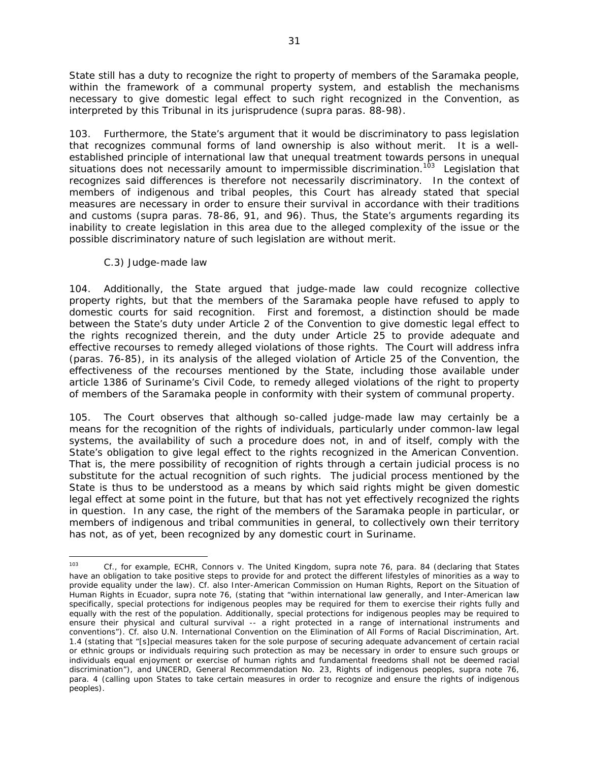State still has a duty to recognize the right to property of members of the Saramaka people, within the framework of a communal property system, and establish the mechanisms necessary to give domestic legal effect to such right recognized in the Convention, as interpreted by this Tribunal in its jurisprudence (*supra* paras. 88-98).

103. Furthermore, the State's argument that it would be discriminatory to pass legislation that recognizes communal forms of land ownership is also without merit. It is a wellestablished principle of international law that unequal treatment towards persons in unequal situations does not necessarily amount to impermissible discrimination.<sup>103</sup> Legislation that recognizes said differences is therefore not necessarily discriminatory. In the context of members of indigenous and tribal peoples, this Court has already stated that special measures are necessary in order to ensure their survival in accordance with their traditions and customs (*supra* paras. 78-86, 91, and 96). Thus, the State's arguments regarding its inability to create legislation in this area due to the alleged complexity of the issue or the possible discriminatory nature of such legislation are without merit.

## *C.3) Judge-made law*

104. Additionally, the State argued that judge-made law could recognize collective property rights, but that the members of the Saramaka people have refused to apply to domestic courts for said recognition. First and foremost, a distinction should be made between the State's duty under Article 2 of the Convention to give domestic legal effect to the rights recognized therein, and the duty under Article 25 to provide adequate and effective recourses to remedy alleged violations of those rights. The Court will address *infra*  (paras. 76-85), in its analysis of the alleged violation of Article 25 of the Convention, the effectiveness of the recourses mentioned by the State, including those available under article 1386 of Suriname's Civil Code, to remedy alleged violations of the right to property of members of the Saramaka people in conformity with their system of communal property.

105. The Court observes that although so-called judge-made law may certainly be a means for the recognition of the rights of individuals, particularly under common-law legal systems, the availability of such a procedure does not, in and of itself, comply with the State's obligation to give legal effect to the rights recognized in the American Convention. That is, the mere possibility of recognition of rights through a certain judicial process is no substitute for the actual recognition of such rights. The judicial process mentioned by the State is thus to be understood as a means by which said rights might be given domestic legal effect at some point in the future, but that has not yet effectively recognized the rights in question. In any case, the right of the members of the Saramaka people in particular, or members of indigenous and tribal communities in general, to collectively own their territory has not, as of yet, been recognized by any domestic court in Suriname.

<sup>103</sup> 103 *Cf.*, for example, ECHR, *Connors v. The United Kingdom*, *supra* note 76, para. 84 (declaring that States have an obligation to take positive steps to provide for and protect the different lifestyles of minorities as a way to provide equality under the law). *Cf.* also Inter-American Commission on Human Rights, Report on the Situation of Human Rights in Ecuador, *supra* note 76, (stating that "within international law generally, and Inter-American law specifically, special protections for indigenous peoples may be required for them to exercise their rights fully and equally with the rest of the population. Additionally, special protections for indigenous peoples may be required to ensure their physical and cultural survival -- a right protected in a range of international instruments and conventions"). *Cf.* also U.N. International Convention on the Elimination of All Forms of Racial Discrimination, Art. 1.4 (stating that "[s]pecial measures taken for the sole purpose of securing adequate advancement of certain racial or ethnic groups or individuals requiring such protection as may be necessary in order to ensure such groups or individuals equal enjoyment or exercise of human rights and fundamental freedoms shall not be deemed racial discrimination"), and UNCERD, *General Recommendation No. 23, Rights of indigenous peoples*, *supra* note 76, para. 4 (calling upon States to take certain measures in order to recognize and ensure the rights of indigenous peoples).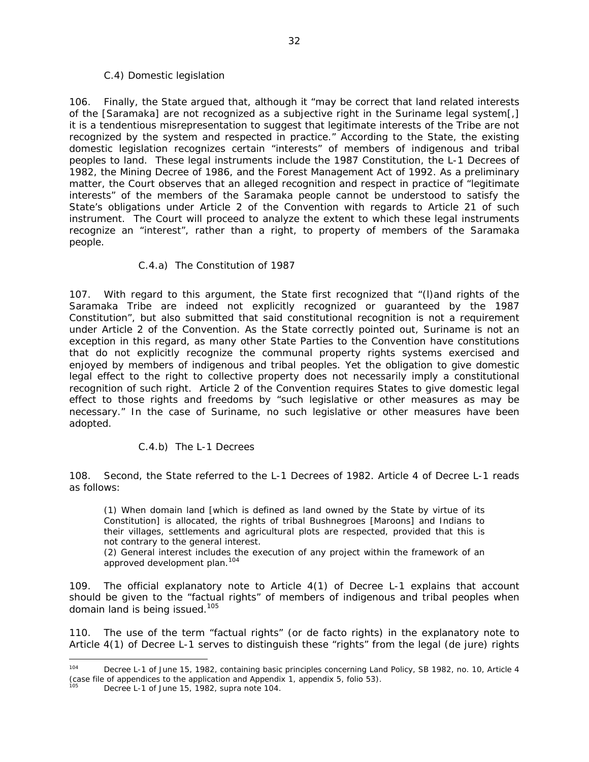#### *C.4) Domestic legislation*

106. Finally, the State argued that, although it "may be correct that land related interests of the [Saramaka] are not recognized as a subjective right in the Suriname legal system[,] it is a tendentious misrepresentation to suggest that legitimate interests of the Tribe are not recognized by the system and respected in practice." According to the State, the existing domestic legislation recognizes certain "interests" of members of indigenous and tribal peoples to land. These legal instruments include the 1987 Constitution, the L-1 Decrees of 1982, the Mining Decree of 1986, and the Forest Management Act of 1992. As a preliminary matter, the Court observes that an alleged recognition and respect in practice of "legitimate interests" of the members of the Saramaka people cannot be understood to satisfy the State's obligations under Article 2 of the Convention with regards to Article 21 of such instrument. The Court will proceed to analyze the extent to which these legal instruments recognize an "interest", rather than a right, to property of members of the Saramaka people.

#### *C.4.a) The Constitution of 1987*

107. With regard to this argument, the State first recognized that "(l)and rights of the Saramaka Tribe are indeed not explicitly recognized or guaranteed by the 1987 Constitution", but also submitted that said constitutional recognition is not a requirement under Article 2 of the Convention. As the State correctly pointed out, Suriname is not an exception in this regard, as many other State Parties to the Convention have constitutions that do not explicitly recognize the communal property rights systems exercised and enjoyed by members of indigenous and tribal peoples. Yet the obligation to give domestic legal effect to the right to collective property does not necessarily imply a constitutional recognition of such right. Article 2 of the Convention requires States to give domestic legal effect to those rights and freedoms by "such legislative or other measures as may be necessary." In the case of Suriname, no such legislative or other measures have been adopted.

#### *C.4.b) The L-1 Decrees*

108. Second, the State referred to the L-1 Decrees of 1982. Article 4 of Decree L-1 reads as follows:

(1) When domain land [which is defined as land owned by the State by virtue of its Constitution] is allocated, the rights of tribal Bushnegroes [Maroons] and Indians to their villages, settlements and agricultural plots are respected, provided that this is not contrary to the general interest.

(2) General interest includes the execution of any project within the framework of an approved development plan.<sup>104</sup>

109. The official explanatory note to Article 4(1) of Decree L-1 explains that account should be given to the "factual rights" of members of indigenous and tribal peoples when domain land is being issued.<sup>105</sup>

110. The use of the term "factual rights" (or *de facto* rights) in the explanatory note to Article 4(1) of Decree L-1 serves to distinguish these "rights" from the legal *(de jure)* rights

<sup>104</sup> Decree L-1 of June 15, 1982, containing basic principles concerning Land Policy, SB 1982, no. 10, Article 4 (case file of appendices to the application and Appendix 1, appendix 5, folio 53).

<sup>105</sup> Decree L-1 of June 15, 1982, *supra* note 104.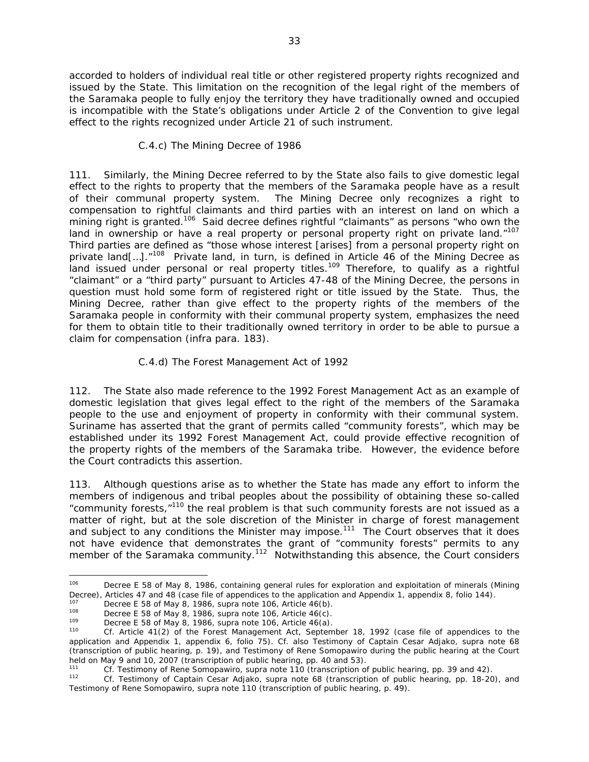accorded to holders of individual real title or other registered property rights recognized and issued by the State. This limitation on the recognition of the legal right of the members of the Saramaka people to fully enjoy the territory they have traditionally owned and occupied is incompatible with the State's obligations under Article 2 of the Convention to give legal effect to the rights recognized under Article 21 of such instrument.

# *C.4.c) The Mining Decree of 1986*

111. Similarly, the Mining Decree referred to by the State also fails to give domestic legal effect to the rights to property that the members of the Saramaka people have as a result of their communal property system. The Mining Decree only recognizes a right to compensation to rightful claimants and third parties with an interest on land on which a mining right is granted.<sup>106</sup> Said decree defines rightful "claimants" as persons "who own the land in ownership or have a real property or personal property right on private land."<sup>107</sup> Third parties are defined as "those whose interest [arises] from a personal property right on private land[...].<sup>"108</sup> Private land, in turn, is defined in Article 46 of the Mining Decree as land issued under personal or real property titles.<sup>109</sup> Therefore, to qualify as a rightful "claimant" or a "third party" pursuant to Articles 47-48 of the Mining Decree, the persons in question must hold some form of registered right or title issued by the State. Thus, the Mining Decree, rather than give effect to the property rights of the members of the Saramaka people in conformity with their communal property system, emphasizes the need for them to obtain title to their traditionally owned territory in order to be able to pursue a claim for compensation (*infra* para. 183).

## *C.4.d) The Forest Management Act of 1992*

112. The State also made reference to the 1992 Forest Management Act as an example of domestic legislation that gives legal effect to the right of the members of the Saramaka people to the use and enjoyment of property in conformity with their communal system. Suriname has asserted that the grant of permits called "community forests", which may be established under its 1992 Forest Management Act, could provide effective recognition of the property rights of the members of the Saramaka tribe. However, the evidence before the Court contradicts this assertion.

113. Although questions arise as to whether the State has made any effort to inform the members of indigenous and tribal peoples about the possibility of obtaining these so-called "community forests,"110 the real problem is that such community forests are not issued as a matter of right, but at the sole discretion of the Minister in charge of forest management and subject to any conditions the Minister may impose.<sup>111</sup> The Court observes that it does not have evidence that demonstrates the grant of "community forests" permits to any member of the Saramaka community.<sup>112</sup> Notwithstanding this absence, the Court considers

<sup>106</sup> Decree E 58 of May 8, 1986, containing general rules for exploration and exploitation of minerals (Mining Decree), Articles 47 and 48 (case file of appendices to the application and Appendix 1, appendix 8, folio 144).

<sup>&</sup>lt;sup>107</sup> Decree E 58 of May 8, 1986, *supra* note 106, Article 46(b).<br>
<sup>108</sup> Decree E 58 of May 8, 1986, *supra* note 106, Article 46(c).<br>
<sup>109</sup> Decree E 58 of May 8, 1986, *supra* note 106, Article 46(a).<br>
<sup>110</sup> *Cf.* Artic application and Appendix 1, appendix 6, folio 75). *Cf. also* Testimony of Captain Cesar Adjako, *supra* note 68 (transcription of public hearing, p. 19), and Testimony of Rene Somopawiro during the public hearing at the Court held on May 9 and 10, 2007 (transcription of public hearing, pp. 40 and 53).

<sup>&</sup>lt;sup>111</sup> *Cf.* Testimony of Rene Somopawiro, *supra* note 110 (transcription of public hearing, pp. 39 and 42).<br><sup>112</sup> *Cf.* Testimony of Captain Cesar Adjako, *supra* note 68 (transcription of public hearing, pp. 18-20), and

Testimony of Rene Somopawiro, *supra* note 110 (transcription of public hearing, p. 49).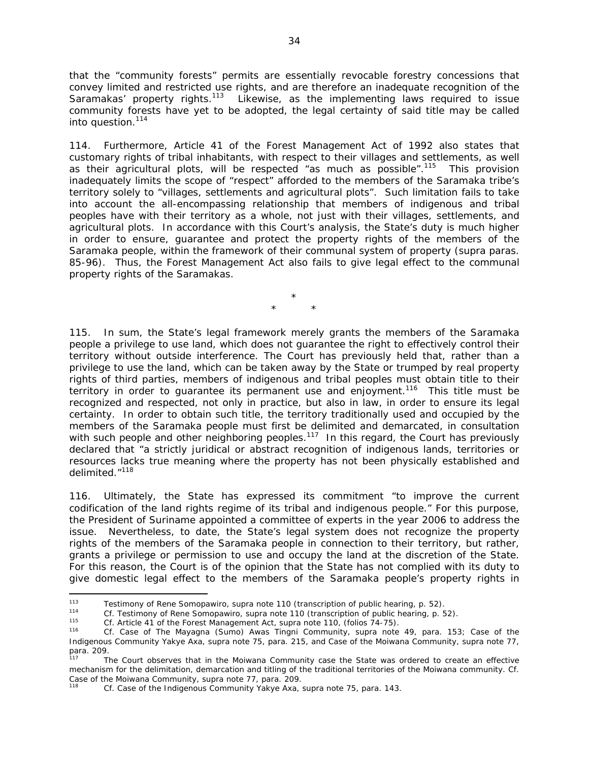that the "community forests" permits are essentially revocable forestry concessions that convey limited and restricted use rights, and are therefore an inadequate recognition of the Saramakas' property rights.<sup>113</sup> Likewise, as the implementing laws required to issue community forests have yet to be adopted, the legal certainty of said title may be called into question.<sup>114</sup>

114. Furthermore, Article 41 of the Forest Management Act of 1992 also states that customary rights of tribal inhabitants, with respect to their villages and settlements, as well as their agricultural plots, will be respected "as much as possible".115This provision inadequately limits the scope of "respect" afforded to the members of the Saramaka tribe's territory solely to "villages, settlements and agricultural plots". Such limitation fails to take into account the all-encompassing relationship that members of indigenous and tribal peoples have with their territory as a whole, not just with their villages, settlements, and agricultural plots. In accordance with this Court's analysis, the State's duty is much higher in order to ensure, guarantee and protect the property rights of the members of the Saramaka people, within the framework of their communal system of property (*supra* paras. 85-96). Thus, the Forest Management Act also fails to give legal effect to the communal property rights of the Saramakas.

> \* \* \*

115. In sum, the State's legal framework merely grants the members of the Saramaka people a privilege to use land, which does not guarantee the right to effectively control their territory without outside interference. The Court has previously held that, rather than a privilege to use the land, which can be taken away by the State or trumped by real property rights of third parties, members of indigenous and tribal peoples must obtain title to their territory in order to guarantee its permanent use and enjoyment.<sup>116</sup> This title must be recognized and respected, not only in practice, but also in law, in order to ensure its legal certainty. In order to obtain such title, the territory traditionally used and occupied by the members of the Saramaka people must first be delimited and demarcated, in consultation with such people and other neighboring peoples.<sup>117</sup> In this regard, the Court has previously declared that "a strictly juridical or abstract recognition of indigenous lands, territories or resources lacks true meaning where the property has not been physically established and delimited."118

116. Ultimately, the State has expressed its commitment "to improve the current codification of the land rights regime of its tribal and indigenous people." For this purpose, the President of Suriname appointed a committee of experts in the year 2006 to address the issue. Nevertheless, to date, the State's legal system does not recognize the property rights of the members of the Saramaka people in connection to their territory, but rather, grants a privilege or permission to use and occupy the land at the discretion of the State. For this reason, the Court is of the opinion that the State has not complied with its duty to give domestic legal effect to the members of the Saramaka people's property rights in

<sup>113</sup> 

Testimony of Rene Somopawiro, *supra* note 110 (transcription of public hearing, p. 52).<br>
Cf. Testimony of Rene Somopawiro, *supra* note 110 (transcription of public hearing, p. 52).<br>
Cf. Article 41 of the Forest Managemen

*Indigenous Community Yakye Axa, supra* note 75, para. 215, and *Case of the Moiwana Community, supra* note 77, para. 209.

<sup>117</sup> The Court observes that in the *Moiwana Community* case the State was ordered to create an effective mechanism for the delimitation, demarcation and titling of the traditional territories of the Moiwana community. *Cf. Case of the Moiwana Community, supra* note 77, para. 209. 118 *Cf. Case of the Indigenous Community Yakye Axa, supra* note 75, para. 143.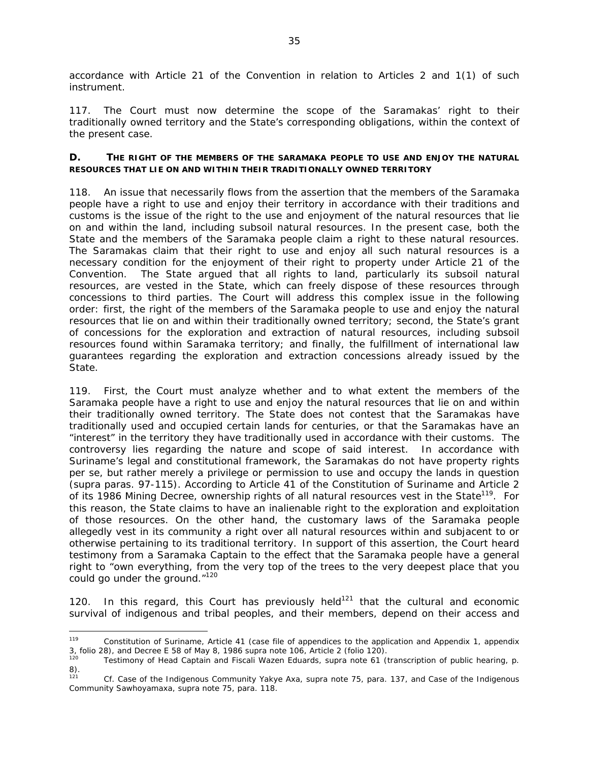accordance with Article 21 of the Convention in relation to Articles 2 and 1(1) of such instrument.

117. The Court must now determine the scope of the Saramakas' right to their traditionally owned territory and the State's corresponding obligations, within the context of the present case.

#### **D. THE RIGHT OF THE MEMBERS OF THE SARAMAKA PEOPLE TO USE AND ENJOY THE NATURAL RESOURCES THAT LIE ON AND WITHIN THEIR TRADITIONALLY OWNED TERRITORY**

118. An issue that necessarily flows from the assertion that the members of the Saramaka people have a right to use and enjoy their territory in accordance with their traditions and customs is the issue of the right to the use and enjoyment of the natural resources that lie on and within the land, including subsoil natural resources. In the present case, both the State and the members of the Saramaka people claim a right to these natural resources. The Saramakas claim that their right to use and enjoy all such natural resources is a necessary condition for the enjoyment of their right to property under Article 21 of the Convention. The State argued that all rights to land, particularly its subsoil natural resources, are vested in the State, which can freely dispose of these resources through concessions to third parties. The Court will address this complex issue in the following order: first, the right of the members of the Saramaka people to use and enjoy the natural resources that lie on and within their traditionally owned territory; second, the State's grant of concessions for the exploration and extraction of natural resources, including subsoil resources found within Saramaka territory; and finally, the fulfillment of international law guarantees regarding the exploration and extraction concessions already issued by the State.

119. First, the Court must analyze whether and to what extent the members of the Saramaka people have a right to use and enjoy the natural resources that lie on and within their traditionally owned territory. The State does not contest that the Saramakas have traditionally used and occupied certain lands for centuries, or that the Saramakas have an "interest" in the territory they have traditionally used in accordance with their customs. The controversy lies regarding the nature and scope of said interest. In accordance with Suriname's legal and constitutional framework, the Saramakas do not have property rights *per se*, but rather merely a privilege or permission to use and occupy the lands in question (*supra* paras. 97-115). According to Article 41 of the Constitution of Suriname and Article 2 of its 1986 Mining Decree, ownership rights of all natural resources vest in the State<sup>119</sup>. For this reason, the State claims to have an inalienable right to the exploration and exploitation of those resources. On the other hand, the customary laws of the Saramaka people allegedly vest in its community a right over all natural resources within and subjacent to or otherwise pertaining to its traditional territory.In support of this assertion, the Court heard testimony from a Saramaka Captain to the effect that the Saramaka people have a general right to "own everything, from the very top of the trees to the very deepest place that you could go under the ground."<sup>120</sup>

120. In this regard, this Court has previously held<sup>121</sup> that the cultural and economic survival of indigenous and tribal peoples, and their members, depend on their access and

<sup>110</sup> Constitution of Suriname, Article 41 (case file of appendices to the application and Appendix 1, appendix 3, folio 28), and Decree E 58 of May 8, 1986 *supra* note 106, Article 2 (folio 120).<br><sup>120</sup> Testimony of Head Captain and Fiscali Wazen Eduards, *supra* note 61 (transcription of public hearing, p.

 $8$ ).<br>121 121 *Cf. Case of the Indigenous Community Yakye Axa, supra* note 75, para. 137, and *Case of the Indigenous Community Sawhoyamaxa, supra* note 75, para. 118.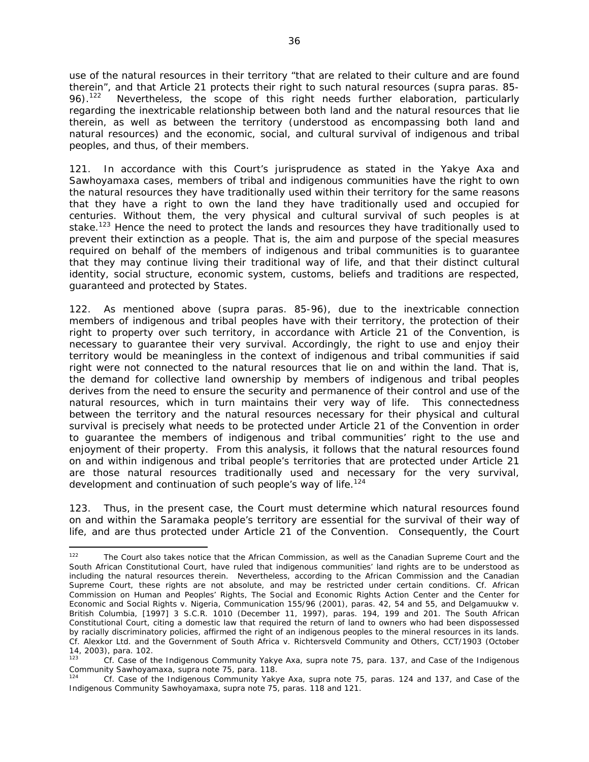use of the natural resources in their territory "that are related to their culture and are found therein", and that Article 21 protects their right to such natural resources (*supra* paras. 85- 96).<sup>122</sup> Nevertheless, the scope of this right needs further elaboration, particularly regarding the inextricable relationship between both land and the natural resources that lie therein, as well as between the territory (understood as encompassing both land and natural resources) and the economic, social, and cultural survival of indigenous and tribal peoples, and thus, of their members.

121. In accordance with this Court's jurisprudence as stated in the *Yakye Axa* and *Sawhoyamaxa* cases, members of tribal and indigenous communities have the right to own the natural resources they have traditionally used within their territory for the same reasons that they have a right to own the land they have traditionally used and occupied for centuries. Without them, the very physical and cultural survival of such peoples is at stake.<sup>123</sup> Hence the need to protect the lands and resources they have traditionally used to prevent their extinction as a people. That is, the aim and purpose of the special measures required on behalf of the members of indigenous and tribal communities is to guarantee that they may continue living their traditional way of life, and that their distinct cultural identity, social structure, economic system, customs, beliefs and traditions are respected, guaranteed and protected by States.

122. As mentioned above (*supra* paras. 85-96), due to the inextricable connection members of indigenous and tribal peoples have with their territory, the protection of their right to property over such territory, in accordance with Article 21 of the Convention, is necessary to guarantee their very survival. Accordingly, the right to use and enjoy their territory would be meaningless in the context of indigenous and tribal communities if said right were not connected to the natural resources that lie on and within the land. That is, the demand for collective land ownership by members of indigenous and tribal peoples derives from the need to ensure the security and permanence of their control and use of the natural resources, which in turn maintains their very way of life. This connectedness between the territory and the natural resources necessary for their physical and cultural survival is precisely what needs to be protected under Article 21 of the Convention in order to guarantee the members of indigenous and tribal communities' right to the use and enjoyment of their property. From this analysis, it follows that the natural resources found on and within indigenous and tribal people's territories that are protected under Article 21 are those natural resources traditionally used and necessary for the very survival, development and continuation of such people's way of life.<sup>124</sup>

123. Thus, in the present case, the Court must determine which natural resources found on and within the Saramaka people's territory are essential for the survival of their way of life, and are thus protected under Article 21 of the Convention. Consequently, the Court

<sup>122</sup> The Court also takes notice that the African Commission, as well as the Canadian Supreme Court and the South African Constitutional Court, have ruled that indigenous communities' land rights are to be understood as including the natural resources therein. Nevertheless, according to the African Commission and the Canadian Supreme Court, these rights are not absolute, and may be restricted under certain conditions. *Cf.* African Commission on Human and Peoples' Rights, *The Social and Economic Rights Action Center and the Center for Economic and Social Rights v. Nigeria,* Communication 155/96 (2001), paras. 42, 54 and 55, and *Delgamuukw v. British Columbia*, [1997] 3 S.C.R. 1010 (December 11, 1997), paras. 194, 199 and 201. The South African Constitutional Court, citing a domestic law that required the return of land to owners who had been dispossessed by racially discriminatory policies, affirmed the right of an indigenous peoples to the mineral resources in its lands. *Cf. Alexkor Ltd. and the Government of South Africa v. Richtersveld Community and Others,* CCT/1903 (October 14, 2003), para. 102.

<sup>123</sup> *Cf. Case of the Indigenous Community Yakye Axa, supra* note 75, para. 137, and *Case of the Indigenous Community Sawhoyamaxa, supra* note 75, para. 118.<br><sup>124</sup> *Cf. Case of the Indigenous Community Yakye Axa, supra* note 75, paras. 124 and 137, and *Case of the* 

*Indigenous Community Sawhoyamaxa, supra* note 75, paras. 118 and 121.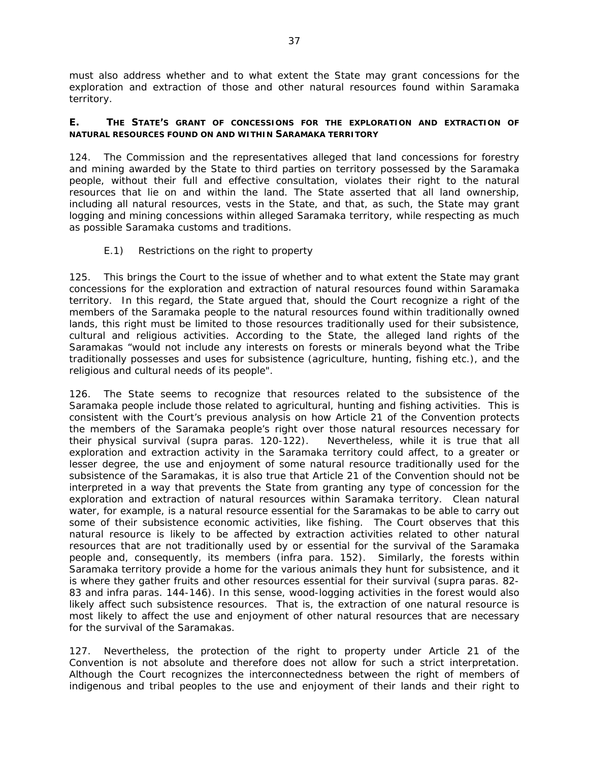must also address whether and to what extent the State may grant concessions for the exploration and extraction of those and other natural resources found within Saramaka territory.

## **E. THE STATE'S GRANT OF CONCESSIONS FOR THE EXPLORATION AND EXTRACTION OF NATURAL RESOURCES FOUND ON AND WITHIN SARAMAKA TERRITORY**

124. The Commission and the representatives alleged that land concessions for forestry and mining awarded by the State to third parties on territory possessed by the Saramaka people, without their full and effective consultation, violates their right to the natural resources that lie on and within the land. The State asserted that all land ownership, including all natural resources, vests in the State, and that, as such, the State may grant logging and mining concessions within alleged Saramaka territory, while respecting as much as possible Saramaka customs and traditions.

# *E.1) Restrictions on the right to property*

125. This brings the Court to the issue of whether and to what extent the State may grant concessions for the exploration and extraction of natural resources found within Saramaka territory. In this regard, the State argued that, should the Court recognize a right of the members of the Saramaka people to the natural resources found within traditionally owned lands, this right must be limited to those resources traditionally used for their subsistence, cultural and religious activities. According to the State, the alleged land rights of the Saramakas "would not include any interests on forests or minerals beyond what the Tribe traditionally possesses and uses for subsistence (agriculture, hunting, fishing etc.), and the religious and cultural needs of its people".

126. The State seems to recognize that resources related to the subsistence of the Saramaka people include those related to agricultural, hunting and fishing activities. This is consistent with the Court's previous analysis on how Article 21 of the Convention protects the members of the Saramaka people's right over those natural resources necessary for their physical survival (*supra* paras. 120-122). Nevertheless, while it is true that all exploration and extraction activity in the Saramaka territory could affect, to a greater or lesser degree, the use and enjoyment of some natural resource traditionally used for the subsistence of the Saramakas, it is also true that Article 21 of the Convention should not be interpreted in a way that prevents the State from granting any type of concession for the exploration and extraction of natural resources within Saramaka territory. Clean natural water, for example, is a natural resource essential for the Saramakas to be able to carry out some of their subsistence economic activities, like fishing. The Court observes that this natural resource is likely to be affected by extraction activities related to other natural resources that are not traditionally used by or essential for the survival of the Saramaka people and, consequently, its members (*infra* para. 152). Similarly, the forests within Saramaka territory provide a home for the various animals they hunt for subsistence, and it is where they gather fruits and other resources essential for their survival (*supra* paras. 82- 83 and *infra* paras. 144-146). In this sense, wood-logging activities in the forest would also likely affect such subsistence resources. That is, the extraction of one natural resource is most likely to affect the use and enjoyment of other natural resources that are necessary for the survival of the Saramakas.

127. Nevertheless, the protection of the right to property under Article 21 of the Convention is not absolute and therefore does not allow for such a strict interpretation. Although the Court recognizes the interconnectedness between the right of members of indigenous and tribal peoples to the use and enjoyment of their lands and their right to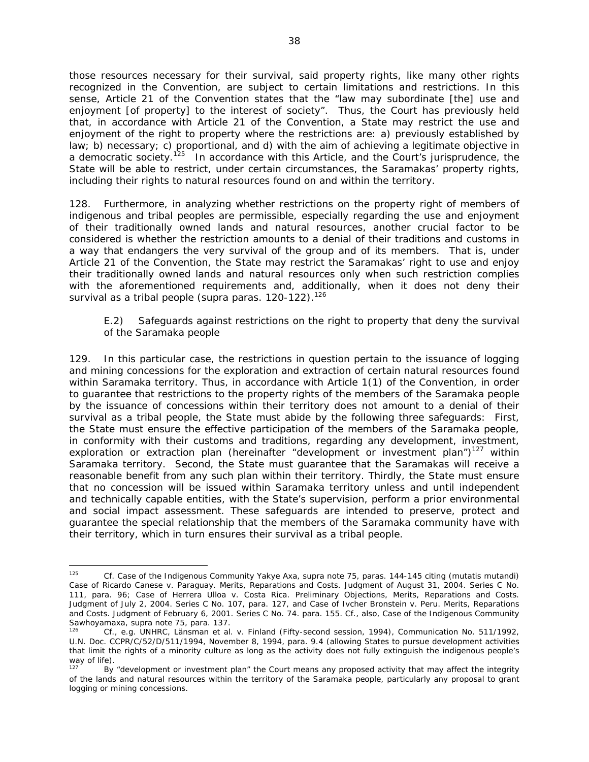those resources necessary for their survival, said property rights, like many other rights recognized in the Convention, are subject to certain limitations and restrictions. In this sense, Article 21 of the Convention states that the "law may subordinate [the] use and enjoyment [of property] to the interest of society". Thus, the Court has previously held that, in accordance with Article 21 of the Convention, a State may restrict the use and enjoyment of the right to property where the restrictions are: a) previously established by law; b) necessary; c) proportional, and d) with the aim of achieving a legitimate objective in a democratic society.<sup>125</sup> In accordance with this Article, and the Court's jurisprudence, the State will be able to restrict, under certain circumstances, the Saramakas' property rights, including their rights to natural resources found on and within the territory.

128. Furthermore, in analyzing whether restrictions on the property right of members of indigenous and tribal peoples are permissible, especially regarding the use and enjoyment of their traditionally owned lands and natural resources, another crucial factor to be considered is whether the restriction amounts to a denial of their traditions and customs in a way that endangers the very survival of the group and of its members. That is, under Article 21 of the Convention, the State may restrict the Saramakas' right to use and enjoy their traditionally owned lands and natural resources only when such restriction complies with the aforementioned requirements and, additionally, when it does not deny their survival as a tribal people (*supra* paras. 120-122).<sup>126</sup>

## *E.2) Safeguards against restrictions on the right to property that deny the survival of the Saramaka people*

129. In this particular case, the restrictions in question pertain to the issuance of logging and mining concessions for the exploration and extraction of certain natural resources found within Saramaka territory. Thus, in accordance with Article 1(1) of the Convention, in order to guarantee that restrictions to the property rights of the members of the Saramaka people by the issuance of concessions within their territory does not amount to a denial of their survival as a tribal people, the State must abide by the following three safeguards: First, the State must ensure the effective participation of the members of the Saramaka people, in conformity with their customs and traditions, regarding any development, investment, exploration or extraction plan (hereinafter "development or investment plan")<sup>127</sup> within Saramaka territory. Second, the State must guarantee that the Saramakas will receive a reasonable benefit from any such plan within their territory. Thirdly, the State must ensure that no concession will be issued within Saramaka territory unless and until independent and technically capable entities, with the State's supervision, perform a prior environmental and social impact assessment. These safeguards are intended to preserve, protect and guarantee the special relationship that the members of the Saramaka community have with their territory, which in turn ensures their survival as a tribal people.

<sup>125</sup> *Cf. Case of the Indigenous Community Yakye Axa, supra* note 75, paras. 144-145 citing *(mutatis mutandi) Case of Ricardo Canese v. Paraguay. Merits, Reparations and Costs*. Judgment of August 31, 2004. Series C No. 111, para. 96; *Case of Herrera Ulloa v. Costa Rica. Preliminary Objections, Merits, Reparations and Costs*. Judgment of July 2, 2004. Series C No. 107, para. 127, and *Case of Ivcher Bronstein v. Peru. Merits, Reparations and Costs.* Judgment of February 6, 2001. Series C No. 74. para. 155. *Cf.*, also, *Case of the Indigenous Community Sawhoyamaxa, supra* note 75, para. 137. 126 *Cf.*, e.g. UNHRC, *Länsman et al. v. Finland (Fifty-second session, 1994),* Communication No. 511/1992,

U.N. Doc. CCPR/C/52/D/511/1994, November 8, 1994, para. 9.4 (allowing States to pursue development activities that limit the rights of a minority culture as long as the activity does not fully extinguish the indigenous people's way of life).

By "development or investment plan" the Court means any proposed activity that may affect the integrity of the lands and natural resources within the territory of the Saramaka people, particularly any proposal to grant logging or mining concessions.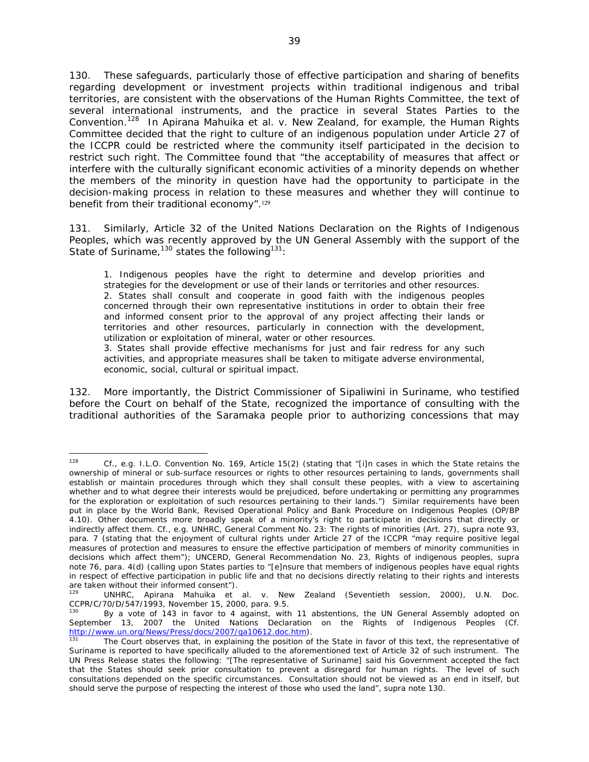130. These safeguards, particularly those of effective participation and sharing of benefits regarding development or investment projects within traditional indigenous and tribal territories, are consistent with the observations of the Human Rights Committee, the text of several international instruments, and the practice in several States Parties to the Convention.128 In *Apirana Mahuika et al. v. New Zealand*, for example, the Human Rights Committee decided that the right to culture of an indigenous population under Article 27 of the ICCPR could be restricted where the community itself participated in the decision to restrict such right. The Committee found that "the acceptability of measures that affect or interfere with the culturally significant economic activities of a minority depends on whether the members of the minority in question have had the opportunity to participate in the decision-making process in relation to these measures and whether they will continue to benefit from their traditional economy".<sup>129</sup>

131. Similarly, Article 32 of the United Nations Declaration on the Rights of Indigenous Peoples, which was recently approved by the UN General Assembly with the support of the State of Suriname, $130$  states the following  $131$ :

1. Indigenous peoples have the right to determine and develop priorities and strategies for the development or use of their lands or territories and other resources. 2. States shall consult and cooperate in good faith with the indigenous peoples concerned through their own representative institutions in order to obtain their free and informed consent prior to the approval of any project affecting their lands or territories and other resources, particularly in connection with the development, utilization or exploitation of mineral, water or other resources.

3. States shall provide effective mechanisms for just and fair redress for any such activities, and appropriate measures shall be taken to mitigate adverse environmental, economic, social, cultural or spiritual impact.

132. More importantly, the District Commissioner of Sipaliwini in Suriname, who testified before the Court on behalf of the State, recognized the importance of consulting with the traditional authorities of the Saramaka people prior to authorizing concessions that may

<sup>128</sup> *Cf., e.g.* I.L.O. Convention No. 169, Article 15(2) (stating that "[i]n cases in which the State retains the ownership of mineral or sub-surface resources or rights to other resources pertaining to lands, governments shall establish or maintain procedures through which they shall consult these peoples, with a view to ascertaining whether and to what degree their interests would be prejudiced, before undertaking or permitting any programmes for the exploration or exploitation of such resources pertaining to their lands.") Similar requirements have been put in place by the World Bank, *Revised Operational Policy and Bank Procedure on Indigenous Peoples (OP/BP 4.10)*. Other documents more broadly speak of a minority's right to participate in decisions that directly or indirectly affect them. *Cf., e.g.* UNHRC, *General Comment No. 23: The rights of minorities (Art. 27), supra* note 93, para. 7 (stating that the enjoyment of cultural rights under Article 27 of the ICCPR "may require positive legal measures of protection and measures to ensure the effective participation of members of minority communities in decisions which affect them"); UNCERD, *General Recommendation No. 23, Rights of indigenous peoples*, *supra*  note 76, para. 4(d) (calling upon States parties to "[e]nsure that members of indigenous peoples have equal rights in respect of effective participation in public life and that no decisions directly relating to their rights and interests are taken without their informed consent").

<sup>129</sup> UNHRC, *Apirana Mahuika et al. v. New Zealand (Seventieth session, 2000)*, U.N. Doc. CCPR/C/70/D/547/1993, November 15, 2000, para. 9.5.

By a vote of 143 in favor to 4 against, with 11 abstentions, the UN General Assembly adopted on September 13, 2007 the United Nations Declaration on the Rights of Indigenous Peoples (*Cf.*)<br>http://www.un.org/News/Press/docs/2007/ga10612.doc.htm).

The Court observes that, in explaining the position of the State in favor of this text, the representative of Suriname is reported to have specifically alluded to the aforementioned text of Article 32 of such instrument. The UN Press Release states the following: "[The representative of Suriname] said his Government accepted the fact that the States should seek prior consultation to prevent a disregard for human rights. The level of such consultations depended on the specific circumstances. Consultation should not be viewed as an end in itself, but should serve the purpose of respecting the interest of those who used the land", *supra* note 130.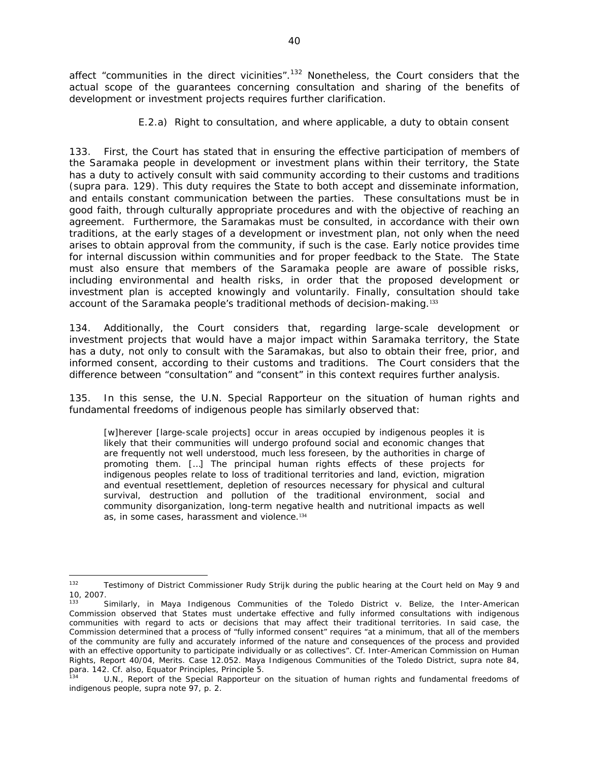affect "communities in the direct vicinities".<sup>132</sup> Nonetheless, the Court considers that the actual scope of the guarantees concerning consultation and sharing of the benefits of development or investment projects requires further clarification.

## *E.2.a) Right to consultation, and where applicable, a duty to obtain consent*

133. First, the Court has stated that in ensuring the effective participation of members of the Saramaka people in development or investment plans within their territory, the State has a duty to actively consult with said community according to their customs and traditions (*supra* para. 129). This duty requires the State to both accept and disseminate information, and entails constant communication between the parties. These consultations must be in good faith, through culturally appropriate procedures and with the objective of reaching an agreement. Furthermore, the Saramakas must be consulted, in accordance with their own traditions, at the early stages of a development or investment plan, not only when the need arises to obtain approval from the community, if such is the case. Early notice provides time for internal discussion within communities and for proper feedback to the State. The State must also ensure that members of the Saramaka people are aware of possible risks, including environmental and health risks, in order that the proposed development or investment plan is accepted knowingly and voluntarily. Finally, consultation should take account of the Saramaka people's traditional methods of decision-making.<sup>133</sup>

134. Additionally, the Court considers that, regarding large-scale development or investment projects that would have a major impact within Saramaka territory, the State has a duty, not only to consult with the Saramakas, but also to obtain their free, prior, and informed consent, according to their customs and traditions. The Court considers that the difference between "consultation" and "consent" in this context requires further analysis.

135. In this sense, the U.N. Special Rapporteur on the situation of human rights and fundamental freedoms of indigenous people has similarly observed that:

[w]herever [large-scale projects] occur in areas occupied by indigenous peoples it is likely that their communities will undergo profound social and economic changes that are frequently not well understood, much less foreseen, by the authorities in charge of promoting them. […] The principal human rights effects of these projects for indigenous peoples relate to loss of traditional territories and land, eviction, migration and eventual resettlement, depletion of resources necessary for physical and cultural survival, destruction and pollution of the traditional environment, social and community disorganization, long-term negative health and nutritional impacts as well as, in some cases, harassment and violence.<sup>134</sup>

 $132$ Testimony of District Commissioner Rudy Strijk during the public hearing at the Court held on May 9 and 10, 2007.

Similarly, in *Maya Indigenous Communities of the Toledo District v. Belize*, the Inter-American Commission observed that States must undertake effective and fully informed consultations with indigenous communities with regard to acts or decisions that may affect their traditional territories. In said case, the Commission determined that a process of "fully informed consent" requires "at a minimum, that all of the members of the community are fully and accurately informed of the nature and consequences of the process and provided with an effective opportunity to participate individually or as collectives". *Cf.* Inter-American Commission on Human Rights, *Report 40/04, Merits. Case 12.052. Maya Indigenous Communities of the Toledo District, supra* note 84, para. 142. Cf. also, Equator Principles, Principle 5.

U.N., *Report of the Special Rapporteur on the situation of human rights and fundamental freedoms of indigenous people, supra* note 97, p. 2.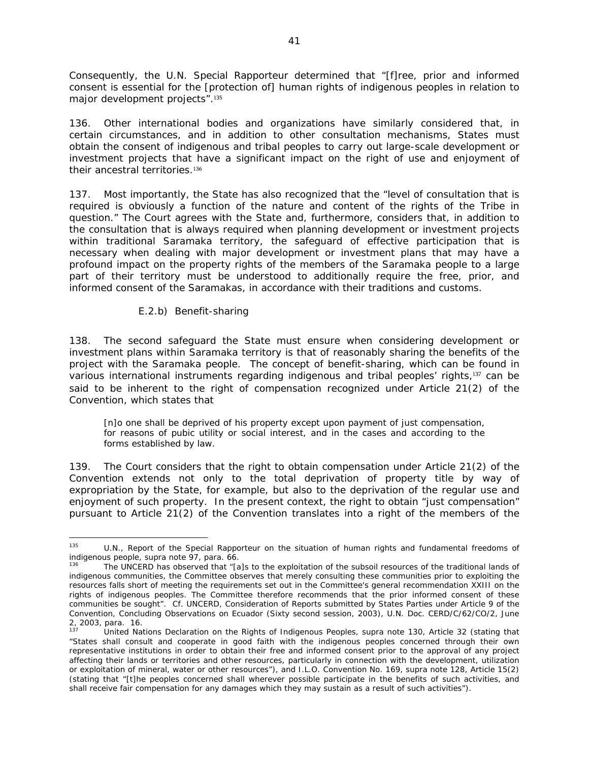Consequently, the U.N. Special Rapporteur determined that "[f]ree, prior and informed consent is essential for the [protection of] human rights of indigenous peoples in relation to major development projects".<sup>135</sup>

136. Other international bodies and organizations have similarly considered that, in certain circumstances, and in addition to other consultation mechanisms, States must obtain the consent of indigenous and tribal peoples to carry out large-scale development or investment projects that have a significant impact on the right of use and enjoyment of their ancestral territories.<sup>136</sup>

137. Most importantly, the State has also recognized that the "level of consultation that is required is obviously a function of the nature and content of the rights of the Tribe in question." The Court agrees with the State and, furthermore, considers that, in addition to the consultation that is always required when planning development or investment projects within traditional Saramaka territory, the safeguard of effective participation that is necessary when dealing with major development or investment plans that may have a profound impact on the property rights of the members of the Saramaka people to a large part of their territory must be understood to additionally require the free, prior, and informed consent of the Saramakas, in accordance with their traditions and customs.

## *E.2.b) Benefit-sharing*

138. The second safeguard the State must ensure when considering development or investment plans within Saramaka territory is that of reasonably sharing the benefits of the project with the Saramaka people. The concept of benefit-sharing, which can be found in various international instruments regarding indigenous and tribal peoples' rights,<sup>137</sup> can be said to be inherent to the right of compensation recognized under Article 21(2) of the Convention, which states that

[n]o one shall be deprived of his property except upon payment of just compensation, for reasons of pubic utility or social interest, and in the cases and according to the forms established by law.

139. The Court considers that the right to obtain compensation under Article 21(2) of the Convention extends not only to the total deprivation of property title by way of expropriation by the State, for example, but also to the deprivation of the regular use and enjoyment of such property. In the present context, the right to obtain "just compensation" pursuant to Article 21(2) of the Convention translates into a right of the members of the

<sup>135</sup> 135 U.N., *Report of the Special Rapporteur on the situation of human rights and fundamental freedoms of indigenous people, supra note 97, para. 66.* 

The UNCERD has observed that "[a]s to the exploitation of the subsoil resources of the traditional lands of indigenous communities, the Committee observes that merely consulting these communities prior to exploiting the resources falls short of meeting the requirements set out in the Committee's general recommendation XXIII on the rights of indigenous peoples. The Committee therefore recommends that the prior informed consent of these communities be sought". *Cf.* UNCERD, *Consideration of Reports submitted by States Parties under Article 9 of the Convention, Concluding Observations on Ecuador (Sixty second session, 2003)*, U.N. Doc. CERD/C/62/CO/2, June 2, 2003, para. 16.

<sup>137</sup> United Nations Declaration on the Rights of Indigenous Peoples, *supra* note 130, Article 32 (stating that "States shall consult and cooperate in good faith with the indigenous peoples concerned through their own representative institutions in order to obtain their free and informed consent prior to the approval of any project affecting their lands or territories and other resources, particularly in connection with the development, utilization or exploitation of mineral, water or other resources"), and I.L.O. Convention No. 169, *supra* note 128, Article 15(2) (stating that "[t]he peoples concerned shall wherever possible participate in the benefits of such activities, and shall receive fair compensation for any damages which they may sustain as a result of such activities").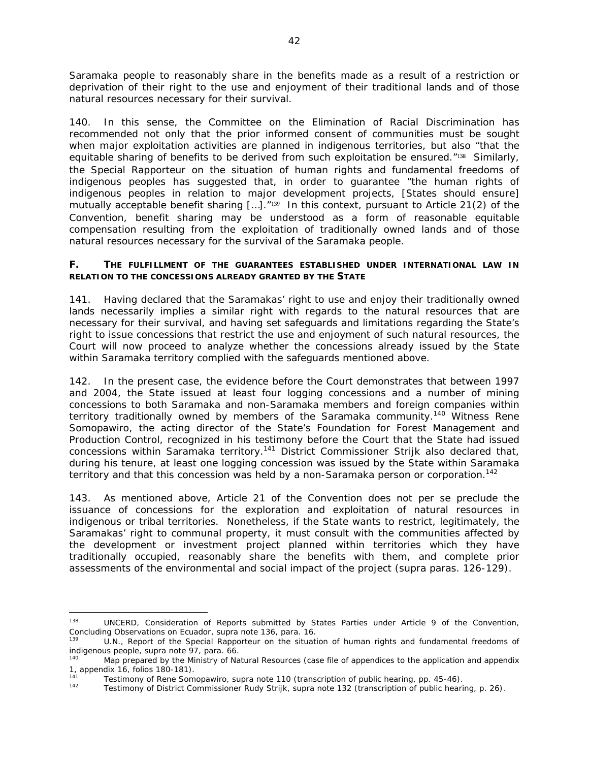Saramaka people to reasonably share in the benefits made as a result of a restriction or deprivation of their right to the use and enjoyment of their traditional lands and of those natural resources necessary for their survival.

140. In this sense, the Committee on the Elimination of Racial Discrimination has recommended not only that the prior informed consent of communities must be sought when major exploitation activities are planned in indigenous territories, but also "that the equitable sharing of benefits to be derived from such exploitation be ensured."<sup>138</sup> Similarly, the Special Rapporteur on the situation of human rights and fundamental freedoms of indigenous peoples has suggested that, in order to guarantee "the human rights of indigenous peoples in relation to major development projects, [States should ensure] mutually acceptable benefit sharing [...]."<sup>139</sup> In this context, pursuant to Article 21(2) of the Convention, benefit sharing may be understood as a form of reasonable equitable compensation resulting from the exploitation of traditionally owned lands and of those natural resources necessary for the survival of the Saramaka people.

#### **F. THE FULFILLMENT OF THE GUARANTEES ESTABLISHED UNDER INTERNATIONAL LAW IN RELATION TO THE CONCESSIONS ALREADY GRANTED BY THE STATE**

141. Having declared that the Saramakas' right to use and enjoy their traditionally owned lands necessarily implies a similar right with regards to the natural resources that are necessary for their survival, and having set safeguards and limitations regarding the State's right to issue concessions that restrict the use and enjoyment of such natural resources, the Court will now proceed to analyze whether the concessions already issued by the State within Saramaka territory complied with the safeguards mentioned above.

142. In the present case, the evidence before the Court demonstrates that between 1997 and 2004, the State issued at least four logging concessions and a number of mining concessions to both Saramaka and non-Saramaka members and foreign companies within territory traditionally owned by members of the Saramaka community.<sup>140</sup> Witness Rene Somopawiro, the acting director of the State's Foundation for Forest Management and Production Control, recognized in his testimony before the Court that the State had issued concessions within Saramaka territory.<sup>141</sup> District Commissioner Strijk also declared that, during his tenure, at least one logging concession was issued by the State within Saramaka territory and that this concession was held by a non-Saramaka person or corporation.<sup>142</sup>

143. As mentioned above, Article 21 of the Convention does not *per se* preclude the issuance of concessions for the exploration and exploitation of natural resources in indigenous or tribal territories. Nonetheless, if the State wants to restrict, legitimately, the Saramakas' right to communal property, it must consult with the communities affected by the development or investment project planned within territories which they have traditionally occupied, reasonably share the benefits with them, and complete prior assessments of the environmental and social impact of the project (*supra* paras. 126-129).

<sup>138</sup> 138 UNCERD, *Consideration of Reports submitted by States Parties under Article 9 of the Convention, Concluding Observations on Ecuador, supra* note 136, para. 16.<br><sup>139</sup> U.N., *Report of the Special Rapporteur on the situation of human rights and fundamental freedoms of* 

*indigenous people, supra* note 97, para. 66.<br><sup>140</sup> Map prepared by the Ministry of Natural Resources (case file of appendices to the application and appendix

<sup>1,</sup> appendix 16, folios 180-181).<br><sup>141</sup> Testimony of Rene Somopawiro, *supra* note 110 (transcription of public hearing, pp. 45-46).

<sup>141</sup> Testimony of Rene Somopawiro, *supra* note 110 (transcription of public hearing, pp. 45-46). 142 Testimony of District Commissioner Rudy Strijk, *supra* note 132 (transcription of public hearing, p. 26).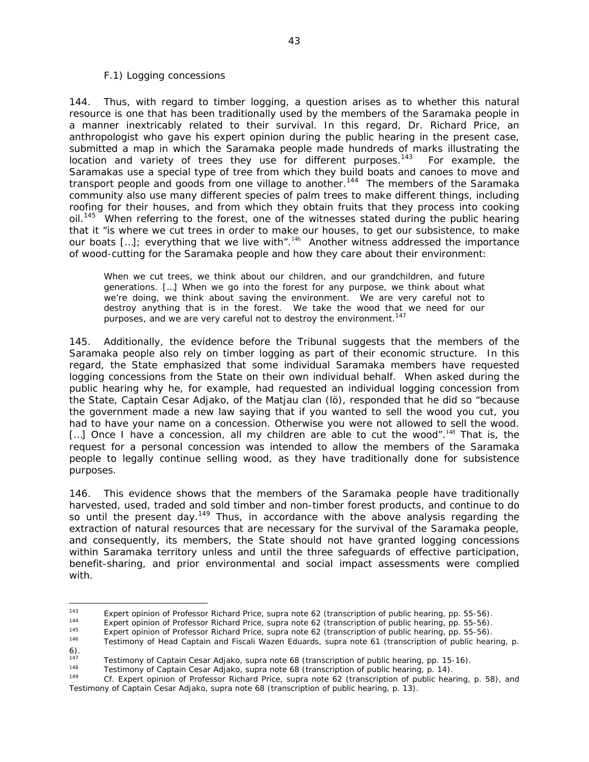#### *F.1) Logging concessions*

144. Thus, with regard to timber logging, a question arises as to whether this natural resource is one that has been traditionally used by the members of the Saramaka people in a manner inextricably related to their survival. In this regard, Dr. Richard Price, an anthropologist who gave his expert opinion during the public hearing in the present case, submitted a map in which the Saramaka people made hundreds of marks illustrating the location and variety of trees they use for different purposes.<sup>143</sup> For example, the Saramakas use a special type of tree from which they build boats and canoes to move and transport people and goods from one village to another.<sup>144</sup> The members of the Saramaka community also use many different species of palm trees to make different things, including roofing for their houses, and from which they obtain fruits that they process into cooking oil.<sup>145</sup> When referring to the forest, one of the witnesses stated during the public hearing that it "is where we cut trees in order to make our houses, to get our subsistence, to make our boats [...]; everything that we live with".<sup>146</sup> Another witness addressed the importance of wood-cutting for the Saramaka people and how they care about their environment:

When we cut trees, we think about our children, and our grandchildren, and future generations. […] When we go into the forest for any purpose, we think about what we're doing, we think about saving the environment. We are very careful not to destroy anything that is in the forest. We take the wood that we need for our purposes, and we are very careful not to destroy the environment.<sup>147</sup>

145. Additionally, the evidence before the Tribunal suggests that the members of the Saramaka people also rely on timber logging as part of their economic structure. In this regard, the State emphasized that some individual Saramaka members have requested logging concessions from the State on their own individual behalf. When asked during the public hearing why he, for example, had requested an individual logging concession from the State, Captain Cesar Adjako, of the Matjau clan (*lö*), responded that he did so "because the government made a new law saying that if you wanted to sell the wood you cut, you had to have your name on a concession. Otherwise you were not allowed to sell the wood. [...] Once I have a concession, all my children are able to cut the wood".<sup>148</sup> That is, the request for a personal concession was intended to allow the members of the Saramaka people to legally continue selling wood, as they have traditionally done for subsistence purposes.

146. This evidence shows that the members of the Saramaka people have traditionally harvested, used, traded and sold timber and non-timber forest products, and continue to do so until the present day.<sup>149</sup> Thus, in accordance with the above analysis regarding the extraction of natural resources that are necessary for the survival of the Saramaka people, and consequently, its members, the State should not have granted logging concessions within Saramaka territory unless and until the three safeguards of effective participation, benefit-sharing, and prior environmental and social impact assessments were complied with.

 $\frac{6}{147}$ .

<sup>143</sup> 

Expert opinion of Professor Richard Price, *supra* note 62 (transcription of public hearing, pp. 55-56).<br>
Expert opinion of Professor Richard Price, *supra* note 62 (transcription of public hearing, pp. 55-56).<br>
Expert opi

Testimony of Captain Cesar Adjako, *supra* note 68 (transcription of public hearing, pp. 15-16).<br>
Testimony of Captain Cesar Adjako, *supra* note 68 (transcription of public hearing, p. 14).<br>
Cf. Expert opinion of Professo

Testimony of Captain Cesar Adjako, *supra* note 68 (transcription of public hearing, p. 13).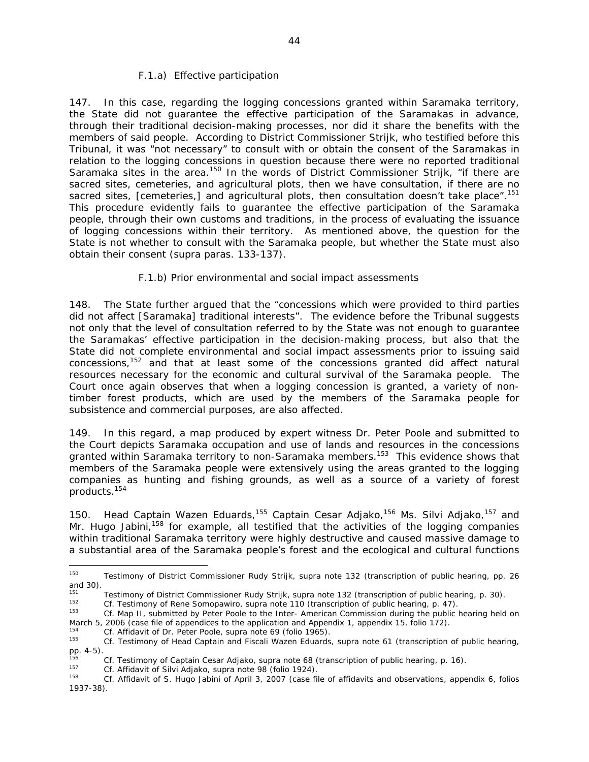#### *F.1.a) Effective participation*

147. In this case, regarding the logging concessions granted within Saramaka territory, the State did not guarantee the effective participation of the Saramakas in advance, through their traditional decision-making processes, nor did it share the benefits with the members of said people. According to District Commissioner Strijk, who testified before this Tribunal, it was "not necessary" to consult with or obtain the consent of the Saramakas in relation to the logging concessions in question because there were no reported traditional Saramaka sites in the area.<sup>150</sup> In the words of District Commissioner Strijk, "if there are sacred sites, cemeteries, and agricultural plots, then we have consultation, if there are no sacred sites, [cemeteries,] and agricultural plots, then consultation doesn't take place".<sup>151</sup> This procedure evidently fails to guarantee the effective participation of the Saramaka people, through their own customs and traditions, in the process of evaluating the issuance of logging concessions within their territory. As mentioned above, the question for the State is not whether to consult with the Saramaka people, but whether the State must also obtain their consent (*supra* paras. 133-137).

## *F.1.b) Prior environmental and social impact assessments*

148. The State further argued that the "concessions which were provided to third parties did not affect [Saramaka] traditional interests". The evidence before the Tribunal suggests not only that the level of consultation referred to by the State was not enough to guarantee the Saramakas' effective participation in the decision-making process, but also that the State did not complete environmental and social impact assessments prior to issuing said  $\frac{152}{100}$  concessions,  $152$  and that at least some of the concessions granted did affect natural resources necessary for the economic and cultural survival of the Saramaka people. The Court once again observes that when a logging concession is granted, a variety of nontimber forest products, which are used by the members of the Saramaka people for subsistence and commercial purposes, are also affected.

149. In this regard, a map produced by expert witness Dr. Peter Poole and submitted to the Court depicts Saramaka occupation and use of lands and resources in the concessions granted within Saramaka territory to non-Saramaka members.<sup>153</sup> This evidence shows that members of the Saramaka people were extensively using the areas granted to the logging companies as hunting and fishing grounds, as well as a source of a variety of forest products.154

150. Head Captain Wazen Eduards,<sup>155</sup> Captain Cesar Adjako,<sup>156</sup> Ms. Silvi Adjako,<sup>157</sup> and Mr. Hugo Jabini,<sup>158</sup> for example, all testified that the activities of the logging companies within traditional Saramaka territory were highly destructive and caused massive damage to a substantial area of the Saramaka people's forest and the ecological and cultural functions

<sup>150</sup> Testimony of District Commissioner Rudy Strijk, *supra* note 132 (transcription of public hearing, pp. 26 and 30).

Testimony of District Commissioner Rudy Strijk, *supra* note 132 (transcription of public hearing, p. 30).<br>
Cf. Testimony of Rene Somopawiro, *supra* note 110 (transcription of public hearing, p. 47).<br>
Cf. Map II, submitte

March 5, 2006 (case file of appendices to the application and Appendix 1, appendix 15, folio 172).

<sup>154</sup>*Cf.* Affidavit of Dr. Peter Poole, *supra* note 69 (folio 1965). 155 *Cf.* Testimony of Head Captain and Fiscali Wazen Eduards, *supra* note 61 (transcription of public hearing, pp. 4-5).

<sup>&</sup>lt;sup>156</sup> *Cf.* Testimony of Captain Cesar Adjako, *supra* note 68 (transcription of public hearing, p. 16).<br> *Cf.* Affidavit of Silvi Adjako, *supra* note 98 (folio 1924).<br> *Cf.* Affidavit of S. Hugo Jabini of April 3, 2007 (

<sup>1937-38).</sup>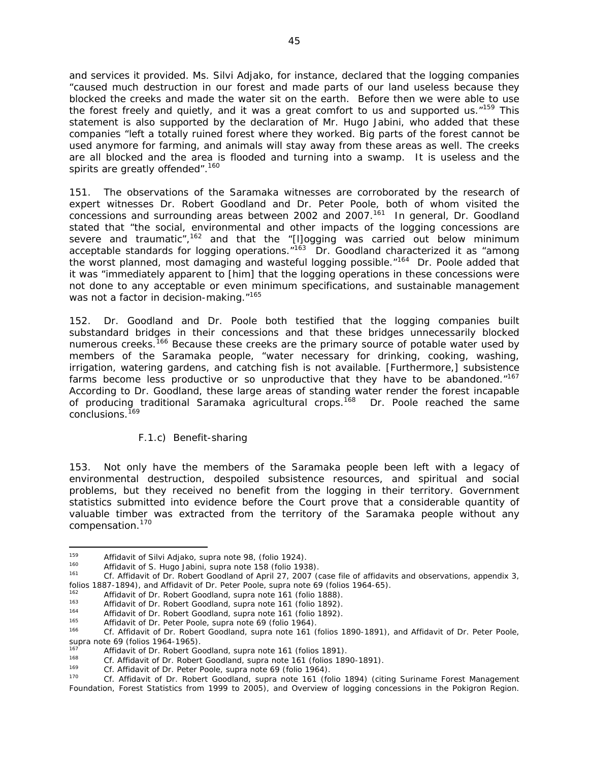and services it provided. Ms. Silvi Adjako, for instance, declared that the logging companies "caused much destruction in our forest and made parts of our land useless because they blocked the creeks and made the water sit on the earth. Before then we were able to use the forest freely and quietly, and it was a great comfort to us and supported us. $159$  This statement is also supported by the declaration of Mr. Hugo Jabini, who added that these companies "left a totally ruined forest where they worked. Big parts of the forest cannot be used anymore for farming, and animals will stay away from these areas as well. The creeks are all blocked and the area is flooded and turning into a swamp. It is useless and the spirits are greatly offended".<sup>160</sup>

151. The observations of the Saramaka witnesses are corroborated by the research of expert witnesses Dr. Robert Goodland and Dr. Peter Poole, both of whom visited the concessions and surrounding areas between 2002 and 2007.<sup>161</sup> In general, Dr. Goodland stated that "the social, environmental and other impacts of the logging concessions are severe and traumatic",<sup>162</sup> and that the "[I]ogging was carried out below minimum acceptable standards for logging operations. $n^{163}$  Dr. Goodland characterized it as "among the worst planned, most damaging and wasteful logging possible."<sup>164</sup> Dr. Poole added that it was "immediately apparent to [him] that the logging operations in these concessions were not done to any acceptable or even minimum specifications, and sustainable management was not a factor in decision-making."<sup>165</sup>

152. Dr. Goodland and Dr. Poole both testified that the logging companies built substandard bridges in their concessions and that these bridges unnecessarily blocked numerous creeks.<sup>166</sup> Because these creeks are the primary source of potable water used by members of the Saramaka people, "water necessary for drinking, cooking, washing, irrigation, watering gardens, and catching fish is not available. [Furthermore,] subsistence farms become less productive or so unproductive that they have to be abandoned. $1167$ According to Dr. Goodland, these large areas of standing water render the forest incapable of producing traditional Saramaka agricultural crops.<sup>168</sup> Dr. Poole reached the same conclusions.<sup>169</sup>

## *F.1.c) Benefit-sharing*

153. Not only have the members of the Saramaka people been left with a legacy of environmental destruction, despoiled subsistence resources, and spiritual and social problems, but they received no benefit from the logging in their territory. Government statistics submitted into evidence before the Court prove that a considerable quantity of valuable timber was extracted from the territory of the Saramaka people without any compensation.<sup>170</sup>

 $\overline{a}$ 

<sup>&</sup>lt;sup>159</sup> Affidavit of Silvi Adjako, *supra* note 98, (folio 1924).<br><sup>160</sup> Affidavit of S. Hugo Jabini, *supra* note 158 (folio 1938).<br><sup>161</sup> Cf. Affidavit of Dr. Robert Goodland of April 27, 2007 (case file of affidavits and ob rolios 1887-1894), and Affidavit of Dr. Peter Poole, *supra* note 69 (folios 1964-65).<br>
<sup>162</sup> Affidavit of Dr. Robert Goodland, *supra* note 161 (folio 1888).<br>
Affidavit of Dr. Robert Goodland, *supra* note 161 (folio 1892

supra note 69 (folios 1964-1965).<br>
<sup>167</sup> Affidavit of Dr. Robert Goodland, *supra* note 161 (folios 1891).<br>
<sup>168</sup> Cf. Affidavit of Dr. Robert Goodland, *supra* note 161 (folios 1890-1891).<br>
Cf. Affidavit of Dr. Peter Poole Foundation, Forest Statistics from 1999 to 2005), and Overview of logging concessions in the Pokigron Region.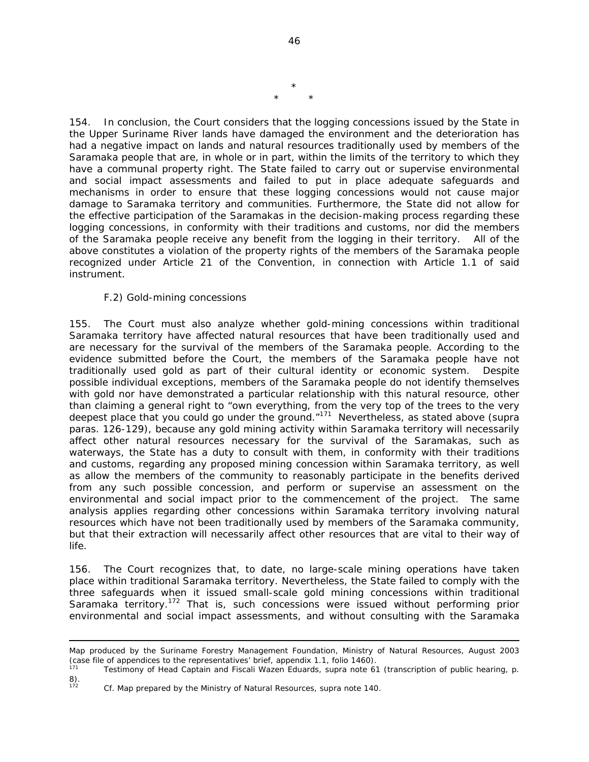154. In conclusion, the Court considers that the logging concessions issued by the State in the Upper Suriname River lands have damaged the environment and the deterioration has had a negative impact on lands and natural resources traditionally used by members of the Saramaka people that are, in whole or in part, within the limits of the territory to which they have a communal property right. The State failed to carry out or supervise environmental and social impact assessments and failed to put in place adequate safeguards and mechanisms in order to ensure that these logging concessions would not cause major damage to Saramaka territory and communities. Furthermore, the State did not allow for the effective participation of the Saramakas in the decision-making process regarding these logging concessions, in conformity with their traditions and customs, nor did the members of the Saramaka people receive any benefit from the logging in their territory. All of the above constitutes a violation of the property rights of the members of the Saramaka people recognized under Article 21 of the Convention, in connection with Article 1.1 of said instrument.

#### *F.2) Gold-mining concessions*

155. The Court must also analyze whether gold-mining concessions within traditional Saramaka territory have affected natural resources that have been traditionally used and are necessary for the survival of the members of the Saramaka people. According to the evidence submitted before the Court, the members of the Saramaka people have not traditionally used gold as part of their cultural identity or economic system. Despite possible individual exceptions, members of the Saramaka people do not identify themselves with gold nor have demonstrated a particular relationship with this natural resource, other than claiming a general right to "own everything, from the very top of the trees to the very deepest place that you could go under the ground."171 Nevertheless, as stated above (*supra* paras. 126-129), because any gold mining activity within Saramaka territory will necessarily affect other natural resources necessary for the survival of the Saramakas, such as waterways, the State has a duty to consult with them, in conformity with their traditions and customs, regarding any proposed mining concession within Saramaka territory, as well as allow the members of the community to reasonably participate in the benefits derived from any such possible concession, and perform or supervise an assessment on the environmental and social impact prior to the commencement of the project. The same analysis applies regarding other concessions within Saramaka territory involving natural resources which have not been traditionally used by members of the Saramaka community, but that their extraction will necessarily affect other resources that are vital to their way of life.

156. The Court recognizes that, to date, no large-scale mining operations have taken place within traditional Saramaka territory. Nevertheless, the State failed to comply with the three safeguards when it issued small-scale gold mining concessions within traditional Saramaka territory.<sup>172</sup> That is, such concessions were issued without performing prior environmental and social impact assessments, and without consulting with the Saramaka

 $\frac{8}{172}$ .

\* \* \*

 $\overline{a}$ Map produced by the Suriname Forestry Management Foundation, Ministry of Natural Resources, August 2003 (case file of appendices to the representatives' brief, appendix 1.1, folio 1460).

Testimony of Head Captain and Fiscali Wazen Eduards, *supra* note 61 (transcription of public hearing, p.

<sup>172</sup> *Cf.* Map prepared by the Ministry of Natural Resources*, supra* note 140.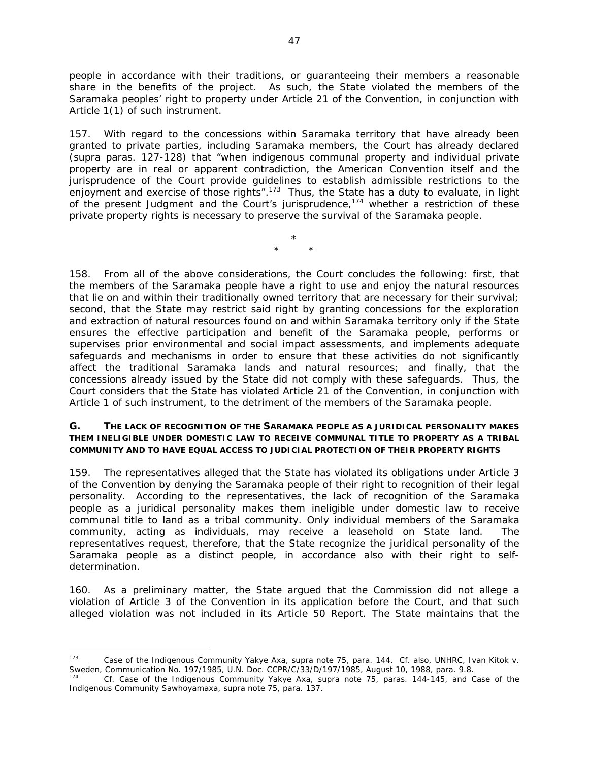people in accordance with their traditions, or guaranteeing their members a reasonable share in the benefits of the project. As such, the State violated the members of the Saramaka peoples' right to property under Article 21 of the Convention, in conjunction with Article 1(1) of such instrument.

157. With regard to the concessions within Saramaka territory that have already been granted to private parties, including Saramaka members, the Court has already declared (*supra* paras. 127-128) that "when indigenous communal property and individual private property are in real or apparent contradiction, the American Convention itself and the jurisprudence of the Court provide guidelines to establish admissible restrictions to the enjoyment and exercise of those rights".<sup>173</sup> Thus, the State has a duty to evaluate, in light of the present Judgment and the Court's jurisprudence,  $174$  whether a restriction of these private property rights is necessary to preserve the survival of the Saramaka people.

> \* \* \*

158. From all of the above considerations, the Court concludes the following: first, that the members of the Saramaka people have a right to use and enjoy the natural resources that lie on and within their traditionally owned territory that are necessary for their survival; second, that the State may restrict said right by granting concessions for the exploration and extraction of natural resources found on and within Saramaka territory only if the State ensures the effective participation and benefit of the Saramaka people, performs or supervises prior environmental and social impact assessments, and implements adequate safeguards and mechanisms in order to ensure that these activities do not significantly affect the traditional Saramaka lands and natural resources; and finally, that the concessions already issued by the State did not comply with these safeguards. Thus, the Court considers that the State has violated Article 21 of the Convention, in conjunction with Article 1 of such instrument, to the detriment of the members of the Saramaka people.

#### **G. THE LACK OF RECOGNITION OF THE SARAMAKA PEOPLE AS A JURIDICAL PERSONALITY MAKES THEM INELIGIBLE UNDER DOMESTIC LAW TO RECEIVE COMMUNAL TITLE TO PROPERTY AS A TRIBAL COMMUNITY AND TO HAVE EQUAL ACCESS TO JUDICIAL PROTECTION OF THEIR PROPERTY RIGHTS**

159. The representatives alleged that the State has violated its obligations under Article 3 of the Convention by denying the Saramaka people of their right to recognition of their legal personality.According to the representatives, the lack of recognition of the Saramaka people as a juridical personality makes them ineligible under domestic law to receive communal title to land as a tribal community. Only individual members of the Saramaka community, acting as individuals, may receive a leasehold on State land.The representatives request, therefore, that the State recognize the juridical personality of the Saramaka people as a distinct people, in accordance also with their right to selfdetermination.

160. As a preliminary matter, the State argued that the Commission did not allege a violation of Article 3 of the Convention in its application before the Court, and that such alleged violation was not included in its Article 50 Report. The State maintains that the

<sup>173</sup> 173 *Case of the Indigenous Community Yakye Axa, supra* note 75, para. 144. *Cf.* also, UNHRC, *Ivan Kitok v. Sweden*, Communication No. 197/1985, U.N. Doc. CCPR/C/33/D/197/1985, August 10, 1988, para. 9.8. 174 *Cf. Case of the Indigenous Community Yakye Axa, supra* note 75, paras. 144-145, and *Case of the* 

*Indigenous Community Sawhoyamaxa, supra* note 75, para. 137.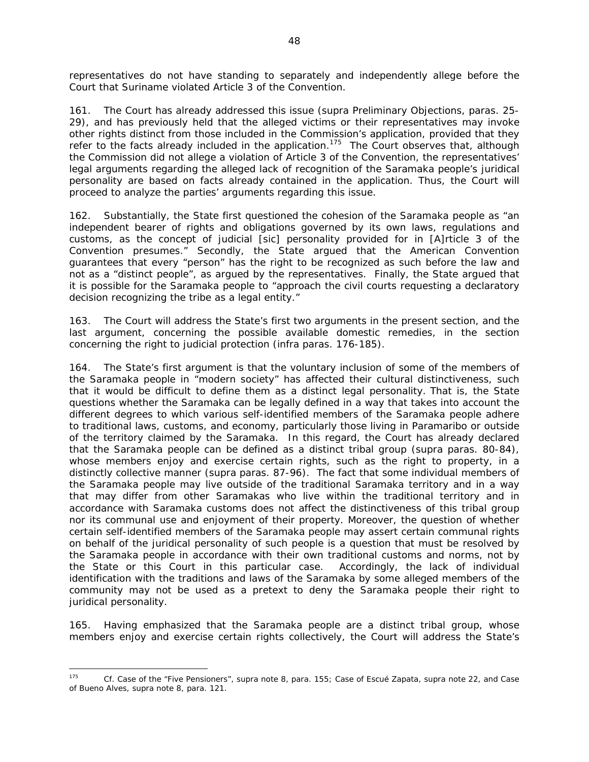representatives do not have standing to separately and independently allege before the Court that Suriname violated Article 3 of the Convention.

161. The Court has already addressed this issue (*supra* Preliminary Objections, paras. 25- 29), and has previously held that the alleged victims or their representatives may invoke other rights distinct from those included in the Commission's application, provided that they refer to the facts already included in the application.<sup>175</sup> The Court observes that, although the Commission did not allege a violation of Article 3 of the Convention, the representatives' legal arguments regarding the alleged lack of recognition of the Saramaka people's juridical personality are based on facts already contained in the application. Thus, the Court will proceed to analyze the parties' arguments regarding this issue.

162. Substantially, the State first questioned the cohesion of the Saramaka people as "an independent bearer of rights and obligations governed by its own laws, regulations and customs, as the concept of judicial [sic] personality provided for in [A]rticle 3 of the Convention presumes." Secondly, the State argued that the American Convention guarantees that every "person" has the right to be recognized as such before the law and not as a "distinct people", as argued by the representatives. Finally, the State argued that it is possible for the Saramaka people to "approach the civil courts requesting a declaratory decision recognizing the tribe as a legal entity."

163. The Court will address the State's first two arguments in the present section, and the last argument, concerning the possible available domestic remedies, in the section concerning the right to judicial protection (*infra* paras. 176-185).

164. The State's first argument is that the voluntary inclusion of some of the members of the Saramaka people in "modern society" has affected their cultural distinctiveness, such that it would be difficult to define them as a distinct legal personality. That is, the State questions whether the Saramaka can be legally defined in a way that takes into account the different degrees to which various self-identified members of the Saramaka people adhere to traditional laws, customs, and economy, particularly those living in Paramaribo or outside of the territory claimed by the Saramaka. In this regard, the Court has already declared that the Saramaka people can be defined as a distinct tribal group (*supra* paras. 80-84), whose members enjoy and exercise certain rights, such as the right to property, in a distinctly collective manner (*supra* paras. 87-96). The fact that some individual members of the Saramaka people may live outside of the traditional Saramaka territory and in a way that may differ from other Saramakas who live within the traditional territory and in accordance with Saramaka customs does not affect the distinctiveness of this tribal group nor its communal use and enjoyment of their property. Moreover, the question of whether certain self-identified members of the Saramaka people may assert certain communal rights on behalf of the juridical personality of such people is a question that must be resolved by the Saramaka people in accordance with their own traditional customs and norms, not by the State or this Court in this particular case. Accordingly, the lack of individual identification with the traditions and laws of the Saramaka by some alleged members of the community may not be used as a pretext to deny the Saramaka people their right to juridical personality.

165. Having emphasized that the Saramaka people are a distinct tribal group, whose members enjoy and exercise certain rights collectively, the Court will address the State's

<sup>175</sup> 175 *Cf. Case of the "Five Pensioners", supra* note 8, para. 155; *Case of Escué Zapata, supra* note 22, and *Case of Bueno Alves, supra* note 8, para. 121.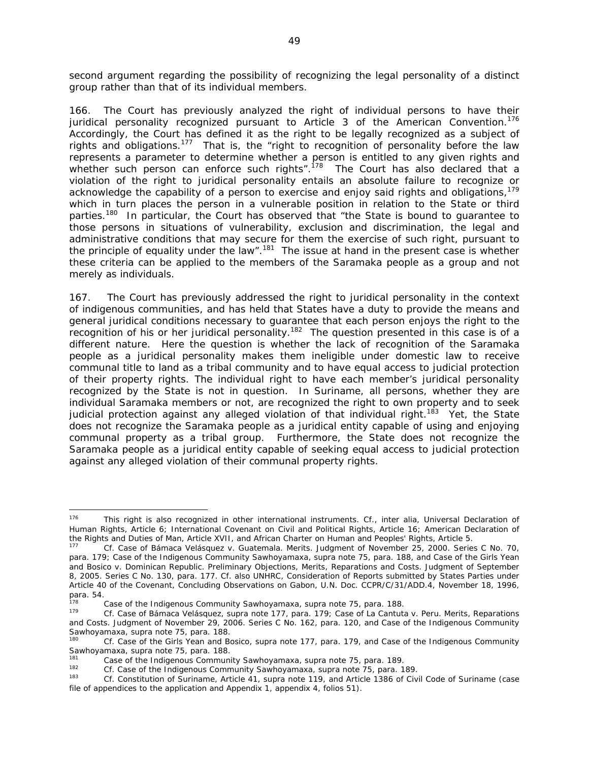second argument regarding the possibility of recognizing the legal personality of a distinct group rather than that of its individual members.

166. The Court has previously analyzed the right of individual persons to have their juridical personality recognized pursuant to Article 3 of the American Convention.<sup>176</sup> Accordingly, the Court has defined it as the right to be legally recognized as a subject of rights and obligations.<sup>177</sup> That is, the "right to recognition of personality before the law represents a parameter to determine whether a person is entitled to any given rights and whether such person can enforce such rights".<sup>178</sup> The Court has also declared that a violation of the right to juridical personality entails an absolute failure to recognize or acknowledge the capability of a person to exercise and enjoy said rights and obligations,  $179$ which in turn places the person in a vulnerable position in relation to the State or third parties.<sup>180</sup> In particular, the Court has observed that "the State is bound to quarantee to those persons in situations of vulnerability, exclusion and discrimination, the legal and administrative conditions that may secure for them the exercise of such right, pursuant to the principle of equality under the law".<sup>181</sup> The issue at hand in the present case is whether these criteria can be applied to the members of the Saramaka people as a group and not merely as individuals.

167. The Court has previously addressed the right to juridical personality in the context of indigenous communities, and has held that States have a duty to provide the means and general juridical conditions necessary to guarantee that each person enjoys the right to the recognition of his or her juridical personality.<sup>182</sup> The question presented in this case is of a different nature. Here the question is whether the lack of recognition of the Saramaka people as a juridical personality makes them ineligible under domestic law to receive communal title to land as a tribal community and to have equal access to judicial protection of their property rights. The individual right to have each member's juridical personality recognized by the State is not in question. In Suriname, all persons, whether they are individual Saramaka members or not, are recognized the right to own property and to seek judicial protection against any alleged violation of that individual right.<sup>183</sup> Yet, the State does not recognize the Saramaka people as a juridical entity capable of using and enjoying communal property as a tribal group. Furthermore, the State does not recognize the Saramaka people as a juridical entity capable of seeking equal access to judicial protection against any alleged violation of their communal property rights.

<sup>176</sup> This right is also recognized in other international instruments. Cf., inter alia, Universal Declaration of Human Rights, Article 6; International Covenant on Civil and Political Rights, Article 16; American Declaration of<br>the Rights and Duties of Man, Article XVII, and African Charter on Human and Peoples' Rights, Article 5.

Cf. Case of Bámaca Velásquez v. Guatemala. Merits. Judgment of November 25, 2000. Series C No. 70, para. 179; *Case of the Indigenous Community Sawhoyamaxa, supra* note 75, para. 188, and *Case of the Girls Yean and Bosico v. Dominican Republic. Preliminary Objections, Merits, Reparations and Costs.* Judgment of September 8, 2005. Series C No. 130, para. 177. *Cf.* also UNHRC, *Consideration of Reports submitted by States Parties under Article 40 of the Covenant, Concluding Observations on Gabon*, U.N. Doc. CCPR/C/31/ADD.4, November 18, 1996, para. 54.

<sup>&</sup>lt;sup>178</sup> Case of the Indigenous Community Sawhoyamaxa, supra note 75, para. 188.<br><sup>179</sup> Cf. Case of Bámaca Velásquez, supra note 177, para. 179; Case of La Cantuta v. Peru. Merits, Reparations *and Costs*. Judgment of November 29, 2006. Series C No. 162, para. 120, and *Case of the Indigenous Community Sawhoyamaxa, supra* note 75, para. 188.<br><sup>180</sup> *Cf. Case of the Girls Yean and Bosico, supra* note 177, para. 179, and *Case of the Indigenous Community* 

Sawhoyamaxa, supra note 75, para. 188.<br>
<sup>181</sup> Case of the Indigenous Community Sawhoyamaxa, supra note 75, para. 189.<br>
26. Case of the Indigenous Community Sawhoyamaxa, supra note 75, para. 189.<br>
26. Constitution of Surina

file of appendices to the application and Appendix 1, appendix 4, folios 51).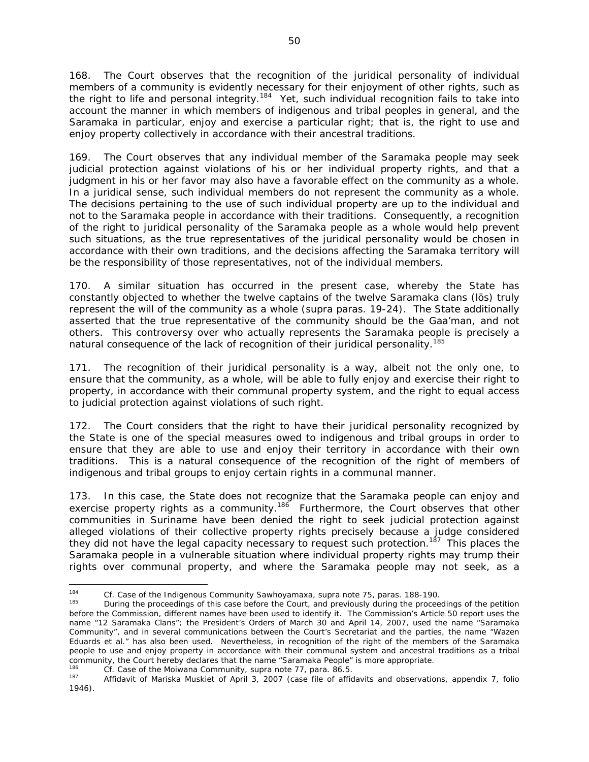168. The Court observes that the recognition of the juridical personality of individual members of a community is evidently necessary for their enjoyment of other rights, such as the right to life and personal integrity.<sup>184</sup> Yet, such individual recognition fails to take into account the manner in which members of indigenous and tribal peoples in general, and the Saramaka in particular, enjoy and exercise a particular right; that is, the right to use and enjoy property collectively in accordance with their ancestral traditions.

169. The Court observes that any individual member of the Saramaka people may seek judicial protection against violations of his or her individual property rights, and that a judgment in his or her favor may also have a favorable effect on the community as a whole. In a juridical sense, such individual members do not represent the community as a whole. The decisions pertaining to the use of such individual property are up to the individual and not to the Saramaka people in accordance with their traditions. Consequently, a recognition of the right to juridical personality of the Saramaka people as a whole would help prevent such situations, as the true representatives of the juridical personality would be chosen in accordance with their own traditions, and the decisions affecting the Saramaka territory will be the responsibility of those representatives, not of the individual members.

170. A similar situation has occurred in the present case, whereby the State has constantly objected to whether the twelve captains of the twelve Saramaka clans (*lös*) truly represent the will of the community as a whole (*supra* paras. 19-24). The State additionally asserted that the true representative of the community should be the *Gaa'man*, and not others. This controversy over who actually represents the Saramaka people is precisely a natural consequence of the lack of recognition of their juridical personality.<sup>185</sup>

171. The recognition of their juridical personality is a way, albeit not the only one, to ensure that the community, as a whole, will be able to fully enjoy and exercise their right to property, in accordance with their communal property system, and the right to equal access to judicial protection against violations of such right.

172. The Court considers that the right to have their juridical personality recognized by the State is one of the special measures owed to indigenous and tribal groups in order to ensure that they are able to use and enjoy their territory in accordance with their own traditions. This is a natural consequence of the recognition of the right of members of indigenous and tribal groups to enjoy certain rights in a communal manner.

173. In this case, the State does not recognize that the Saramaka people can enjoy and exercise property rights as a community.<sup>186</sup> Furthermore, the Court observes that other communities in Suriname have been denied the right to seek judicial protection against alleged violations of their collective property rights precisely because a judge considered they did not have the legal capacity necessary to request such protection.<sup>187</sup> This places the Saramaka people in a vulnerable situation where individual property rights may trump their rights over communal property, and where the Saramaka people may not seek, as a

<sup>184</sup> 

<sup>&</sup>lt;sup>184</sup> Cf. Case of the Indigenous Community Sawhoyamaxa, supra note 75, paras. 188-190.<br><sup>185</sup> During the proceedings of this case before the Court, and previously during the proceedings of the petition before the Commission, different names have been used to identify it. The Commission's Article 50 report uses the name "12 Saramaka Clans"; the President's Orders of March 30 and April 14, 2007, used the name "Saramaka Community", and in several communications between the Court's Secretariat and the parties, the name "Wazen Eduards *et al.*" has also been used. Nevertheless, in recognition of the right of the members of the Saramaka people to use and enjoy property in accordance with their communal system and ancestral traditions as a tribal community, the Court hereby declares that the name "Saramaka People" is more appropriate.<br>
Cf. Case of the Moiwana Community, supra note 77, para. 86.5.<br>
Affidavit of Mariska Muskiet of April 3, 2007 (case file of affidavi

<sup>1946).</sup>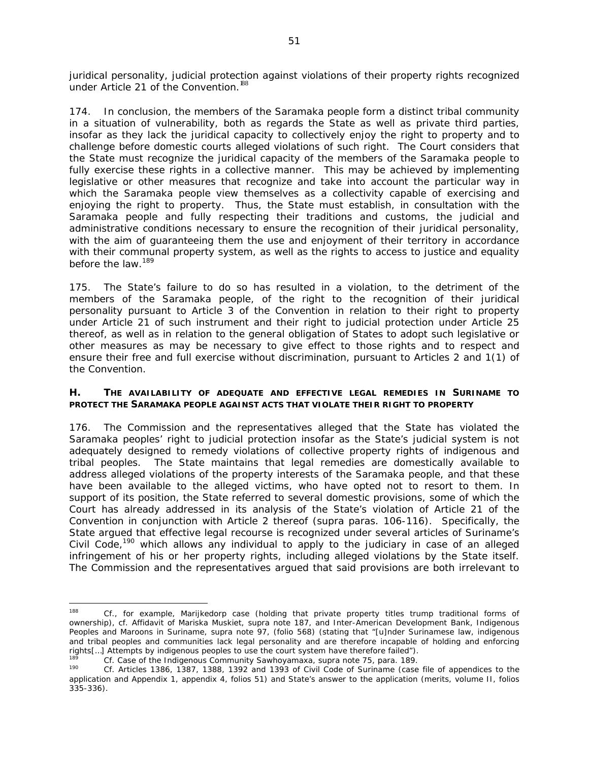juridical personality, judicial protection against violations of their property rights recognized under Article 21 of the Convention.<sup>188</sup>

174. In conclusion, the members of the Saramaka people form a distinct tribal community in a situation of vulnerability, both as regards the State as well as private third parties, insofar as they lack the juridical capacity to collectively enjoy the right to property and to challenge before domestic courts alleged violations of such right. The Court considers that the State must recognize the juridical capacity of the members of the Saramaka people to fully exercise these rights in a collective manner. This may be achieved by implementing legislative or other measures that recognize and take into account the particular way in which the Saramaka people view themselves as a collectivity capable of exercising and enjoying the right to property. Thus, the State must establish, in consultation with the Saramaka people and fully respecting their traditions and customs, the judicial and administrative conditions necessary to ensure the recognition of their juridical personality, with the aim of guaranteeing them the use and enjoyment of their territory in accordance with their communal property system, as well as the rights to access to justice and equality before the law.<sup>189</sup>

175. The State's failure to do so has resulted in a violation, to the detriment of the members of the Saramaka people, of the right to the recognition of their juridical personality pursuant to Article 3 of the Convention in relation to their right to property under Article 21 of such instrument and their right to judicial protection under Article 25 thereof, as well as in relation to the general obligation of States to adopt such legislative or other measures as may be necessary to give effect to those rights and to respect and ensure their free and full exercise without discrimination, pursuant to Articles 2 and 1(1) of the Convention.

#### **H. THE AVAILABILITY OF ADEQUATE AND EFFECTIVE LEGAL REMEDIES IN SURINAME TO PROTECT THE SARAMAKA PEOPLE AGAINST ACTS THAT VIOLATE THEIR RIGHT TO PROPERTY**

176. The Commission and the representatives alleged that the State has violated the Saramaka peoples' right to judicial protection insofar as the State's judicial system is not adequately designed to remedy violations of collective property rights of indigenous and tribal peoples. The State maintains that legal remedies are domestically available to address alleged violations of the property interests of the Saramaka people, and that these have been available to the alleged victims, who have opted not to resort to them. In support of its position, the State referred to several domestic provisions, some of which the Court has already addressed in its analysis of the State's violation of Article 21 of the Convention in conjunction with Article 2 thereof (*supra* paras. 106-116). Specifically, the State argued that effective legal recourse is recognized under several articles of Suriname's Civil Code,<sup>190</sup> which allows any individual to apply to the judiciary in case of an alleged infringement of his or her property rights, including alleged violations by the State itself. The Commission and the representatives argued that said provisions are both irrelevant to

<sup>188</sup> *Cf.*, for example, *Marijkedorp case* (holding that private property titles trump traditional forms of ownership), *cf.* Affidavit of Mariska Muskiet, *supra* note 187, and Inter-American Development Bank, *Indigenous Peoples and Maroons in Suriname, supra* note 97, (folio 568) (stating that "[u]nder Surinamese law, indigenous and tribal peoples and communities lack legal personality and are therefore incapable of holding and enforcing rights[…] Attempts by indigenous peoples to use the court system have therefore failed").

<sup>&</sup>lt;sup>189</sup> Cf. Case of the Indigenous Community Sawhoyamaxa, supra note 75, para. 189.<br><sup>190</sup> *Cf.* Articles 1386, 1387, 1388, 1392 and 1393 of Civil Code of Suriname (case file of appendices to the application and Appendix 1, appendix 4, folios 51) and State's answer to the application (merits, volume II, folios 335-336).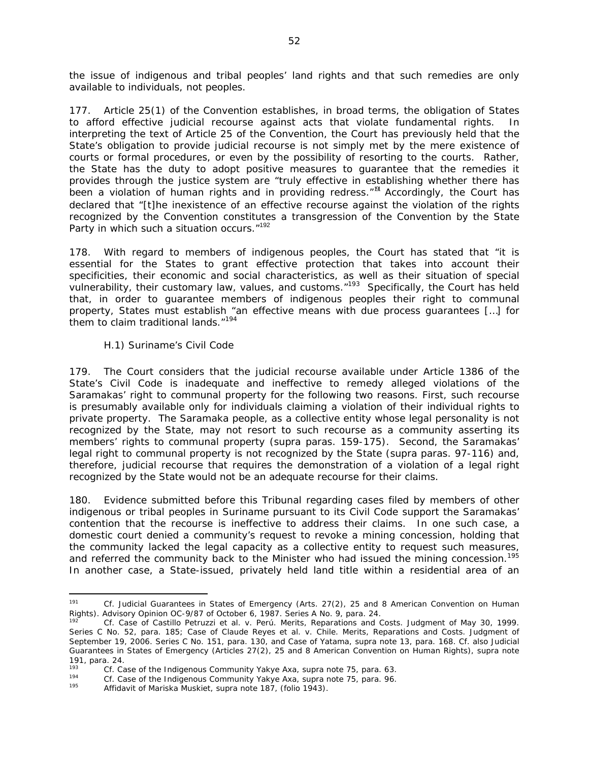the issue of indigenous and tribal peoples' land rights and that such remedies are only available to individuals, not peoples.

177. Article 25(1) of the Convention establishes, in broad terms, the obligation of States to afford effective judicial recourse against acts that violate fundamental rights. In interpreting the text of Article 25 of the Convention, the Court has previously held that the State's obligation to provide judicial recourse is not simply met by the mere existence of courts or formal procedures, or even by the possibility of resorting to the courts. Rather, the State has the duty to adopt positive measures to guarantee that the remedies it provides through the justice system are "truly effective in establishing whether there has been a violation of human rights and in providing redress." $191$  Accordingly, the Court has declared that "[t]he inexistence of an effective recourse against the violation of the rights recognized by the Convention constitutes a transgression of the Convention by the State Party in which such a situation occurs."<sup>192</sup>

178. With regard to members of indigenous peoples, the Court has stated that "it is essential for the States to grant effective protection that takes into account their specificities, their economic and social characteristics, as well as their situation of special vulnerability, their customary law, values, and customs."<sup>193</sup> Specifically, the Court has held that, in order to guarantee members of indigenous peoples their right to communal property, States must establish "an effective means with due process guarantees […] for them to claim traditional lands."<sup>194</sup>

## *H.1) Suriname's Civil Code*

179. The Court considers that the judicial recourse available under Article 1386 of the State's Civil Code is inadequate and ineffective to remedy alleged violations of the Saramakas' right to communal property for the following two reasons. First, such recourse is presumably available only for individuals claiming a violation of their individual rights to private property. The Saramaka people, as a collective entity whose legal personality is not recognized by the State, may not resort to such recourse as a community asserting its members' rights to communal property (*supra* paras. 159-175). Second, the Saramakas' legal right to communal property is not recognized by the State (*supra* paras. 97-116) and, therefore, judicial recourse that requires the demonstration of a violation of a legal right recognized by the State would not be an adequate recourse for their claims.

180. Evidence submitted before this Tribunal regarding cases filed by members of other indigenous or tribal peoples in Suriname pursuant to its Civil Code support the Saramakas' contention that the recourse is ineffective to address their claims. In one such case, a domestic court denied a community's request to revoke a mining concession, holding that the community lacked the legal capacity as a collective entity to request such measures, and referred the community back to the Minister who had issued the mining concession.<sup>195</sup> In another case, a State-issued, privately held land title within a residential area of an

<sup>191</sup> 191 *Cf. Judicial Guarantees in States of Emergency* (Arts. 27(2), 25 and 8 American Convention on Human Rights). Advisory Opinion OC-9/87 of October 6, 1987. Series A No. 9, para. 24.

<sup>192</sup> *Cf. Case of Castillo Petruzzi et al. v. Perú. Merits, Reparations and Costs*. Judgment of May 30, 1999. Series C No. 52, para. 185; *Case of Claude Reyes et al. v. Chile. Merits, Reparations and Costs*. Judgment of September 19, 2006. Series C No. 151, para. 130, and *Case of Yatama, supra* note 13, para. 168. *Cf.* also *Judicial Guarantees in States of Emergency (Articles 27(2), 25 and 8 American Convention on Human Rights), supra* note 191, para. 24.

<sup>&</sup>lt;sup>193</sup> *Cf. Case of the Indigenous Community Yakye Axa, supra* note 75, para. 63.<br><sup>194</sup> *Cf. Case of the Indigenous Community Yakye Axa, supra* note 75, para. 96.<br><sup>195</sup> Affidavit of Mariska Muskiet, *supra* note 187, (folio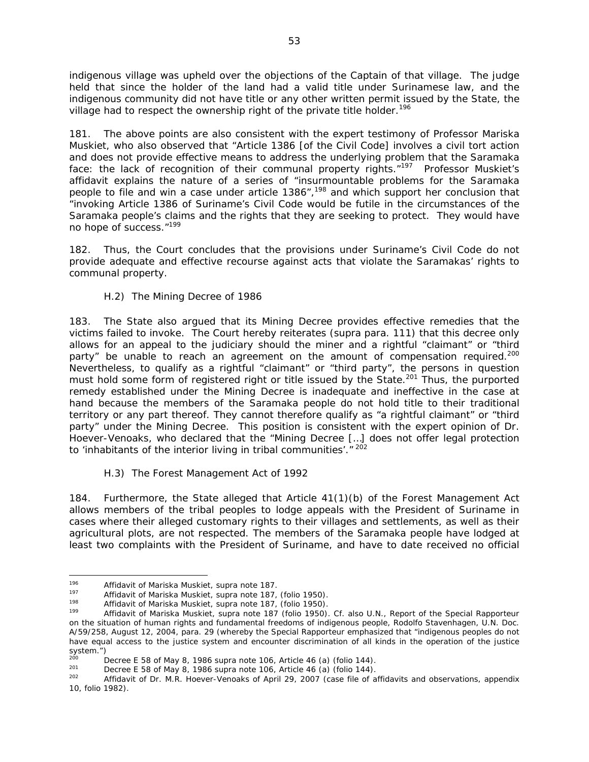indigenous village was upheld over the objections of the Captain of that village. The judge held that since the holder of the land had a valid title under Surinamese law, and the indigenous community did not have title or any other written permit issued by the State, the village had to respect the ownership right of the private title holder.<sup>196</sup>

181. The above points are also consistent with the expert testimony of Professor Mariska Muskiet, who also observed that "Article 1386 [of the Civil Code] involves a civil tort action and does not provide effective means to address the underlying problem that the Saramaka face: the lack of recognition of their communal property rights."<sup>197</sup> Professor Muskiet's affidavit explains the nature of a series of "insurmountable problems for the Saramaka people to file and win a case under article 1386",<sup>198</sup> and which support her conclusion that "invoking Article 1386 of Suriname's Civil Code would be futile in the circumstances of the Saramaka people's claims and the rights that they are seeking to protect. They would have no hope of success."199

182. Thus, the Court concludes that the provisions under Suriname's Civil Code do not provide adequate and effective recourse against acts that violate the Saramakas' rights to communal property.

# *H.2) The Mining Decree of 1986*

183. The State also argued that its Mining Decree provides effective remedies that the victims failed to invoke. The Court hereby reiterates (*supra* para. 111) that this decree only allows for an appeal to the judiciary should the miner and a rightful "claimant" or "third party" be unable to reach an agreement on the amount of compensation required.<sup>200</sup> Nevertheless, to qualify as a rightful "claimant" or "third party", the persons in question must hold some form of registered right or title issued by the State.<sup>201</sup> Thus, the purported remedy established under the Mining Decree is inadequate and ineffective in the case at hand because the members of the Saramaka people do not hold title to their traditional territory or any part thereof. They cannot therefore qualify as "a rightful claimant" or "third party" under the Mining Decree. This position is consistent with the expert opinion of Dr. Hoever-Venoaks, who declared that the "Mining Decree […] does not offer legal protection to 'inhabitants of the interior living in tribal communities'." 202

# *H.3) The Forest Management Act of 1992*

184. Furthermore, the State alleged that Article 41(1)(b) of the Forest Management Act allows members of the tribal peoples to lodge appeals with the President of Suriname in cases where their alleged customary rights to their villages and settlements, as well as their agricultural plots, are not respected. The members of the Saramaka people have lodged at least two complaints with the President of Suriname, and have to date received no official

<sup>196</sup> 

<sup>&</sup>lt;sup>196</sup> Affidavit of Mariska Muskiet, *supra* note 187.<br><sup>197</sup> Affidavit of Mariska Muskiet, *supra* note 187, (folio 1950).<br><sup>198</sup> Affidavit of Mariska Muskiet, *supra* note 187, (folio 1950).<br><sup>199</sup> Affidavit of Mariska Muski *on the situation of human rights and fundamental freedoms of indigenous people, Rodolfo Stavenhagen,* U.N. Doc. A/59/258, August 12, 2004, para. 29 (whereby the Special Rapporteur emphasized that "indigenous peoples do not have equal access to the justice system and encounter discrimination of all kinds in the operation of the justice system.")

<sup>&</sup>lt;sup>200</sup> Decree E 58 of May 8, 1986 *supra* note 106, Article 46 (a) (folio 144).<br><sup>201</sup> Decree E 58 of May 8, 1986 *supra* note 106, Article 46 (a) (folio 144).<br><sup>202</sup> Affidavit of Dr. M.R. Hoever-Venoaks of April 29, 2007 (ca 10, folio 1982).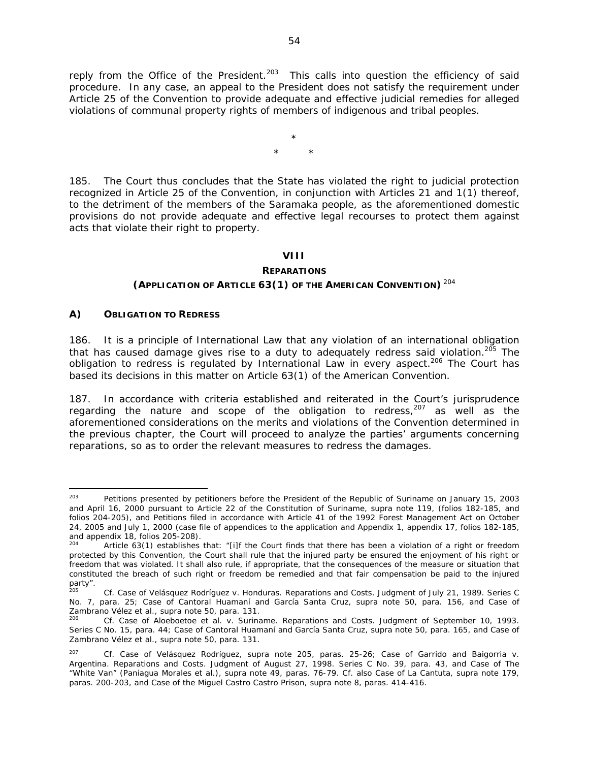reply from the Office of the President.<sup>203</sup> This calls into question the efficiency of said procedure. In any case, an appeal to the President does not satisfy the requirement under Article 25 of the Convention to provide adequate and effective judicial remedies for alleged violations of communal property rights of members of indigenous and tribal peoples.

> \* \* \*

185. The Court thus concludes that the State has violated the right to judicial protection recognized in Article 25 of the Convention, in conjunction with Articles 21 and 1(1) thereof, to the detriment of the members of the Saramaka people, as the aforementioned domestic provisions do not provide adequate and effective legal recourses to protect them against acts that violate their right to property.

#### **VIII**

## **REPARATIONS (APPLICATION OF ARTICLE 63(1) OF THE AMERICAN CONVENTION)** <sup>204</sup>

## **A) OBLIGATION TO REDRESS**

186. It is a principle of International Law that any violation of an international obligation that has caused damage gives rise to a duty to adequately redress said violation.<sup>205</sup> The obligation to redress is regulated by International Law in every aspect.<sup>206</sup> The Court has based its decisions in this matter on Article 63(1) of the American Convention.

187. In accordance with criteria established and reiterated in the Court's jurisprudence regarding the nature and scope of the obligation to redress,  $207$  as well as the aforementioned considerations on the merits and violations of the Convention determined in the previous chapter, the Court will proceed to analyze the parties' arguments concerning reparations, so as to order the relevant measures to redress the damages.

 $203$ 203 Petitions presented by petitioners before the President of the Republic of Suriname on January 15, 2003 and April 16, 2000 pursuant to Article 22 of the Constitution of Suriname, *supra* note 119, (folios 182-185, and folios 204-205), and Petitions filed in accordance with Article 41 of the 1992 Forest Management Act on October 24, 2005 and July 1, 2000 (case file of appendices to the application and Appendix 1, appendix 17, folios 182-185, and appendix 18, folios 205-208).

Article 63(1) establishes that: "[i]f the Court finds that there has been a violation of a right or freedom protected by this Convention, the Court shall rule that the injured party be ensured the enjoyment of his right or freedom that was violated. It shall also rule, if appropriate, that the consequences of the measure or situation that constituted the breach of such right or freedom be remedied and that fair compensation be paid to the injured party".

<sup>205</sup> *Cf. Case of Velásquez Rodríguez v. Honduras. Reparations and Costs.* Judgment of July 21, 1989. Series C No. 7, para. 25; *Case of Cantoral Huamaní and García Santa Cruz, supra* note 50, para. 156, and *Case of Zambrano Vélez et al., supra* note 50, para. 131. 206 *Cf. Case of Aloeboetoe et al. v. Suriname. Reparations and Costs.* Judgment of September 10, 1993.

Series C No. 15, para. 44; *Case of Cantoral Huamaní and García Santa Cruz, supra* note 50, para. 165, and *Case of Zambrano Vélez et al., supra* note 50, para. 131.

<sup>207</sup> *Cf. Case of Velásquez Rodríguez, supra* note 205, paras. 25-26; *Case of Garrido and Baigorria v. Argentina. Reparations and Costs.* Judgment of August 27, 1998. Series C No. 39, para. 43, and *Case of The "White Van" (Paniagua Morales et al.), supra* note 49, paras. 76-79. *Cf.* also *Case of La Cantuta, supra* note 179, paras. 200-203, and *Case of the Miguel Castro Castro Prison, supra* note 8, paras. 414-416.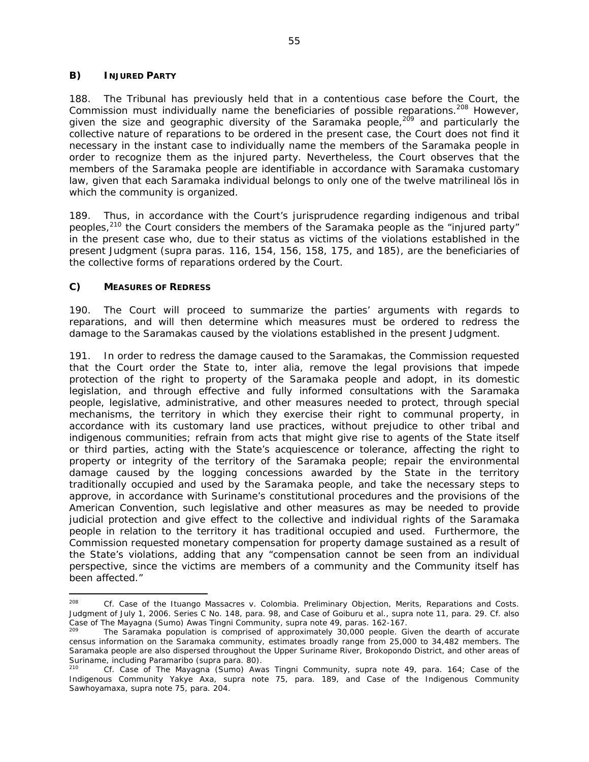#### **B) INJURED PARTY**

188. The Tribunal has previously held that in a contentious case before the Court, the Commission must individually name the beneficiaries of possible reparations.<sup>208</sup> However, given the size and geographic diversity of the Saramaka people,<sup>209</sup> and particularly the collective nature of reparations to be ordered in the present case, the Court does not find it necessary in the instant case to individually name the members of the Saramaka people in order to recognize them as the injured party. Nevertheless, the Court observes that the members of the Saramaka people are identifiable in accordance with Saramaka customary law, given that each Saramaka individual belongs to only one of the twelve matrilineal *lös* in which the community is organized.

Thus, in accordance with the Court's jurisprudence regarding indigenous and tribal peoples,210 the Court considers the members of the Saramaka people as the "injured party" in the present case who, due to their status as victims of the violations established in the present Judgment (*supra* paras. 116, 154, 156, 158, 175, and 185), are the beneficiaries of the collective forms of reparations ordered by the Court.

#### **C) MEASURES OF REDRESS**

190. The Court will proceed to summarize the parties' arguments with regards to reparations, and will then determine which measures must be ordered to redress the damage to the Saramakas caused by the violations established in the present Judgment.

191. In order to redress the damage caused to the Saramakas, the Commission requested that the Court order the State to, *inter alia*, remove the legal provisions that impede protection of the right to property of the Saramaka people and adopt, in its domestic legislation, and through effective and fully informed consultations with the Saramaka people, legislative, administrative, and other measures needed to protect, through special mechanisms, the territory in which they exercise their right to communal property, in accordance with its customary land use practices, without prejudice to other tribal and indigenous communities; refrain from acts that might give rise to agents of the State itself or third parties, acting with the State's acquiescence or tolerance, affecting the right to property or integrity of the territory of the Saramaka people; repair the environmental damage caused by the logging concessions awarded by the State in the territory traditionally occupied and used by the Saramaka people, and take the necessary steps to approve, in accordance with Suriname's constitutional procedures and the provisions of the American Convention, such legislative and other measures as may be needed to provide judicial protection and give effect to the collective and individual rights of the Saramaka people in relation to the territory it has traditional occupied and used. Furthermore, the Commission requested monetary compensation for property damage sustained as a result of the State's violations, adding that any "compensation cannot be seen from an individual perspective, since the victims are members of a community and the Community itself has been affected."

<sup>208</sup> 208 *Cf. Case of the Ituango Massacres v. Colombia. Preliminary Objection, Merits, Reparations and Costs*. Judgment of July 1, 2006. Series C No. 148, para. 98, and *Case of Goiburu et al., supra* note 11, para. 29. *Cf.* also *Case of The Mayagna (Sumo) Awas Tingni Community, supra* note 49, paras. 162-167.<br><sup>209</sup> The Saramaka population is comprised of approximately 30,000 people. Given the dearth of accurate

census information on the Saramaka community, estimates broadly range from 25,000 to 34,482 members. The Saramaka people are also dispersed throughout the Upper Suriname River, Brokopondo District, and other areas of Suriname, including Paramaribo (*supra* para. 80). 210 *Cf. Case of The Mayagna (Sumo) Awas Tingni Community, supra* note 49, para. 164; *Case of the* 

*Indigenous Community Yakye Axa, supra* note 75, para. 189, and *Case of the Indigenous Community Sawhoyamaxa, supra* note 75, para. 204.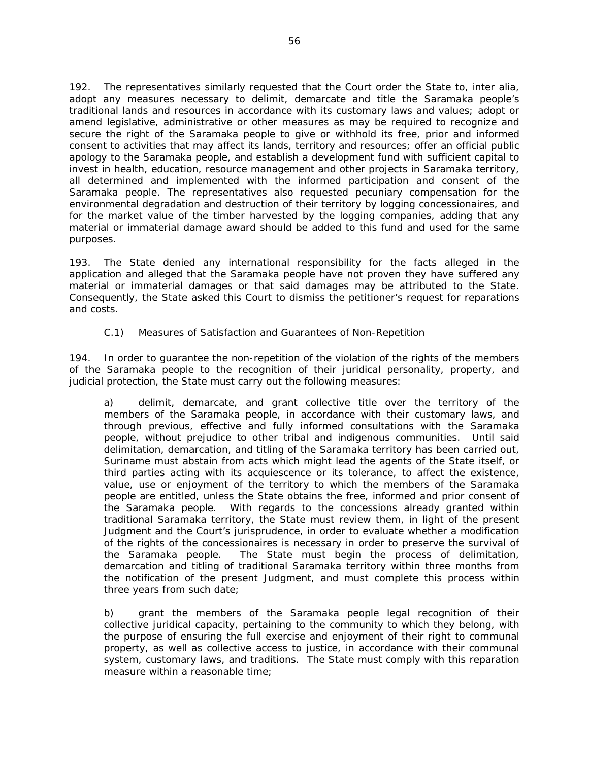192. The representatives similarly requested that the Court order the State to, *inter alia*, adopt any measures necessary to delimit, demarcate and title the Saramaka people's traditional lands and resources in accordance with its customary laws and values; adopt or amend legislative, administrative or other measures as may be required to recognize and secure the right of the Saramaka people to give or withhold its free, prior and informed consent to activities that may affect its lands, territory and resources; offer an official public apology to the Saramaka people, and establish a development fund with sufficient capital to invest in health, education, resource management and other projects in Saramaka territory, all determined and implemented with the informed participation and consent of the Saramaka people. The representatives also requested pecuniary compensation for the environmental degradation and destruction of their territory by logging concessionaires, and for the market value of the timber harvested by the logging companies, adding that any material or immaterial damage award should be added to this fund and used for the same purposes.

193. The State denied any international responsibility for the facts alleged in the application and alleged that the Saramaka people have not proven they have suffered any material or immaterial damages or that said damages may be attributed to the State. Consequently, the State asked this Court to dismiss the petitioner's request for reparations and costs.

## *C.1) Measures of Satisfaction and Guarantees of Non-Repetition*

194. In order to guarantee the non-repetition of the violation of the rights of the members of the Saramaka people to the recognition of their juridical personality, property, and judicial protection, the State must carry out the following measures:

a) delimit, demarcate, and grant collective title over the territory of the members of the Saramaka people, in accordance with their customary laws, and through previous, effective and fully informed consultations with the Saramaka people, without prejudice to other tribal and indigenous communities. Until said delimitation, demarcation, and titling of the Saramaka territory has been carried out, Suriname must abstain from acts which might lead the agents of the State itself, or third parties acting with its acquiescence or its tolerance, to affect the existence, value, use or enjoyment of the territory to which the members of the Saramaka people are entitled, unless the State obtains the free, informed and prior consent of the Saramaka people. With regards to the concessions already granted within traditional Saramaka territory, the State must review them, in light of the present Judgment and the Court's jurisprudence, in order to evaluate whether a modification of the rights of the concessionaires is necessary in order to preserve the survival of the Saramaka people. The State must begin the process of delimitation, demarcation and titling of traditional Saramaka territory within three months from the notification of the present Judgment, and must complete this process within three years from such date;

b) grant the members of the Saramaka people legal recognition of their collective juridical capacity, pertaining to the community to which they belong, with the purpose of ensuring the full exercise and enjoyment of their right to communal property, as well as collective access to justice, in accordance with their communal system, customary laws, and traditions. The State must comply with this reparation measure within a reasonable time;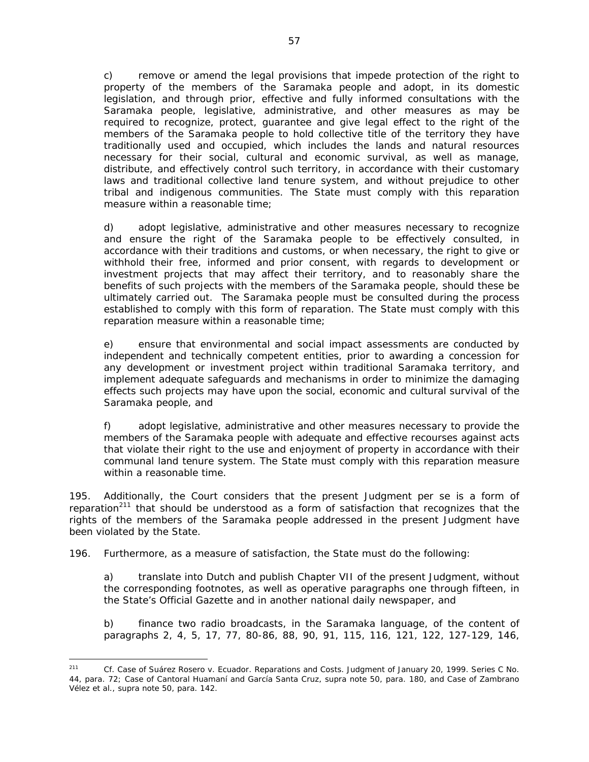c) remove or amend the legal provisions that impede protection of the right to property of the members of the Saramaka people and adopt, in its domestic legislation, and through prior, effective and fully informed consultations with the Saramaka people, legislative, administrative, and other measures as may be required to recognize, protect, guarantee and give legal effect to the right of the members of the Saramaka people to hold collective title of the territory they have traditionally used and occupied, which includes the lands and natural resources necessary for their social, cultural and economic survival, as well as manage, distribute, and effectively control such territory, in accordance with their customary laws and traditional collective land tenure system, and without prejudice to other tribal and indigenous communities. The State must comply with this reparation measure within a reasonable time;

d) adopt legislative, administrative and other measures necessary to recognize and ensure the right of the Saramaka people to be effectively consulted, in accordance with their traditions and customs, or when necessary, the right to give or withhold their free, informed and prior consent, with regards to development or investment projects that may affect their territory, and to reasonably share the benefits of such projects with the members of the Saramaka people, should these be ultimately carried out. The Saramaka people must be consulted during the process established to comply with this form of reparation. The State must comply with this reparation measure within a reasonable time;

e) ensure that environmental and social impact assessments are conducted by independent and technically competent entities, prior to awarding a concession for any development or investment project within traditional Saramaka territory, and implement adequate safeguards and mechanisms in order to minimize the damaging effects such projects may have upon the social, economic and cultural survival of the Saramaka people, and

f) adopt legislative, administrative and other measures necessary to provide the members of the Saramaka people with adequate and effective recourses against acts that violate their right to the use and enjoyment of property in accordance with their communal land tenure system. The State must comply with this reparation measure within a reasonable time.

195. Additionally, the Court considers that the present Judgment *per se* is a form of reparation<sup>211</sup> that should be understood as a form of satisfaction that recognizes that the rights of the members of the Saramaka people addressed in the present Judgment have been violated by the State.

196. Furthermore, as a measure of satisfaction, the State must do the following:

 $\overline{a}$ 

a) translate into Dutch and publish Chapter VII of the present Judgment, without the corresponding footnotes, as well as operative paragraphs one through fifteen, in the State's Official Gazette and in another national daily newspaper, and

b) finance two radio broadcasts, in the Saramaka language, of the content of paragraphs 2, 4, 5, 17, 77, 80-86, 88, 90, 91, 115, 116, 121, 122, 127-129, 146,

*<sup>211</sup> Cf. Case of Suárez Rosero v. Ecuador. Reparations and Costs.* Judgment of January 20, 1999. Series C No. 44, para. 72; *Case of Cantoral Huamaní and García Santa Cruz, supra* note 50, para. 180, and *Case of Zambrano Vélez et al., supra* note 50, para. 142.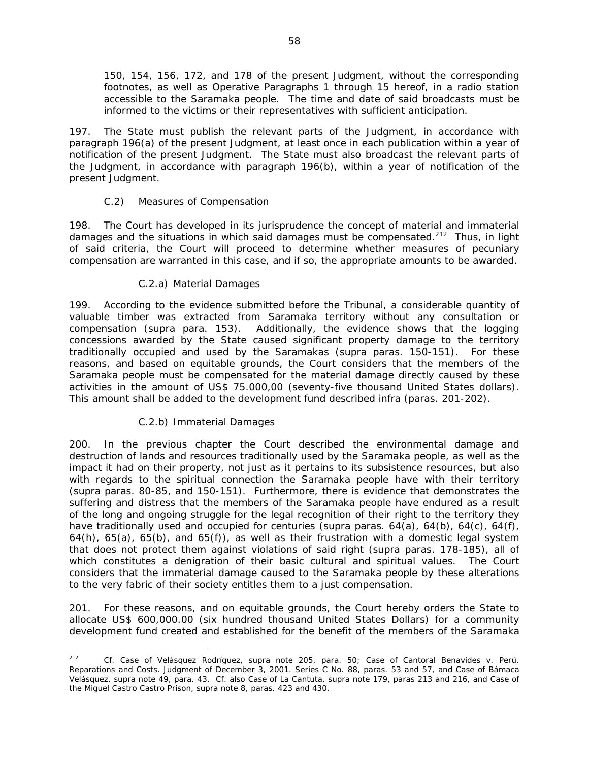150, 154, 156, 172, and 178 of the present Judgment, without the corresponding footnotes, as well as Operative Paragraphs 1 through 15 hereof, in a radio station accessible to the Saramaka people. The time and date of said broadcasts must be informed to the victims or their representatives with sufficient anticipation.

197. The State must publish the relevant parts of the Judgment, in accordance with paragraph 196(a) of the present Judgment, at least once in each publication within a year of notification of the present Judgment. The State must also broadcast the relevant parts of the Judgment, in accordance with paragraph 196(b), within a year of notification of the present Judgment.

# *C.2) Measures of Compensation*

198. The Court has developed in its jurisprudence the concept of material and immaterial damages and the situations in which said damages must be compensated.<sup>212</sup> Thus, in light of said criteria, the Court will proceed to determine whether measures of pecuniary compensation are warranted in this case, and if so, the appropriate amounts to be awarded.

## *C.2.a) Material Damages*

199. According to the evidence submitted before the Tribunal, a considerable quantity of valuable timber was extracted from Saramaka territory without any consultation or compensation (*supra* para. 153). Additionally, the evidence shows that the logging concessions awarded by the State caused significant property damage to the territory traditionally occupied and used by the Saramakas (*supra* paras. 150-151). For these reasons, and based on equitable grounds, the Court considers that the members of the Saramaka people must be compensated for the material damage directly caused by these activities in the amount of US\$ 75.000,00 (seventy-five thousand United States dollars). This amount shall be added to the development fund described *infra* (paras. 201-202).

## *C.2.b) Immaterial Damages*

200. In the previous chapter the Court described the environmental damage and destruction of lands and resources traditionally used by the Saramaka people, as well as the impact it had on their property, not just as it pertains to its subsistence resources, but also with regards to the spiritual connection the Saramaka people have with their territory (*supra* paras. 80-85, and 150-151). Furthermore, there is evidence that demonstrates the suffering and distress that the members of the Saramaka people have endured as a result of the long and ongoing struggle for the legal recognition of their right to the territory they have traditionally used and occupied for centuries (*supra* paras. 64(a), 64(b), 64(c), 64(f), 64(h),  $65(a)$ ,  $65(b)$ , and  $65(f)$ ), as well as their frustration with a domestic legal system that does not protect them against violations of said right (*supra* paras. 178-185), all of which constitutes a denigration of their basic cultural and spiritual values. The Court considers that the immaterial damage caused to the Saramaka people by these alterations to the very fabric of their society entitles them to a just compensation.

201. For these reasons, and on equitable grounds, the Court hereby orders the State to allocate US\$ 600,000.00 (six hundred thousand United States Dollars) for a community development fund created and established for the benefit of the members of the Saramaka

<sup>212</sup> 212 *Cf. Case of Velásquez Rodríguez, supra* note 205, para. 50; *Case of Cantoral Benavides v. Perú. Reparations and Costs*. Judgment of December 3, 2001. Series C No. 88, paras. 53 and 57, and *Case of Bámaca Velásquez, supra* note 49, para. 43. *Cf.* also *Case of La Cantuta, supra* note 179, paras 213 and 216, and *Case of the Miguel Castro Castro Prison, supra* note 8, paras. 423 and 430.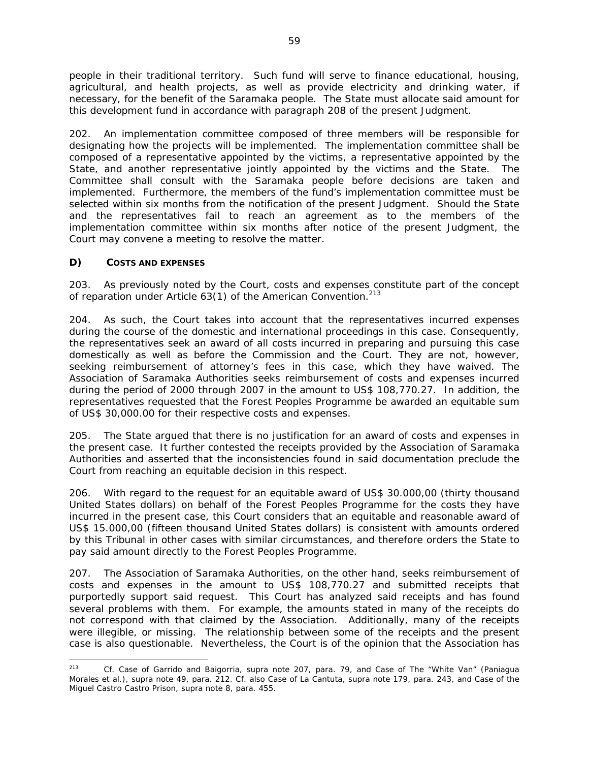people in their traditional territory. Such fund will serve to finance educational, housing, agricultural, and health projects, as well as provide electricity and drinking water, if necessary, for the benefit of the Saramaka people. The State must allocate said amount for this development fund in accordance with paragraph 208 of the present Judgment.

202. An implementation committee composed of three members will be responsible for designating how the projects will be implemented. The implementation committee shall be composed of a representative appointed by the victims, a representative appointed by the State, and another representative jointly appointed by the victims and the State. The Committee shall consult with the Saramaka people before decisions are taken and implemented. Furthermore, the members of the fund's implementation committee must be selected within six months from the notification of the present Judgment. Should the State and the representatives fail to reach an agreement as to the members of the implementation committee within six months after notice of the present Judgment, the Court may convene a meeting to resolve the matter.

## **D) COSTS AND EXPENSES**

203. As previously noted by the Court, costs and expenses constitute part of the concept of reparation under Article  $63(1)$  of the American Convention.<sup>213</sup>

204. As such, the Court takes into account that the representatives incurred expenses during the course of the domestic and international proceedings in this case. Consequently, the representatives seek an award of all costs incurred in preparing and pursuing this case domestically as well as before the Commission and the Court. They are not, however, seeking reimbursement of attorney's fees in this case, which they have waived. The Association of Saramaka Authorities seeks reimbursement of costs and expenses incurred during the period of 2000 through 2007 in the amount to US\$ 108,770.27. In addition, the representatives requested that the Forest Peoples Programme be awarded an equitable sum of US\$ 30,000.00 for their respective costs and expenses.

205. The State argued that there is no justification for an award of costs and expenses in the present case. It further contested the receipts provided by the Association of Saramaka Authorities and asserted that the inconsistencies found in said documentation preclude the Court from reaching an equitable decision in this respect.

206. With regard to the request for an equitable award of US\$ 30.000,00 (thirty thousand United States dollars) on behalf of the Forest Peoples Programme for the costs they have incurred in the present case, this Court considers that an equitable and reasonable award of US\$ 15.000,00 (fifteen thousand United States dollars) is consistent with amounts ordered by this Tribunal in other cases with similar circumstances, and therefore orders the State to pay said amount directly to the Forest Peoples Programme.

207. The Association of Saramaka Authorities, on the other hand, seeks reimbursement of costs and expenses in the amount to US\$ 108,770.27 and submitted receipts that purportedly support said request. This Court has analyzed said receipts and has found several problems with them. For example, the amounts stated in many of the receipts do not correspond with that claimed by the Association. Additionally, many of the receipts were illegible, or missing. The relationship between some of the receipts and the present case is also questionable. Nevertheless, the Court is of the opinion that the Association has

 $\overline{a}$ <sup>213</sup> *Cf. Case of Garrido and Baigorria, supra* note 207, para. 79, and *Case of The "White Van" (Paniagua Morales et al.), supra* note 49, para. 212. *Cf.* also *Case of La Cantuta, supra* note 179, para. 243, and *Case of the Miguel Castro Castro Prison, supra* note 8, para. 455.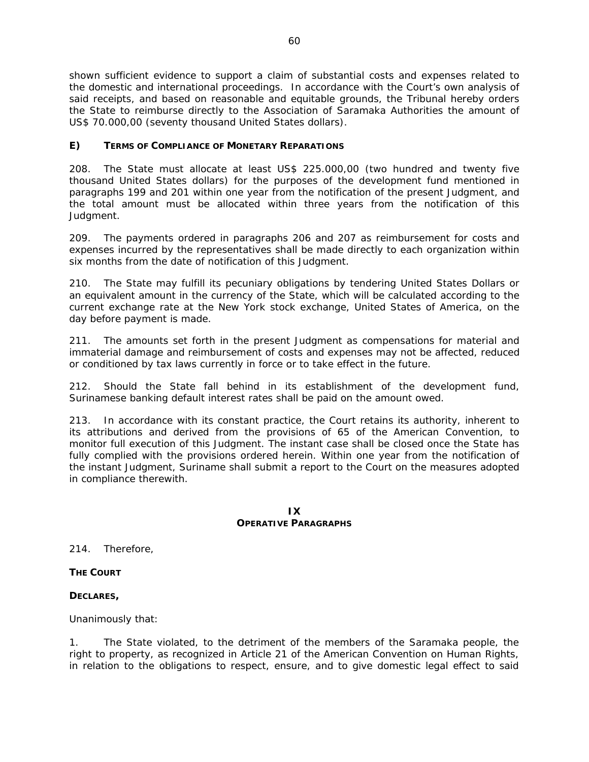shown sufficient evidence to support a claim of substantial costs and expenses related to the domestic and international proceedings. In accordance with the Court's own analysis of said receipts, and based on reasonable and equitable grounds, the Tribunal hereby orders the State to reimburse directly to the Association of Saramaka Authorities the amount of US\$ 70.000,00 (seventy thousand United States dollars).

## **E) TERMS OF COMPLIANCE OF MONETARY REPARATIONS**

208. The State must allocate at least US\$ 225.000,00 (two hundred and twenty five thousand United States dollars) for the purposes of the development fund mentioned in paragraphs 199 and 201 within one year from the notification of the present Judgment, and the total amount must be allocated within three years from the notification of this Judgment.

209. The payments ordered in paragraphs 206 and 207 as reimbursement for costs and expenses incurred by the representatives shall be made directly to each organization within six months from the date of notification of this Judgment.

210. The State may fulfill its pecuniary obligations by tendering United States Dollars or an equivalent amount in the currency of the State, which will be calculated according to the current exchange rate at the New York stock exchange, United States of America, on the day before payment is made.

211. The amounts set forth in the present Judgment as compensations for material and immaterial damage and reimbursement of costs and expenses may not be affected, reduced or conditioned by tax laws currently in force or to take effect in the future.

212. Should the State fall behind in its establishment of the development fund, Surinamese banking default interest rates shall be paid on the amount owed.

213. In accordance with its constant practice, the Court retains its authority, inherent to its attributions and derived from the provisions of 65 of the American Convention, to monitor full execution of this Judgment. The instant case shall be closed once the State has fully complied with the provisions ordered herein. Within one year from the notification of the instant Judgment, Suriname shall submit a report to the Court on the measures adopted in compliance therewith.

#### **IX OPERATIVE PARAGRAPHS**

214. Therefore,

**THE COURT**

**DECLARES,** 

Unanimously that:

1. The State violated, to the detriment of the members of the Saramaka people, the right to property, as recognized in Article 21 of the American Convention on Human Rights, in relation to the obligations to respect, ensure, and to give domestic legal effect to said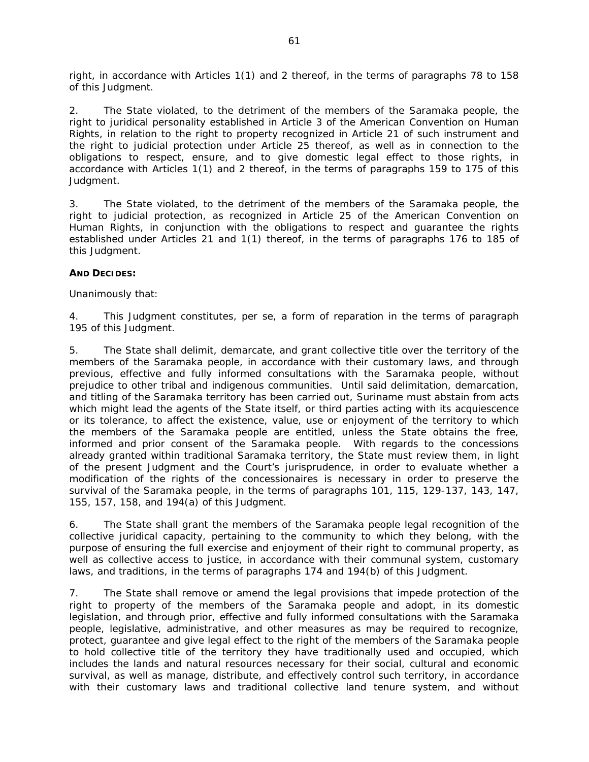right, in accordance with Articles 1(1) and 2 thereof, in the terms of paragraphs 78 to 158 of this Judgment.

2. The State violated, to the detriment of the members of the Saramaka people, the right to juridical personality established in Article 3 of the American Convention on Human Rights, in relation to the right to property recognized in Article 21 of such instrument and the right to judicial protection under Article 25 thereof, as well as in connection to the obligations to respect, ensure, and to give domestic legal effect to those rights, in accordance with Articles 1(1) and 2 thereof, in the terms of paragraphs 159 to 175 of this Judgment.

3. The State violated, to the detriment of the members of the Saramaka people, the right to judicial protection, as recognized in Article 25 of the American Convention on Human Rights, in conjunction with the obligations to respect and guarantee the rights established under Articles 21 and 1(1) thereof, in the terms of paragraphs 176 to 185 of this Judgment.

## **AND DECIDES:**

Unanimously that:

4. This Judgment constitutes, *per se*, a form of reparation in the terms of paragraph 195 of this Judgment.

5. The State shall delimit, demarcate, and grant collective title over the territory of the members of the Saramaka people, in accordance with their customary laws, and through previous, effective and fully informed consultations with the Saramaka people, without prejudice to other tribal and indigenous communities. Until said delimitation, demarcation, and titling of the Saramaka territory has been carried out, Suriname must abstain from acts which might lead the agents of the State itself, or third parties acting with its acquiescence or its tolerance, to affect the existence, value, use or enjoyment of the territory to which the members of the Saramaka people are entitled, unless the State obtains the free, informed and prior consent of the Saramaka people. With regards to the concessions already granted within traditional Saramaka territory, the State must review them, in light of the present Judgment and the Court's jurisprudence, in order to evaluate whether a modification of the rights of the concessionaires is necessary in order to preserve the survival of the Saramaka people, in the terms of paragraphs 101, 115, 129-137, 143, 147, 155, 157, 158, and 194(a) of this Judgment.

6. The State shall grant the members of the Saramaka people legal recognition of the collective juridical capacity, pertaining to the community to which they belong, with the purpose of ensuring the full exercise and enjoyment of their right to communal property, as well as collective access to justice, in accordance with their communal system, customary laws, and traditions, in the terms of paragraphs 174 and 194(b) of this Judgment.

7. The State shall remove or amend the legal provisions that impede protection of the right to property of the members of the Saramaka people and adopt, in its domestic legislation, and through prior, effective and fully informed consultations with the Saramaka people, legislative, administrative, and other measures as may be required to recognize, protect, guarantee and give legal effect to the right of the members of the Saramaka people to hold collective title of the territory they have traditionally used and occupied, which includes the lands and natural resources necessary for their social, cultural and economic survival, as well as manage, distribute, and effectively control such territory, in accordance with their customary laws and traditional collective land tenure system, and without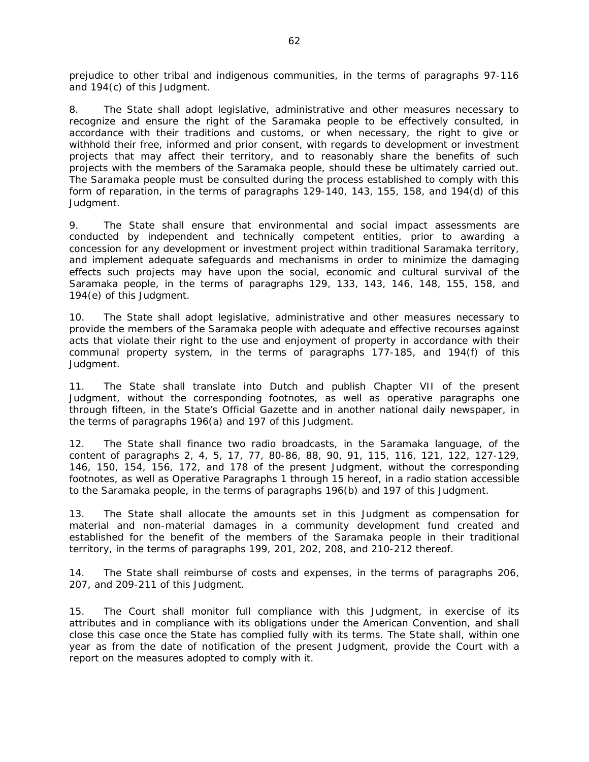prejudice to other tribal and indigenous communities, in the terms of paragraphs 97-116 and 194(c) of this Judgment.

8. The State shall adopt legislative, administrative and other measures necessary to recognize and ensure the right of the Saramaka people to be effectively consulted, in accordance with their traditions and customs, or when necessary, the right to give or withhold their free, informed and prior consent, with regards to development or investment projects that may affect their territory, and to reasonably share the benefits of such projects with the members of the Saramaka people, should these be ultimately carried out. The Saramaka people must be consulted during the process established to comply with this form of reparation, in the terms of paragraphs 129-140, 143, 155, 158, and 194(d) of this Judgment.

9. The State shall ensure that environmental and social impact assessments are conducted by independent and technically competent entities, prior to awarding a concession for any development or investment project within traditional Saramaka territory, and implement adequate safeguards and mechanisms in order to minimize the damaging effects such projects may have upon the social, economic and cultural survival of the Saramaka people, in the terms of paragraphs 129, 133, 143, 146, 148, 155, 158, and 194(e) of this Judgment.

10. The State shall adopt legislative, administrative and other measures necessary to provide the members of the Saramaka people with adequate and effective recourses against acts that violate their right to the use and enjoyment of property in accordance with their communal property system, in the terms of paragraphs 177-185, and 194(f) of this Judgment.

11. The State shall translate into Dutch and publish Chapter VII of the present Judgment, without the corresponding footnotes, as well as operative paragraphs one through fifteen, in the State's Official Gazette and in another national daily newspaper, in the terms of paragraphs 196(a) and 197 of this Judgment.

12. The State shall finance two radio broadcasts, in the Saramaka language, of the content of paragraphs 2, 4, 5, 17, 77, 80-86, 88, 90, 91, 115, 116, 121, 122, 127-129, 146, 150, 154, 156, 172, and 178 of the present Judgment, without the corresponding footnotes, as well as Operative Paragraphs 1 through 15 hereof, in a radio station accessible to the Saramaka people, in the terms of paragraphs 196(b) and 197 of this Judgment.

13. The State shall allocate the amounts set in this Judgment as compensation for material and non-material damages in a community development fund created and established for the benefit of the members of the Saramaka people in their traditional territory, in the terms of paragraphs 199, 201, 202, 208, and 210-212 thereof.

14. The State shall reimburse of costs and expenses, in the terms of paragraphs 206, 207, and 209-211 of this Judgment.

15. The Court shall monitor full compliance with this Judgment, in exercise of its attributes and in compliance with its obligations under the American Convention, and shall close this case once the State has complied fully with its terms. The State shall, within one year as from the date of notification of the present Judgment, provide the Court with a report on the measures adopted to comply with it.